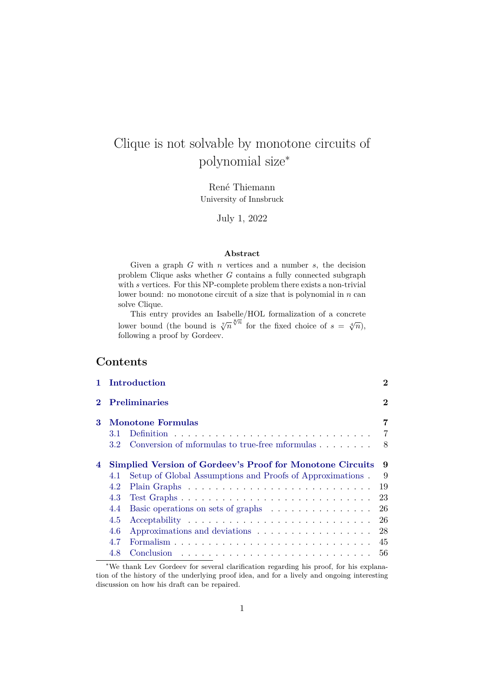# Clique is not solvable by monotone circuits of polynomial size<sup>∗</sup>

René Thiemann University of Innsbruck

July 1, 2022

#### **Abstract**

Given a graph  $G$  with  $n$  vertices and a number  $s$ , the decision problem Clique asks whether  $G$  contains a fully connected subgraph with s vertices. For this NP-complete problem there exists a non-trivial lower bound: no monotone circuit of a size that is polynomial in  $n$  can solve Clique.

This entry provides an Isabelle/HOL formalization of a concrete lower bound (the bound is  $\sqrt[7]{n}^{\sqrt[8]{n}}$  for the fixed choice of  $s = \sqrt[4]{n}$ ), following a proof by Gordeev.

# **Contents**

|   | Introduction                                                              | $\bf{2}$ |  |
|---|---------------------------------------------------------------------------|----------|--|
|   | <b>Preliminaries</b>                                                      | $\bf{2}$ |  |
| 3 | <b>Monotone Formulas</b>                                                  | 7        |  |
|   | 3.1                                                                       | 7        |  |
|   | Conversion of mformulas to true-free mformulas<br>3.2                     | 8        |  |
| 4 | <b>Simplied Version of Gordeev's Proof for Monotone Circuits</b>          | 9        |  |
|   | Setup of Global Assumptions and Proofs of Approximations.<br>4.1          | 9        |  |
|   | 4.2                                                                       | 19       |  |
|   | 4.3                                                                       | 23       |  |
|   | Basic operations on sets of graphs $\dots \dots \dots \dots \dots$<br>4.4 | -26      |  |
|   | 4.5                                                                       |          |  |
|   | 4.6                                                                       | 28       |  |
|   | 4.7                                                                       |          |  |
|   | 4.8                                                                       | 56       |  |

<sup>∗</sup>We thank Lev Gordeev for several clarification regarding his proof, for his explanation of the history of the underlying proof idea, and for a lively and ongoing interesting discussion on how his draft can be repaired.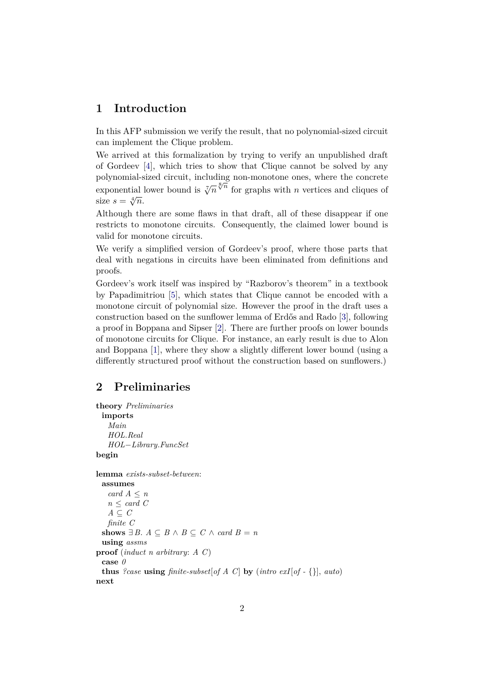# <span id="page-1-0"></span>**1 Introduction**

In this AFP submission we verify the result, that no polynomial-sized circuit can implement the Clique problem.

We arrived at this formalization by trying to verify an unpublished draft of Gordeev [\[4\]](#page-59-0), which tries to show that Clique cannot be solved by any polynomial-sized circuit, including non-monotone ones, where the concrete polynomial sized circuit, including non-monotone ones, where the concrete exponential lower bound is  $\sqrt[7]{n} \sqrt[8]{\pi}$  for graphs with *n* vertices and cliques of exponential.<br>size  $s = \sqrt[4]{n}$ .

Although there are some flaws in that draft, all of these disappear if one restricts to monotone circuits. Consequently, the claimed lower bound is valid for monotone circuits.

We verify a simplified version of Gordeev's proof, where those parts that deal with negations in circuits have been eliminated from definitions and proofs.

Gordeev's work itself was inspired by "Razborov's theorem" in a textbook by Papadimitriou [\[5\]](#page-59-1), which states that Clique cannot be encoded with a monotone circuit of polynomial size. However the proof in the draft uses a construction based on the sunflower lemma of Erdős and Rado [\[3\]](#page-59-2), following a proof in Boppana and Sipser [\[2\]](#page-59-3). There are further proofs on lower bounds of monotone circuits for Clique. For instance, an early result is due to Alon and Boppana [\[1\]](#page-59-4), where they show a slightly different lower bound (using a differently structured proof without the construction based on sunflowers.)

# <span id="page-1-1"></span>**2 Preliminaries**

```
theory Preliminaries
  imports
    Main
    HOL.Real
    HOL−Library.FuncSet
begin
lemma exists-subset-between:
  assumes
    card A ≤ n
    n \leq \text{card } CA \subseteq Cfinite C
  shows ∃ B. A \subseteq B \land B \subseteq C \land card B = nusing assms
proof (induct n arbitrary: A C)
  case 0
  thus ?case using \text{finite-subset}[\text{of } A \text{ } C] by (\text{intro } \text{exI}[\text{of } - \{\}], \text{auto})next
```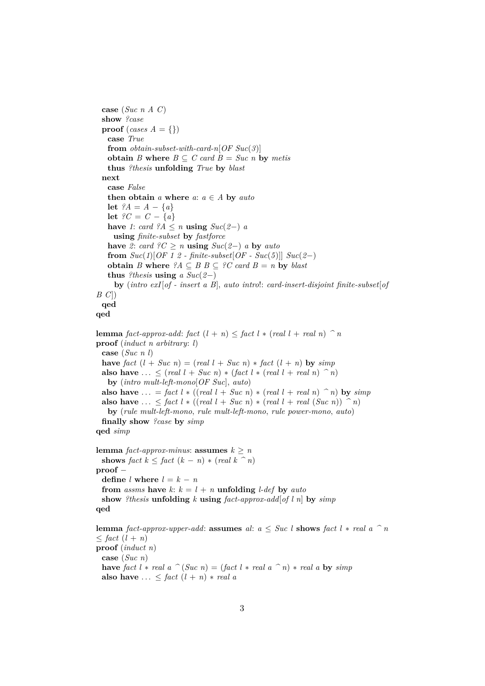```
case (Suc n A C)
 show ?case
 proof (cases A = {})
   case True
   from obtain-subset-with-card-n[OF Suc(3)]
   obtain B where B \subseteq C card B = Suc n by metis
   thus ?thesis unfolding True by blast
 next
   case False
   then obtain a where a: a \in A by autolet ?A = A - \{a\}let ?C = C - \{a\}have 1: card ?A ≤ n using Suc(2-) ausing finite-subset by fastforce
   have 2: card ?C \ge n using Suc(2-) a by auto
   from Suc(1)[OF 1 2 - finite-subset[OF - Suc(5)]] Suc(2-)obtain B where ?A \subseteq B B \subseteq ?C card B = n by blast
   thus ?thesis using a Suc(2-)by (intro exI[of - insert a B], auto intro!: card-insert-disjoint finite-subset[of
B C])
 qed
qed
lemma fact-approx-add: fact (l + n) \leq fact l * (real l + real n) \hat{\ } nproof (induct n arbitrary: l)
 case (Suc n l)
 have \intfact (l + Suc \ n) = (\text{real } l + Suc \ n) * \text{fact } (l + n) by \text{sim } palso have ... < (\text{real } l + \text{Suc } n) * (\text{fact } l * (\text{real } l + \text{real } n) ) \cap n)by (intro mult-left-mono[OF Suc], auto)
 also have ... = fact l * ((real l + Suc n) * (real l + real n) \hat{f} h) by simp
 also have \ldots \le fact l * ((real l + Suc n) * (real l + real (Suc n)) \hat{i} n)
   by (rule mult-left-mono, rule mult-left-mono, rule power-mono, auto)
 finally show ?case by simp
qed simp
lemma fact-approx-minus: assumes k > nshows fact k \leq fact (k - n) * (real k \n\hat{=} n)proof −
 define l where l = k - nfrom assms have k: k = l + n unfolding l-def by auto
 show ?thesis unfolding k using fact-approx-add[of l n] by simp
qed
lemma fact-approx-upper-add: assumes al: a \leq Suc l shows fact l * real a \hat{a} n
\leq fact (l + n)proof (induct n)
 case (Suc n)
 have fact l * real a \hat{ } (Suc n) = (fact l * real a \hat{ }n) * real a by simp
```

```
also have ... \leq fact (l + n) * real a
```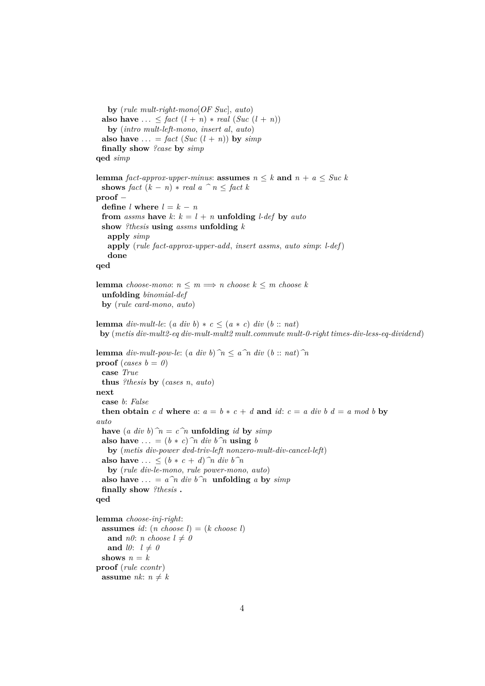**by** (*rule mult-right-mono*[*OF Suc*], *auto*) also have  $\ldots \leq$  *fact*  $(l + n) * real (Suc (l + n))$ **by** (*intro mult-left-mono*, *insert al*, *auto*) also have  $\ldots = \text{fact } (\textit{Suc } (l + n))$  by  $\textit{simp}$ **finally show** *?case* **by** *simp* **qed** *simp* **lemma** *fact-approx-upper-minus*: **assumes**  $n \leq k$  **and**  $n + a \leq S$ uc k **shows** *fact*  $(k - n) * real a$   $\hat{ } n \leq fact k$ **proof** − **define**  $l$  **where**  $l = k - n$ **from** *assms* **have**  $k: k = l + n$  **unfolding** *l-def* **by** *auto* **show** *?thesis* **using** *assms* **unfolding** *k* **apply** *simp* **apply** (*rule fact-approx-upper-add*, *insert assms*, *auto simp*: *l-def*) **done qed lemma** *choose-mono*:  $n \leq m \implies n$  *choose*  $k \leq m$  *choose*  $k$ **unfolding** *binomial-def* **by** (*rule card-mono*, *auto*) **lemma** *div-mult-le*:  $(a \ div b) * c \leq (a * c) \ div (b :: nat)$ **by** (*metis div-mult2-eq div-mult-mult2 mult*.*commute mult-0-right times-div-less-eq-dividend*) **lemma** *div-mult-pow-le*:  $(a \ div b)^{\frown} n \leq a \hat{n} \ div (b :: n a t) \hat{n}$ **proof** (*cases*  $b = 0$ ) **case** *True* **thus** *?thesis* **by** (*cases n*, *auto*) **next case** *b*: *False* **then obtain** *c d* **where** *a*:  $a = b * c + d$  **and**  $id$ :  $c = a$  *div b d* = *a mod b* **by** *auto* **have**  $(a \text{ div } b)$   $\hat{n} = c \hat{n}$  **unfolding** *id* **by** *simp* **also have** ... =  $(b * c)$   $\hat{n}$  div  $b \hat{n}$  **using** *b* **by** (*metis div-power dvd-triv-left nonzero-mult-div-cancel-left*) **also have** ...  $\leq (b * c + d)$   $\hat{n}$  div  $b \hat{n}$ **by** (*rule div-le-mono*, *rule power-mono*, *auto*) also have  $\ldots = a^n \hat{n} \, div \, b^n \, \text{unfolding} \, a$  by  $\text{simp}$ **finally show** *?thesis* **. qed lemma** *choose-inj-right*: **assumes** *id*:  $(n \text{ choose } l) = (k \text{ choose } l)$ and *n0*: *n* choose  $l \neq 0$ and *l0*:  $l \neq 0$ shows  $n = k$ **proof** (*rule ccontr*) **assume**  $nk: n \neq k$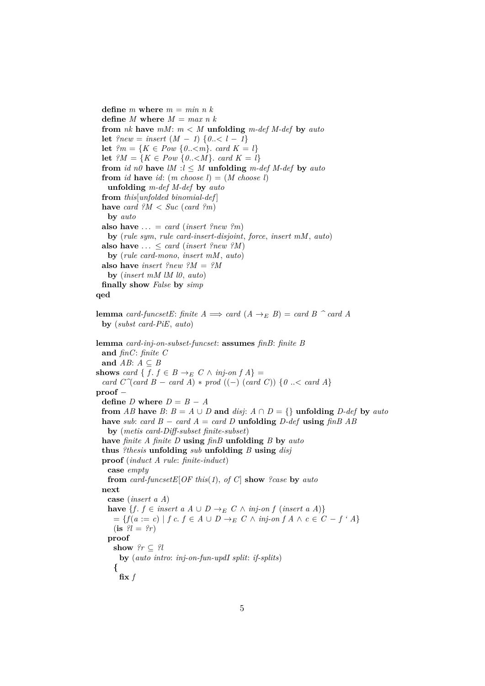**define** *m* **where**  $m = min n k$ **define** *M* where  $M = max n k$ **from** *nk* **have** *mM*: *m* < *M* **unfolding** *m-def M-def* **by** *auto* **let**  $\text{?new} = \text{insert} (M - 1) \{0. < l - 1\}$ **let**  $?m = \{K \in Pow \{0, \leq m\} \text{ and } K = l\}$ **let**  ${}^{\circ}M = \{K \in Pow \{0..< M\} \text{ and } K = l\}$ **from** *id*  $n\theta$  **have**  $lM : l \leq M$  **unfolding**  $m$ -def  $M$ -def by auto **from** *id* **have** *id*:  $(m \text{ choose } l) = (M \text{ choose } l)$ **unfolding** *m-def M-def* **by** *auto* **from** *this*[*unfolded binomial-def* ] **have** *card*  $?M < Suc$  (*card*  $?m$ ) **by** *auto* also have  $\ldots = \text{card}$  (*insert ?new ?m*) **by** (*rule sym*, *rule card-insert-disjoint*, *force*, *insert mM*, *auto*) **also have**  $\ldots \leq \text{card}$  (*insert ?new ?M*) **by** (*rule card-mono*, *insert mM*, *auto*) **also have** *insert ?new ?M* = *?M* **by** (*insert mM lM l0*, *auto*) **finally show** *False* **by** *simp* **qed lemma** *card-funcsetE*: *finite*  $A \implies \text{card}(A \rightarrow_E B) = \text{card } B \land \text{card } A$ **by** (*subst card-PiE*, *auto*) **lemma** *card-inj-on-subset-funcset*: **assumes** *finB*: *finite B* **and** *finC*: *finite C* and  $AB: A \subseteq B$ **shows** *card* {  $f \colon f \in B \to_E C \land inj-on f A$ } = *card*  $C^{\gamma}$ *card*  $B - \text{card } A$ ) \* *prod* ((−) (*card*  $C$ )) { $0 \leq \text{card } A$ } **proof** − **define**  $D$  **where**  $D = B - A$ **from** *AB* **have** *B*:  $B = A \cup D$  **and** *disj*:  $A \cap D = \{ \}$  **unfolding** *D-def* **by** *auto* **have** *sub*: *card*  $B - \text{card } A = \text{card } D$  **unfolding**  $D$ -def **using**  $\text{fin}B \text{ } AB$ **by** (*metis card-Diff-subset finite-subset*) **have** *finite A finite D* **using** *finB* **unfolding** *B* **by** *auto* **thus** *?thesis* **unfolding** *sub* **unfolding** *B* **using** *disj* **proof** (*induct A rule*: *finite-induct*) **case** *empty* **from** *card-funcsetE*[*OF this*(*1*), *of C*] **show** *?case* **by** *auto* **next case** (*insert a A*) **have**  ${f \colon f \in \text{insert } a \land ∪ D \rightarrow_{E} C \land \text{inj-on } f \text{ (insert } a \land)}$  $= \{f(a := c) | f c. f ∈ A ∪ D →_{E} C ∧ inj-on f A ∧ c ∈ C - f' A\}$  $(i \textbf{s} \ \textit{?} l = \textit{?} r)$ **proof**  $\mathbf{show}$   $?r \subset ?l$ **by** (*auto intro*: *inj-on-fun-updI split*: *if-splits*) **{ fix** *f*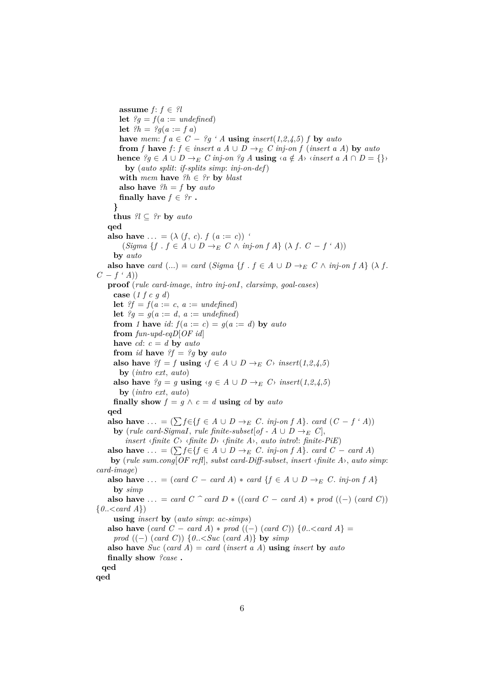**assume**  $f: f \in \mathcal{U}$ **let**  $?g = f(a := undefined)$ **let**  $?h = ?g(a := f a)$ **have** *mem*:  $f \circ a \in C - ?g$  *' A* **using** *insert*(1,2,4,5) *f* **by** *auto* **from** *f* **have** *f*: *f* ∈ *insert a A*  $\cup$  *D*  $\rightarrow$ <sub>E</sub> *C inj-on f* (*insert a A*) **by** *auto* **hence**  $?g \in A \cup D \rightarrow_{E} C$  *inj-on*  $?g A$  **using**  $\langle a \notin A \rangle$   $\langle insert\ a\ A \cap D = \{\} \rangle$ **by** (*auto split*: *if-splits simp*: *inj-on-def*) **with** *mem* **have**  $?h \in ?r$  **by** *blast* **also have**  $?h = f$  **by** *auto* **finally have**  $f \in \mathcal{C}_r$ . **} thus**  $?l \subseteq ?r$  **by** auto **qed also have** ... =  $(\lambda(f, c), f(a := c))$  *'*  $(Sigma \{f : f \in A \cup D \rightarrow_E C \land inj-on \{f A\} (\lambda f : C - f \cdot A))$ **by** *auto* **also have** *card* (...) = *card* (*Sigma* {*f* . *f* ∈ *A* ∪ *D* →  $E$  *C* ∧ *inj-on f A*} ( $\lambda$  *f*. *C* − *f ' A*)) **proof** (*rule card-image*, *intro inj-onI*, *clarsimp*, *goal-cases*) **case** (*1 f c g d*) **let**  $?f = f(a := c, a := undefined)$ **let**  $?g = g(a := d, a := undefined)$ **from** *1* **have** *id*:  $f(a := c) = g(a := d)$  **by** *auto* **from** *fun-upd-eqD*[*OF id*] **have** *cd*:  $c = d$  **by** *auto* **from** *id* **have**  $?f = ?g$  **by** *auto* **also have**  $?f = f$  **using**  $\langle f \in A \cup D \rightarrow_{E} C \rangle$  *insert*(1,2,4,5) **by** (*intro ext*, *auto*) **also have**  $?g = g$  **using**  $\langle g \in A \cup D \rightarrow_E C \rangle$  *insert*(1,2,4,5) **by** (*intro ext*, *auto*) **finally show**  $f = g \land c = d$  **using** *cd* **by** *auto* **qed also have** ... =  $(\sum f \in \{f \in A \cup D \to_E C \text{. } inj\text{-}on f A\}$ . *card*  $(C - f \cdot A)$ ) **by** (*rule card-SigmaI*, *rule finite-subset*[ $of - A \cup D \rightarrow_E C$ ], *insert* ‹*finite C*› ‹*finite D*› ‹*finite A*›, *auto intro*!: *finite-PiE*) **also have**  $\dots = (\sum f \in \{f \in A \cup D \rightarrow_{E} C \times m\} - f A\}$ . *card*  $C - \text{card } A$ ) **by** (*rule sum*.*cong*[*OF refl*], *subst card-Diff-subset*, *insert* ‹*finite A*›, *auto simp*: *card-image*) **also have** ... = (*card C* – *card A*)  $*$  *card* {*f*  $\in$  *A*  $\cup$  *D*  $\rightarrow$  *E C*. *inj-on f A*} **by** *simp* **also have** ... = *card C*  $\hat{C}$  *card D*  $*$  ((*card C* − *card A*)  $*$  *prod* ((−) (*card C*)) {*0*..<*card A*}) **using** *insert* **by** (*auto simp*: *ac-simps*) **also have**  $(\text{card } C - \text{card } A) * \text{prod } ((-) (\text{card } C)) \{0 \dots \leq \text{card } A\}$ *prod* ((−) (*card C*)) {*0*..<*Suc* (*card A*)} **by** *simp* **also have** *Suc* (*card A*) = *card* (*insert a A*) **using** *insert* **by** *auto* **finally show** *?case* **. qed qed**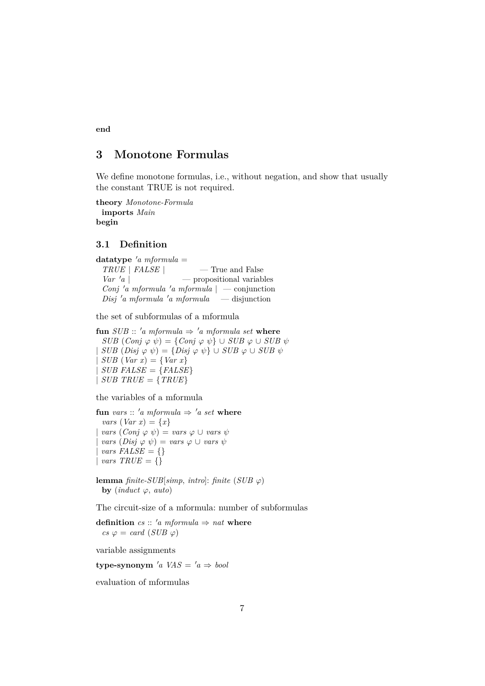**end**

# <span id="page-6-0"></span>**3 Monotone Formulas**

We define monotone formulas, i.e., without negation, and show that usually the constant TRUE is not required.

**theory** *Monotone-Formula* **imports** *Main* **begin**

# <span id="page-6-1"></span>**3.1 Definition**

 $datatype$  'a mformula = *TRUE* | *FALSE* | — True and False  $Var' a$  | — propositional variables *Conj* 'a mformula 'a mformula  $|$  — conjunction  $Disj' a mformula' a mformula \t -disjunction$ 

the set of subformulas of a mformula

**fun** *SUB* :: 'a mformula  $\Rightarrow$  'a mformula set where  $SUB (Conj \varphi \psi) = \{Conj \varphi \psi\} \cup SUB \varphi \cup SUB \psi$  $SUB \ (Disj \ \varphi \ \psi) = \{ Disj \ \varphi \ \psi \} \cup SUB \ \varphi \cup SUB \ \psi$  $SUB (Var x) = \{Var x\}$  $SUB$   $FALSE = {FALSE}$  $\left| \textit{SUB TRUE} \right| = \left\{ \textit{TRUE} \right\}$ 

the variables of a mformula

```
fun vars :: 'a mformula \Rightarrow 'a set where
  vars (Var x) = \{x\}vars (Conj \varphi \psi) = vars \varphi \cup vars \psivars \ (Disj \ \varphi \ \psi) = vars \ \varphi \ \cup vars \ \psivars FALSE = {}
| vars TRUE = \{\}
```
**lemma** *finite-SUB*[*simp*, *intro*]: *finite* (*SUB*  $\varphi$ ) **by** (*induct*  $\varphi$ , *auto*)

The circuit-size of a mformula: number of subformulas

**definition**  $cs :: 'a$  mformula  $\Rightarrow$  nat where  $cs \varphi = \text{card}(SUB \varphi)$ 

variable assignments

**type-synonym** 'a VAS =  $'a \Rightarrow bool$ 

evaluation of mformulas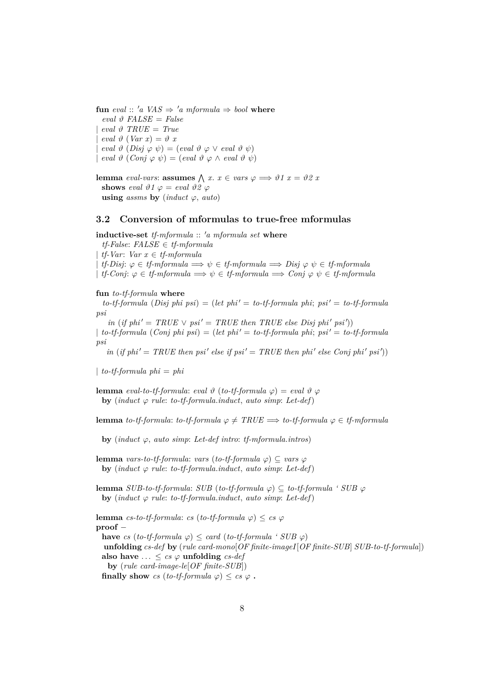**fun** eval ::  $'a \text{ } VAS \Rightarrow 'a \text{ } mformula \Rightarrow bool \text{ } where$  $eval \theta$   $FALSE = False$  $eval \theta \ \ \text{TRUE} = \ \text{True}$  $eval \vartheta (Var x) = \vartheta x$  $eval \vartheta (Disj \varphi \psi) = (eval \vartheta \varphi \vee eval \vartheta \psi)$  $\text{eval } \vartheta \text{ (Conj } \varphi \psi) = (\text{eval } \vartheta \varphi \wedge \text{eval } \vartheta \psi)$ 

**lemma** *eval-vars*: **assumes**  $\bigwedge x$ .  $x \in vars \varphi \Longrightarrow \vartheta 1$   $x = \vartheta 2$  *x* **shows** eval  $\vartheta$ 1  $\varphi$  = eval  $\vartheta$ 2  $\varphi$ **using** *assms* **by** (*induct*  $\varphi$ , *auto*)

## <span id="page-7-0"></span>**3.2 Conversion of mformulas to true-free mformulas**

**inductive-set** *tf-mformula* :: 'a mformula set where

*tf-False*: *FALSE* ∈ *tf-mformula* | *tf-Var*: *Var x* ∈ *tf-mformula*  $tf\text{-}Disj: \varphi \in tf\text{-}mformula \Longrightarrow \psi \in tf\text{-}mformula \Longrightarrow Disj \varphi \psi \in tf\text{-}mformula$  $\mid$  *tf-Conj*:  $\varphi \in$  *tf-mformula*  $\implies \psi \in$  *tf-mformula*  $\implies$  *Conj*  $\varphi \psi \in$  *tf-mformula* 

#### **fun** *to-tf-formula* **where**

 $to$ -tf-formula  $(Disj phi psi) = (let phi' = to$ -tf-formula phi;  $psi' = to$ -tf-formula *psi*

 $in (if phi' = TRUE \vee psi' = TRUE then TRUE else Disj phi' psi')$  $\int$  *to-tf-formula* (*Conj phi psi*) = (*let phi'* = *to-tf-formula phi*; *psi'* = *to-tf-formula* 

 $\int$ *in* (*if phi*' = *TRUE* then psi<sup>'</sup> else if psi' = *TRUE* then phi<sup>'</sup> else Conj phi<sup>'</sup> psi')

| *to-tf-formula phi* = *phi*

*psi*

**lemma** *eval-to-tf-formula*: *eval*  $\vartheta$  (*to-tf-formula*  $\varphi$ ) = *eval*  $\vartheta$   $\varphi$ **by** (*induct*  $\varphi$  *rule: to-tf-formula.induct, auto simp: Let-def*)

**lemma** *to-tf-formula*: *to-tf-formula*  $\varphi \neq TRUE \implies$  *to-tf-formula*  $\varphi \in tf\text{-}mformula$ 

**by** (*induct*  $\varphi$ , *auto simp*: *Let-def intro: tf-mformula.intros*)

**lemma** *vars-to-tf-formula*: *vars* (*to-tf-formula*  $\varphi$ )  $\subseteq$  *vars*  $\varphi$ **by** (*induct*  $\varphi$  *rule: to-tf-formula.induct. auto simp: Let-def*)

**lemma** *SUB-to-tf-formula: SUB* (*to-tf-formula*  $\varphi$ ) ⊆ *to-tf-formula* ' *SUB*  $\varphi$ **by** (*induct*  $\varphi$  *rule: to-tf-formula.induct, auto simp: Let-def*)

**lemma** *cs-to-tf-formula*: *cs* (*to-tf-formula*  $\varphi$ ) < *cs*  $\varphi$ **proof** − **have** *cs* (*to-tf-formula*  $\varphi$ )  $\leq$  *card* (*to-tf-formula* ' *SUB*  $\varphi$ ) **unfolding** *cs-def* **by** (*rule card-mono*[*OF finite-imageI*[*OF finite-SUB*] *SUB-to-tf-formula*]) also have  $\ldots \leq cs \varphi$  **unfolding**  $cs\text{-}def$ **by** (*rule card-image-le*[*OF finite-SUB*]) **finally show** *cs* (*to-tf-formula*  $\varphi$ ) < *cs*  $\varphi$ .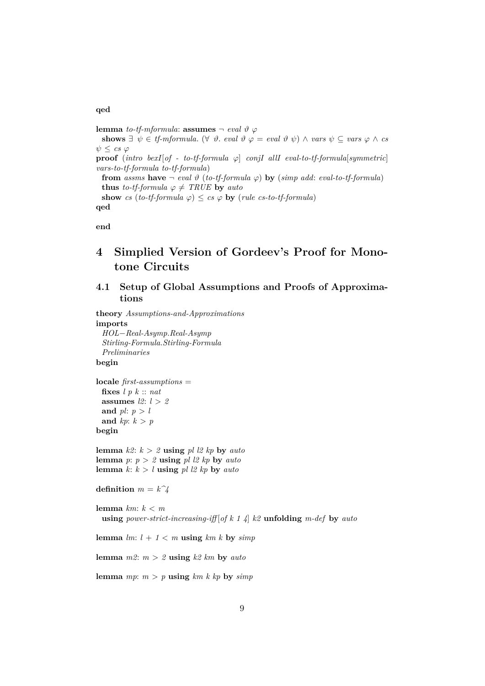#### **qed**

**lemma** *to-tf-mformula*: **assumes**  $\neg$  *eval*  $\vartheta$   $\varphi$ shows  $\exists \psi \in \text{tf{\text{-}mformula.}} \; (\forall \ \vartheta \text{.\ } eval \; \vartheta \varphi = \text{eval} \; \vartheta \; \psi) \land \text{vars} \; \psi \subseteq \text{vars} \; \varphi \land \text{cs}$  $\psi < c s \varphi$ **proof** (*intro bexI*[*of - to-tf-formula*  $\varphi$ ] *conjI allI eval-to-tf-formula*[*symmetric*] *vars-to-tf-formula to-tf-formula*) **from** *assms* **have**  $\neg$  *eval*  $\vartheta$  (*to-tf-formula*  $\varphi$ ) **by** (*simp add: eval-to-tf-formula*) **thus** *to-tf-formula*  $\varphi \neq \text{TRUE}$  **by** *auto* **show** *cs* (*to-tf-formula*  $\varphi$ )  $\leq$  *cs*  $\varphi$  **by** (*rule cs-to-tf-formula*) **qed**

**end**

# <span id="page-8-0"></span>**4 Simplied Version of Gordeev's Proof for Monotone Circuits**

# <span id="page-8-1"></span>**4.1 Setup of Global Assumptions and Proofs of Approximations**

**theory** *Assumptions-and-Approximations* **imports** *HOL*−*Real-Asymp*.*Real-Asymp Stirling-Formula*.*Stirling-Formula Preliminaries*

**begin**

**locale** *first-assumptions* = **fixes** *l p k* :: *nat* **assumes** *l2*: *l* > *2* and  $pl: p > l$ and  $kp: k > p$ **begin**

**lemma**  $k2$ :  $k > 2$  **using**  $pl$   $l2$   $kp$  **by**  $auto$ **lemma** *p*:  $p > 2$  **using** *pl l2 kp* **by** *auto* **lemma**  $k: k > l$  **using**  $pl \, \textit{l2 kp}$  **by**  $\textit{auto}$ 

**definition**  $m = k\hat{ }4$ 

```
lemma km: k < m
 using power-strict-increasing-iff [of k 1 4] k2 unfolding m-def by auto
```
**lemma**  $lm: l + 1 < m$  **using**  $km k$  **by**  $simp$ 

**lemma**  $m2$ :  $m > 2$  **using**  $k2$  km by *auto* 

**lemma**  $mp: m > p$  **using**  $km k k p$  **by**  $sim p$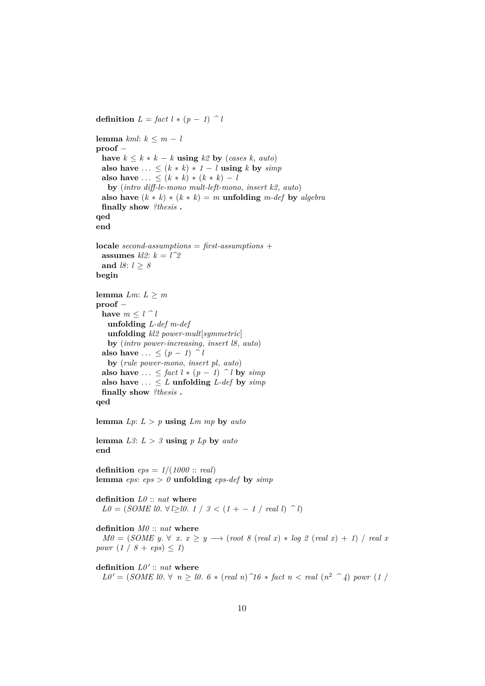**definition**  $L = \text{fact } l * (p - 1)$   $\cap$  *l* **lemma** *kml*: *k* ≤ *m* − *l* **proof** − **have**  $k \leq k * k - k$  **using**  $k2$  **by** (*cases k, auto*) also have  $\ldots \leq (k * k) * 1 - l$  **using**  $k$  by  $\text{simp}$ **also have** ... <  $(k * k) * (k * k) - l$ **by** (*intro diff-le-mono mult-left-mono*, *insert k2*, *auto*) **also have**  $(k * k) * (k * k) = m$  **unfolding**  $m$ -def **by** *algebra* **finally show** *?thesis* **. qed end locale** *second-assumptions* = *first-assumptions* + **assumes**  $kl2$ :  $k = l^22$ **and** *l8*: *l* ≥ *8* **begin lemma**  $Lm: L \geq m$ **proof** − **have**  $m \leq l \cap l$ **unfolding** *L-def m-def* **unfolding** *kl2 power-mult*[*symmetric*] **by** (*intro power-increasing*, *insert l8*, *auto*) also have  $\ldots \leq (p-1)$   $\uparrow$  *l* **by** (*rule power-mono*, *insert pl*, *auto*) **also have** ... < *fact*  $l * (p - 1)$  ^ *l* **by**  $simp$ also have  $\ldots \leq L$  **unfolding** *L-def* by *simp* **finally show** *?thesis* **. qed lemma**  $Lp: L > p$  **using**  $Lm$   $mp$  **by**  $auto$ **lemma**  $L3: L > 3$  **using**  $p$   $Lp$  **by**  $auto$ **end definition** *eps* = *1*/(*1000* :: *real*) **lemma**  $eps:eps > 0$  **unfolding**  $eps\text{-}def$  **by**  $simp$ **definition** *L0* :: *nat* **where**  $L0 = (SOME \cup V \geq 10. \ 1 \ / \ 3 \lt (1 + -1 \ / \ real \ l) \ ^{2}$ **definition** *M0* :: *nat* **where**  $M0 = (SOME y. \forall x. x \geq y \rightarrow (root 8 (real x) * log 2 (real x) + 1) / real x$ *powr*  $(1 / 8 + eps) \le 1$ definition  $L0' :: nat$  where  $L0' = (SOME \ 10. \ \forall \ n \geq 10. \ 6 * (real \ n) \ \hat{\;} 16 * fact \ n < real \ (n^2 \ \hat{\;} 4) \ pour \ (1)$ 

10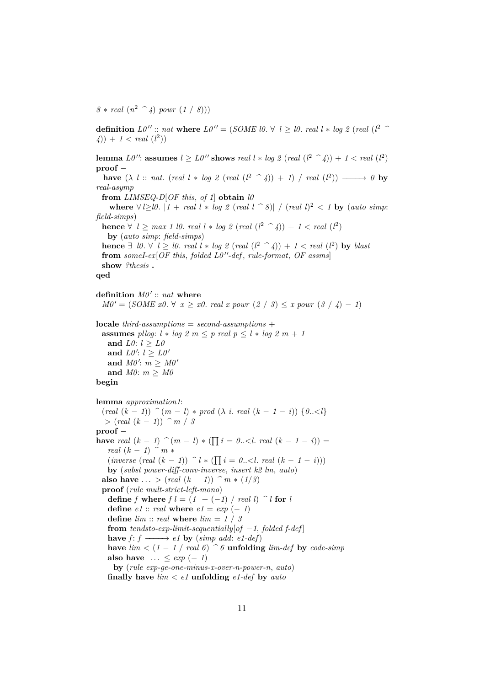$8 * real (n^2 \text{ }^{\sim} 4) power (1 / 8))$ 

**definition** *L0* <sup>00</sup> :: *nat* **where** *L0* <sup>00</sup> = (*SOME l0*. ∀ *l* ≥ *l0*. *real l* ∗ *log 2* (*real* (*l* <sup>2</sup> *^*  $(4)$  + 1 < *real*  $(l^2)$ 

**lemma**  $L0''$ : **assumes**  $l \ge L0''$  shows *real*  $l * log 2$  (*real*  $(l^2 \rceil 4) + 1 < real$   $(l^2)$ **proof** −

**have**  $(\lambda \, l \ :: \ nat \ (real \ l \ * \ log \ 2 \ (real \ (l^2 \ \ \widehat{\phantom{a}}\ A)) + 1) / \ real \ (l^2)) \longrightarrow 0$  by *real-asymp*

**from** *LIMSEQ-D*[*OF this*, *of 1*] **obtain** *l0*

**where** ∀  $l \geq l0$ .  $|1 + real \, l * \, log \, 2 \, (real \, l \, ^\frown \, 8)| / (real \, l)^2 < 1$  **by** (*auto simp*: *field-simps*)

**hence**  $\forall$  *l* ≥ *max* 1 *l0*. *real l*  $*$  *log* 2 (*real* ( $l^2$   $\hat{\ }$  4)) + 1 < *real* ( $l^2$ ) **by** (*auto simp*: *field-simps*) **hence**  $\exists$  *l0*.  $\forall$  *l*  $\geq$  *l0*. *real l*  $*$  *log 2* (*real* (*l*<sup>2</sup>  $\land$  *4*)) + *1* < *real* (*l*<sup>2</sup>) **by** *blast* **from** someI-ex $[OF this, folded L0''-def, rule-format, OF assumes]$ **show** *?thesis* **.**

**qed**

definition  $M0' :: nat$  where

 $M0' = (SOME \ x0. \ \forall \ x \geq x0. \ real \ x \ power \ (2 \ / \ 3) \leq x \ power \ (3 \ / \ 4) - 1)$ 

**locale** *third-assumptions* = *second-assumptions* + **assumes** *pllog*:  $l * log 2 m \leq p$  *real*  $p \leq l * log 2 m + 1$ and *L0*:  $l \geq L0$ and  $L0': l \geq L0'$ and  $M0'$ :  $m \geq M0'$ **and** *M0*: *m* ≥ *M0*

```
begin
```

```
lemma approximation1:
  (\text{real } (k-1)) \hat{(m-1)} * \text{prod } (\lambda \text{ i. real } (k-1-i)) \{0..\leq l\}> (real (k − 1)) ^ m / 3
proof −
have real (k - 1) \hat{} (m - l) * (\prod_{i=1}^{n} i = 0 \dots \leq l. real (k - 1 - i) =real (k - 1) \hat{m} *
    (i \text{inverse} \ ( \text{real} \ (k-1) ) \ \hat{\ } \ l \ast (\prod_{i=1}^{k} i = 0 \ldots \leq l \ \text{real} \ (k-1-i)) )by (subst power-diff-conv-inverse, insert k2 lm, auto)
  also have ... > (real (k - 1)) \hat{m} * (1/3)
  proof (rule mult-strict-left-mono)
   define f where f l = (1 + (-1) / real l) \hat{\ } l for ldefine e1 :: real where e1 = exp(-1)define \lim :: real where \lim = 1 / 3
   from tendsto-exp-limit-sequentially[of -1, folded f-def]
   have f: f \longrightarrow e1 by (simp add: e1-def)
   have \lim_{n \to \infty} (1 − 1 / real 6) \hat{\theta} unfolding \lim_{n \to \infty} def by code-simp
   also have \ldots \leq exp(-1)by (rule exp-ge-one-minus-x-over-n-power-n, auto)
   finally have lim < e1 unfolding e1-def by auto
```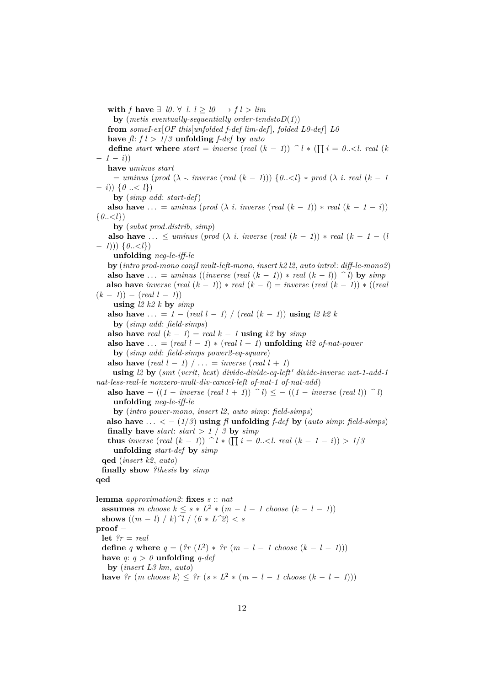**with** *f* **have** ∃ *l0*. ∀ *l*.  $l \geq l0$  →  $f l > lim$ **by** (*metis eventually-sequentially order-tendstoD*(*1*)) **from** *someI-ex*[*OF this*[*unfolded f-def lim-def* ], *folded L0-def* ] *L0* have  $f: f \geq 1/3$  **unfolding** *f-def* by *auto* **define** *start* **where** *start* = *inverse* (*real* ( $k - 1$ )) ^ *l* \* ( $\prod i = 0... *real* ( $k$ )$  $-1-i)$ **have** *uminus start*  $=$  *uminus* (*prod* ( $\lambda$  - *inverse* (*real* ( $k - 1$ ))) { $0 \ldots \lt l$ } \* *prod* ( $\lambda$  *i*. *real* ( $k - 1$ ) − *i*)) {*0* ..< *l*}) **by** (*simp add*: *start-def*) **also have** ... = *uminus* (*prod* ( $\lambda$  *i*. *inverse* (*real* ( $k - 1$ )) \* *real* ( $k - 1 - i$ ))  $\{0..\langle l \}\}$ **by** (*subst prod*.*distrib*, *simp*) **also have** ...  $\leq$  *uminus* (*prod* ( $\lambda$  *i*. *inverse* (*real* ( $k - 1$ )) \* *real* ( $k - 1 - 1$ ) − *1*))) {*0*..<*l*}) **unfolding** *neg-le-iff-le* **by** (*intro prod-mono conjI mult-left-mono*, *insert k2 l2*, *auto intro*!: *diff-le-mono2*) **also have** ... = *uminus* ((*inverse* (*real*  $(k - 1)$ ) \* *real*  $(k - 1)$ )  $\hat{i}$  by *simp* **also have** *inverse* (*real*  $(k - 1)$ )  $*$  *real*  $(k - 1)$  = *inverse* (*real*  $(k - 1)$ )  $*$  ((*real*)  $(k - 1)$ ) –  $(\text{real } l - 1)$ ) **using** *l2 k2 k* **by** *simp* **also have** ... =  $1 - (real \; l - 1) / (real \; (k - 1))$  **using**  $l2 \; k2 \; k$ **by** (*simp add*: *field-simps*) **also have** *real*  $(k - 1) =$  *real*  $k - 1$  **using**  $k2$  **by** *simp* **also have**  $\ldots$  = (*real l* − *1*)  $\ast$  (*real l* + *1*) **unfolding** *kl2 of-nat-power* **by** (*simp add*: *field-simps power2-eq-square*) **also have** (*real*  $l - 1$ )  $\ldots$  = *inverse* (*real*  $l + 1$ ) **using**  $l2$  **by** (*smt* (*verit, best*) *divide-divide-eq-left' divide-inverse nat-1-add-1 nat-less-real-le nonzero-mult-div-cancel-left of-nat-1 of-nat-add*) **also have**  $-((1 - \text{inverse} (\text{real } l + 1)) \cap l) \le -(1 - \text{inverse} (\text{real } l)) \cap l$ **unfolding** *neg-le-iff-le* **by** (*intro power-mono*, *insert l2*, *auto simp*: *field-simps*) also have  $\dots < - (1/3)$  using  $\beta$  unfolding  $f$ -def by (auto simp: field-simps) **finally have** *start*: *start* >  $1 / 3$  **by** *simp* **thus** inverse  $(\text{real } (k-1))$   $\hat{d} * (\prod_{i=1}^{k} i = 0 \dots \leq l \text{ real } (k-1-i) > 1/5$ **unfolding** *start-def* **by** *simp* **qed** (*insert k2*, *auto*) **finally show** *?thesis* **by** *simp* **qed lemma** *approximation2*: **fixes** *s* :: *nat* **assumes** *m* choose  $k \leq s * L^2 * (m - l - 1 \text{ choose } (k - l - 1))$ **shows**  $((m - l) / k)$   $\gamma / (6 * L^2) < s$ **proof** − **let** *?r* = *real* **define** *q* **where**  $q = (\frac{2r}{L^2}) * \frac{2r}{L} (m - l - 1)$  *choose*  $(k - l - 1)$ **have**  $q: q > 0$  **unfolding**  $q$ -def **by** (*insert L3 km*, *auto*) **have**  $?r$  (*m* choose  $k$ ) ≤  $?r$  ( $s$  ∗  $L^2$  ∗ ( $m - l - 1$  choose ( $k - l - 1$ )))

12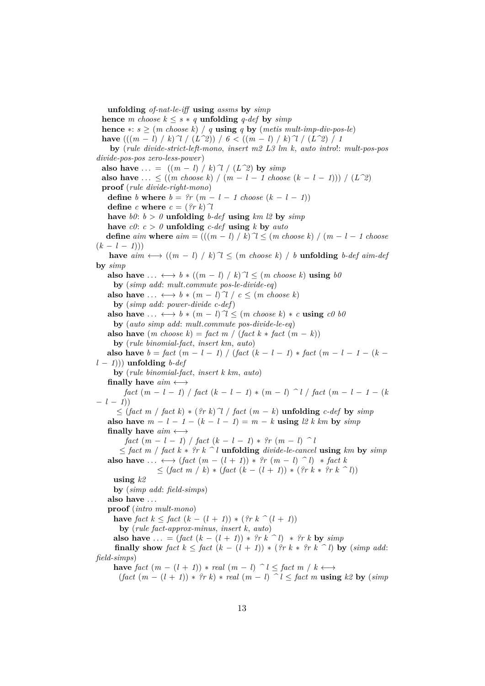**unfolding** *of-nat-le-iff* **using** *assms* **by** *simp* **hence** *m* choose  $k \leq s * q$  **unfolding** *q-def* **by** *simp* **hence**  $* : s \geq (m \text{ choose } k) / q \text{ using } q \text{ by } (m \text{ et } i \text{ s } mult\text{-}imp\text{-}div\text{-}pos\text{-}le)$ **have**  $((m - l) / k)$ <sup>2</sup> /  $(L^22)$ ) /  $6 < ((m - l) / k)$ <sup>2</sup> /  $(L^22) / 1$ **by** (*rule divide-strict-left-mono*, *insert m2 L3 lm k*, *auto intro*!: *mult-pos-pos divide-pos-pos zero-less-power*) also have  $\ldots = ((m - l) / k) \gamma / (L \gamma)$  by  $\text{simp}$ **also have**  $\ldots$  < ((*m choose k*) / (*m* − *l* − *1 choose* (*k* − *l* − *1*))) / (*L*<sup> $\gamma$ </sup>)) **proof** (*rule divide-right-mono*) **define** *b* **where**  $b = ?r$  ( $m - l - 1$  choose ( $k - l - 1$ )) **define**  $c$  **where**  $c = (\frac{2}{r}k)\gamma$ have  $b0$ :  $b > 0$  **unfolding** *b-def* **using**  $km \, \textit{l2}$  **by**  $sim$ have  $c\theta$ :  $c > \theta$  **unfolding**  $c$ -def **using**  $k$  **by**  $auto$ **define**  $\dim$  **where**  $\dim = ((m - l) / k)$ <sup> $\uparrow$ </sup> $\uparrow$  ≤  $(m \text{ choose } k) / (m - l - 1 \text{ choose } k)$  $(k - l - 1)$ **have**  $\dim \longleftrightarrow ((m - l) / k)$ <sup> $\uparrow$ </sup>  $\uparrow$  ≤ (*m choose k*) / *b* **unfolding** *b-def aim-def* **by** *simp* **also have** ...  $\longleftrightarrow b * ((m - l) / k)$ <sup> $\uparrow$ </sup>  $\leq$   $(m \text{ choose } k)$  **using**  $b\theta$ **by** (*simp add*: *mult*.*commute pos-le-divide-eq*) **also have** ...  $\longleftrightarrow b * (m - l) \gamma / c \leq (m \text{ choose } k)$ **by** (*simp add*: *power-divide c-def*) **also have** ...  $\longleftrightarrow b * (m - l)$   $\gamma \leq (m \text{ choose } k) * c \text{ using } c \theta b \theta$ **by** (*auto simp add*: *mult*.*commute pos-divide-le-eq*) **also have**  $(m \text{ choose } k) = \text{fact } m / (\text{fact } k * \text{ fact } (m - k))$ **by** (*rule binomial-fact*, *insert km*, *auto*) **also have**  $b = \text{fact } (m - l - 1) / (\text{fact } (k - l - 1) * \text{ fact } (m - l - 1 - (k - 1))$ *l* − *1*))) **unfolding** *b-def* **by** (*rule binomial-fact*, *insert k km*, *auto*) **finally have** *aim* ←→ *fact*  $(m - l - 1)$  / *fact*  $(k - l - 1) * (m - l)$  *^ l* / *fact*  $(m - l - 1 - (k))$  $- l - 1)$ ≤ (*fact m* / *fact k*) ∗ (*?r k*)*^l* / *fact* (*m* − *k*) **unfolding** *c-def* **by** *simp* **also have**  $m - l - 1 - (k - l - 1) = m - k$  **using**  $l2 k km$  **by**  $simp$ **finally have** *aim* ←→ *fact*  $(m - l - 1) / \frac{fact(k - l - 1) * ?r(m - l)}{l}$ ≤ *fact m* / *fact k* ∗ *?r k ^ l* **unfolding** *divide-le-cancel* **using** *km* **by** *simp* also have  $\dots \leftrightarrow$  (*fact*  $(m - (l + 1)) * ?r (m - l) ^ n$ ) \* *fact* k ≤ (*fact m* / *k*) ∗ (*fact* (*k* − (*l* + *1*)) ∗ (*?r k* ∗ *?r k ^ l*)) **using** *k2* **by** (*simp add*: *field-simps*) **also have** . . . **proof** (*intro mult-mono*) **have** *fact*  $k \le$  *fact*  $(k - (l + 1))$   $\star$   $(?rk \n (l + 1))$ **by** (*rule fact-approx-minus*, *insert k*, *auto*) **also have** ... =  $(fact (k - (l + 1)) * ?rk ^ n) * ?rk$  **by**  $simp$ **finally show**  $\text{fact } k \leq \text{fact } (k - (l + 1)) * (\text{?r } k * \text{?r } k \cap l)$  by  $(\text{simp } add:$ *field-simps*) **have**  $\int$ *act*  $(m - (l + 1)) * \text{ real } (m - l) \cap l \leq \int$ *act*  $m / k \leftrightarrow$  $(fact(m - (l + 1)) * ?r k) * real(m - l) \leq fact m \text{ using } k2 \text{ by } (simp)$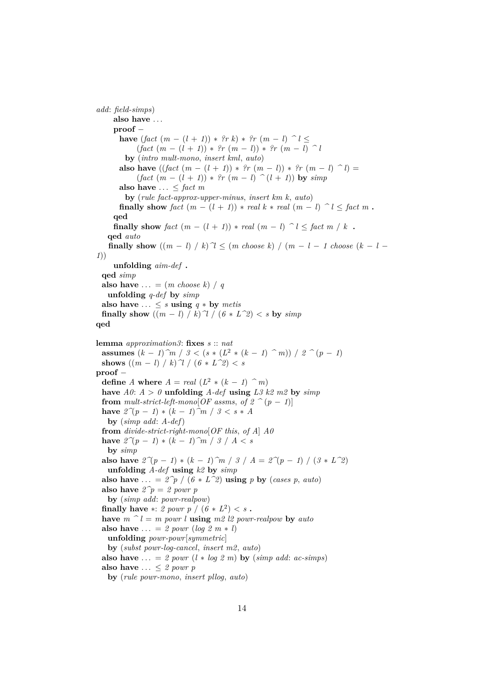```
add: field-simps)
     also have . . .
     proof −
       have (fact(m - (l + 1)) * ?r k) * ?r (m - l) ^l <(fact(m - (l + 1)) * ?r(m - l)) * ?r(m - l) )by (intro mult-mono, insert kml, auto)
       also have ((\text{fact } (m - (l + 1)) * ?r (m - l)) * ?r (m - l) ^ l) =(fact (m - (l + 1)) * ?r (m - l) ^ (l + 1)) by simpalso have \ldots \leq fact m
        by (rule fact-approx-upper-minus, insert km k, auto)
       finally show fact (m - (l + 1)) * real k * real (m - l) \cap l \leq fact m.
     qed
     finally show \text{fact } (m - (l + 1)) * \text{ real } (m - l) \cap l \leq \text{fact } m / k.
   qed auto
   finally show ((m - l) / k)<sup>\gamma</sup> \leq (m \text{ choose } k) / (m - l - 1 \text{ choose } (k - l - 1)1))
     unfolding aim-def .
 qed simp
 also have \ldots = (m \; choose \; k) / qunfolding q-def by simp
 also have \dots \leq s using q * by metis
 finally show ((m - l) / k)<sup>\uparrow</sup> /(6 * L^2) < s by \text{simp}qed
lemma approximation3: fixes s :: nat
  assumes (k - 1)<sup>2</sup>m / 3 < (s * (L^2 * (k - 1)<sup>2</sup>m) / 2<sup>2</sup>(p - 1)shows ((m - l) / k) \mathcal{U} / (6 * L^2) < sproof −
  define A where A = real (L^2 * (k - 1) ) ^ m)
 have A0: A > 0 unfolding A-def using L3 k2 m2 by simpfrom mult-strict-left-mono[OF assms, of 2 \text{ }^{\sim} (p-1)]
  have 2^{\gamma}(p-1) * (k-1)<sup>\gamma</sup>m / 3 < s ∗ A
   by (simp add: A-def)
  from divide-strict-right-mono[OF this, of A] A0
 have 2^{\gamma}(p-1) ∗ (k-1)<sup>\hat{m}</sup> / 3 / A < s
   by simp
 also have 2^{\gamma}(p - 1) * (k - 1)^{n} / 3 / A = 2^{\gamma}(p - 1) / (3 * L^2)unfolding A-def using k2 by simp
 also have ... = 2\hat{p} / (6 * L\hat{2}) using p by (cases p, auto)
 also have 2\hat{p} = 2 powr p
   by (simp add: powr-realpow)
  finally have *: 2 powr p / (6 * L^2) < s.
  have m \n\hat{\ } l = m powr l using m2 \n\hat{l} powr-realpow by auto
  also have \ldots = 2 powr (log 2 m * l)
   unfolding powr-powr[symmetric]
   by (subst powr-log-cancel, insert m2, auto)
  also have \ldots = 2 powr (l * log 2 m) by (simp add: ac-simps)also have . . . ≤ 2 powr p
   by (rule powr-mono, insert pllog, auto)
```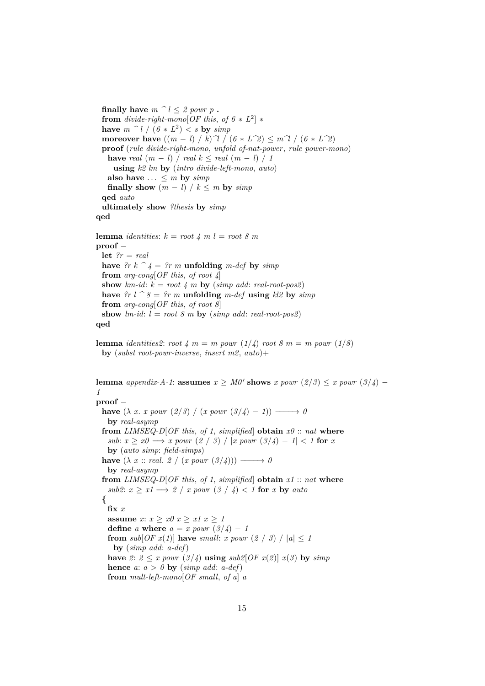**finally have**  $m \n\hat{\ } l \leq 2$  *powr*  $p$ . **from** *divide-right-mono*[ $OF$  *this, of*  $6 * L^2$ ]  $*$ have  $m \stackrel{\frown}{\phantom{a}} l$  /  $(6 * L^2) < s$  by  $simp$ **moreover have**  $((m - l) / k)$   $\gamma / (6 * L^2) \leq m \gamma / (6 * L^2)$ **proof** (*rule divide-right-mono*, *unfold of-nat-power*, *rule power-mono*) **have** *real*  $(m - l)$  / *real*  $k \leq$  *real*  $(m - l)$  / *1* **using** *k2 lm* **by** (*intro divide-left-mono*, *auto*) also have  $\ldots \leq m$  by  $\text{simp}$ **finally show**  $(m - l) / k \le m$  **by**  $simp$ **qed** *auto* **ultimately show** *?thesis* **by** *simp* **qed lemma** *identities*:  $k = root \nmid 4 \nmid m \nmid 1 = root \nmid 8 \nmid m$ **proof** − **let** *?r* = *real* **have**  $2r k \n\hat{i} = 2r m$  **unfolding** *m-def* **by**  $simp$ 

**from** *arg-cong*[*OF this*, *of root 4*] **show**  $km$ -id:  $k = root \nmid m$  **by** (*simp add: real-root-pos2*) have  $?r \mid r \uparrow s = ?r \mid m$  **unfolding**  $m$ -def **using**  $kl2$  by  $simp$ **from** *arg-cong*[*OF this*, *of root 8*] **show**  $lm$ -id:  $l = root 8 m$  **by** (*simp add: real-root-pos2*)

```
qed
```
**lemma** *identities2*: *root*  $4 \text{ } m = m$  *powr* ( $1/4$ ) *root*  $8 \text{ } m = m$  *powr* ( $1/8$ ) **by** (*subst root-powr-inverse*, *insert m2*, *auto*)+

**lemma** *appendix-A-1*: **assumes**  $x \geq M0'$  shows *x powr* (2/3) ≤ *x powr* (3/4) − *1* **proof** − **have**  $(\lambda x. x. y \text{ our } (2/3) / (x. y \text{ our } (3/4) - 1)$   $\longrightarrow 0$ **by** *real-asymp* **from** *LIMSEQ-D*[*OF this, of 1, simplified*] **obtain**  $x0$  :: *nat* **where**  $sub: x \geq x0 \implies x$  powr  $(2 / 3) / |x|$  powr  $(3/4) - 1 < 1$  for *x* **by** (*auto simp*: *field-simps*) **have**  $(\lambda x :: real. 2 / (x power (3/4))) \longrightarrow 0$ **by** *real-asymp* **from** *LIMSEQ-D*[*OF this*, *of 1*, *simplified*] **obtain** *x1* :: *nat* **where** *sub2*:  $x \geq x1 \implies 2 \neq x$  *powr*  $(3 \neq 4) < 1$  for  $x$  by auto **{ fix** *x* **assume**  $x: x \geq x0$   $x \geq x1$   $x \geq 1$ **define** *a* **where**  $a = x$  *powr*  $\left(\frac{3}{4}\right) - 1$ **from**  $sub[OF x(1)]$  **have**  $small: x~power~(2 / 3) / |a| \leq 1$ **by** (*simp add*: *a-def*) **have** 2:  $2 \leq x$  *powr*  $\left(\frac{3}{4}\right)$  **using**  $\frac{sub20F(x)}{2}$  *x*(*3*) **by**  $\frac{simp}{2}$ **hence**  $a: a > 0$  **by** (*simp add: a-def*) **from** *mult-left-mono*[*OF small*, *of a*] *a*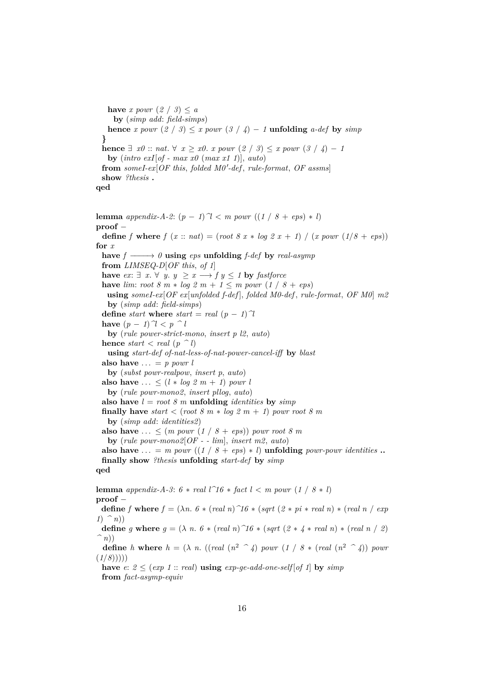**have** *x powr*  $(2 / 3) \leq a$ **by** (*simp add*: *field-simps*) **hence** *x* powr  $(2 / 3) \le x$  powr  $(3 / 4) - 1$  **unfolding** *a-def* by *simp* **} hence**  $\exists x0$  :: *nat*. ∀  $x > x0$ . *x powr* (2 / 3) ≤ *x powr* (3 / 4) − 1 **by** (*intro exI*[*of - max x0* (*max x1 1*)], *auto*) from someI-ex $[OF this, folded MO'$ -def<sub>rabler</sub> rule-format, OF assms **show** *?thesis* **. qed**

**lemma** *appendix-A-2*:  $(p - 1)$   $\gamma$   $\ell$  *m powr*  $((1 / 8 + eps) * l)$ **proof** − **define** *f* **where** *f*  $(x:: nat) = (root 8 x * log 2 x + 1) / (x power (1/8 + exp))$ **for** *x* **have**  $f \rightarrow 0$  **using** *eps* **unfolding**  $f\text{-}def$  **by**  $\text{real-asymp}$ **from** *LIMSEQ-D*[*OF this*, *of 1*] **have** *ex*: ∃ *x*. ∀ *y*. *y*  $\geq$  *x* → *f y* ≤ *1* **by** *fastforce* **have** *lim*: *root* 8 *m*  $*$  *log* 2 *m* + 1  $\leq$  *m powr* (1 / 8 + *eps*) **using** *someI-ex*[*OF ex*[*unfolded f-def* ], *folded M0-def* , *rule-format*, *OF M0*] *m2* **by** (*simp add*: *field-simps*) **define** *start* **where** *start* = *real*  $(p - 1)$ <sup> $\gamma$ </sup> **have**  $(p - 1)^{n} \leq p \leq l$ **by** (*rule power-strict-mono*, *insert p l2*, *auto*) **hence** *start*  $\langle$  *real* ( $p \n\hat{\;} l$ ) **using** *start-def of-nat-less-of-nat-power-cancel-iff* **by** *blast* **also have**  $\ldots = p$  *powr l* **by** (*subst powr-realpow*, *insert p*, *auto*) also have  $\ldots \leq (l * log 2 m + 1)$  *powr l* **by** (*rule powr-mono2*, *insert pllog*, *auto*) also have  $l = root 8 m$  unfolding *identities* by *simp* **finally have**  $start < (root 8 m * log 2 m + 1)$  *powr root 8 m* **by** (*simp add*: *identities2*) **also have** ...  $\leq$   $(m \; power \; (1 \; / \; 8 + \;eps)) \; power \; root \; 8 \; m$ **by** (*rule powr-mono2*[*OF - - lim*], *insert m2*, *auto*) **also have**  $\ldots = m$  *powr* ((1 / 8 + *eps*)  $*$  *l*) **unfolding** *powr-powr identities*  $\ldots$ **finally show** *?thesis* **unfolding** *start-def* **by** *simp* **qed**

**lemma** *appendix-A-3*:  $6 * real l^16 * fact l < m$  *powr*  $(1 / 8 * l)$ **proof** − **define** *f* **where**  $f = (\lambda n. 6 * (real n) 76 * (sqrt (2 * pi * real n) * (real n / exp n))$  $1)$   $(n)$ ) **define** *g* **where**  $g = (\lambda n. 6 * (real n)^{1/6} * (sqrt (2 * 4 * real n) * (real n / 2))$ *^ n*)) **define** *h* **where**  $h = (\lambda n. ((real (n^2 \t^n 4) power (1 / 8 * (real (n^2 \t^n 4)) power)$  $(1/8))$ ) **have**  $e: 2 \leq (exp 1)$  :  $real)$  **using**  $exp-ae-add-one-self[of 1]$  **by**  $simp$ 

**from** *fact-asymp-equiv*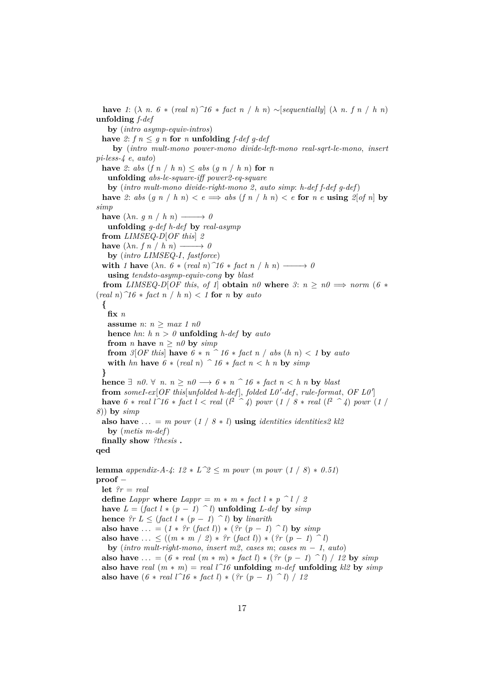**have** 1:  $(\lambda \, n. 6 * (real \, n)^n 16 * fact \, n / h \, n) \sim [sequentially] \, (\lambda \, n. f \, n / h \, n)$ **unfolding** *f-def* **by** (*intro asymp-equiv-intros*) **have** 2:  $f \circ n \leq q \circ n$  for  $n \text{ uniformly in } f \text{-def} q \text{-def}$ **by** (*intro mult-mono power-mono divide-left-mono real-sqrt-le-mono*, *insert pi-less-4 e*, *auto*) **have** 2: *abs*  $(f n / h n) \leq abs (g n / h n)$  for *n* **unfolding** *abs-le-square-iff power2-eq-square* **by** (*intro mult-mono divide-right-mono 2*, *auto simp*: *h-def f-def g-def*) **have** 2: *abs*  $(g \ n | h \ n) < e \implies abs (f \ n | h \ n) < e$  **for**  $n e$  **using** 2[*of n*] **by** *simp* **have**  $(\lambda n. g n / h n) \longrightarrow 0$ **unfolding** *g-def h-def* **by** *real-asymp* **from** *LIMSEQ-D*[*OF this*] *2* **have**  $(\lambda n. f n / h n) \longrightarrow 0$ **by** (*intro LIMSEQ-I*, *fastforce*) **with** *1* **have**  $(\lambda n. 6 * (real n) \hat{1}6 * fact n / h n) \longrightarrow 0$ **using** *tendsto-asymp-equiv-cong* **by** *blast* **from** *LIMSEQ-D*[*OF this, of 1*] **obtain**  $n\theta$  **where**  $\theta$ :  $n \geq n\theta \implies norm$  (6 \*  $(\text{real } n)$   $\hat{\mathcal{1}}6$   $*$   $\text{fact } n$   $\hat{\mathcal{1}}$   $h$   $n$ )  $\hat{\mathcal{2}}$  1 for  $n$  by  $\text{auto}$ **{ fix** *n* **assume** *n*: *n* ≥ *max 1 n0* **hence** *hn*:  $h n > 0$  **unfolding**  $h$ -def **by**  $auto$ **from** *n* **have**  $n \geq n0$  **by**  $simp$ **from**  $3[OF this]$  **have**  $6 * n$   $\hat{ } 16 * fact n / abs (h n) < 1$  **by**  $auto$ **with** *hn* **have**  $6 * (real\ n)$   $\hat{ }$  16  $*$  *fact*  $n < h$  *n* **by** *simp* **} hence**  $\exists$  *n0*.  $\forall$  *n*. *n* > *n0* → *6* \* *n*  $\land$  *16* \* *fact n* < *h n* **by** *blast* from someI-ex[OF this[unfolded h-def], folded L0'-def, rule-format, OF L0'] **have** 6  $*$  *real*  $l \hat{16} * \text{fact } l < \text{real } (l^2 \hat{1} \hat{4})$  *powr*  $(l \hat{1} \hat{8} * \text{real } (l^2 \hat{1} \hat{4})$  *powr*  $(l \hat{1} \hat{7})$ *8*)) **by** *simp* **also have** ... = *m powr* (1 / 8 \* *l*) **using** *identities identities2 kl2* **by** (*metis m-def*) **finally show** *?thesis* **. qed lemma** *appendix-A-4*:  $12 * L^2 \le m$  *powr* (*m powr* ( $1 / 8$ ) \* 0.51) **proof** − **let** *?r* = *real* **define** *Lappr* **where** *Lappr* =  $m * m * \text{fact } l * p \cap l / 2$ **have**  $L = (fact \, l * (p - 1) \cap l)$  **unfolding**  $L$ -def by *simp* **hence**  $?r L \leq (fact \, l * (p - 1) \cap l)$  by *linarith* **also have** ... =  $(1 * ?r (fact l)) * (?r (p - 1) ^{n}$  **by**  $simp$ **also have** ...  $\leq ((m * m / 2) * ?r (fact l)) * (?r (p - 1) )$ **by** (*intro mult-right-mono, insert m2, cases m; cases*  $m - 1$ *,*  $auto)$ **also have**  $\dots = (6 * real(m * m) * fact l) * (?r (p - 1) ^ l) / 12$  by  $simp$ **also have** *real*  $(m * m) = real$  *l*<sup> $\uparrow$ </sup>*16* **unfolding** *m-def* **unfolding** *kl2* **by** *simp* **also have**  $(6 * real l^2 16 * fact l) * (?r (p - 1)^{-1} l) / 12$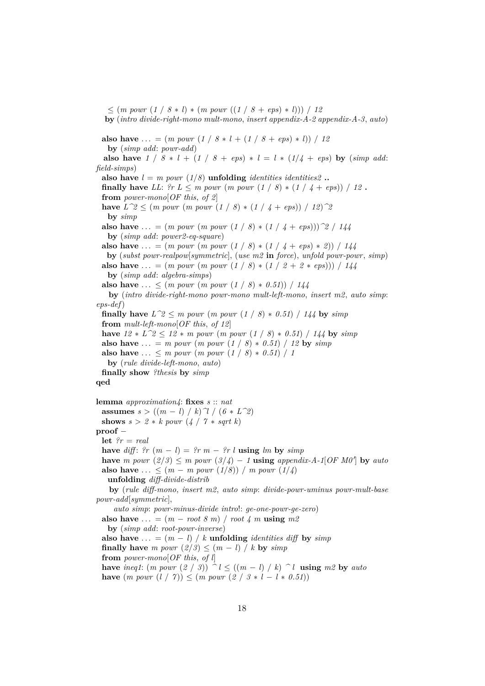$\leq$   $(m \text{ pour } (1 / 8 * l) * (m \text{ pour } ((1 / 8 + eps) * l)) / 12$ **by** (*intro divide-right-mono mult-mono*, *insert appendix-A-2 appendix-A-3*, *auto*) **also have** ... =  $(m \text{ pour } (1 / 8 * l + (1 / 8 + \text{eps}) * l)) / 12$ **by** (*simp add*: *powr-add*) **also have**  $1 / 8 * l + (1 / 8 + eps) * l = l * (1/4 + eps)$  by (*simp add: field-simps*) **also have**  $l = m$  *powr* (1/*8*) **unfolding** *identities identities* 2. **finally have** *LL*:  $\ell r L \leq m$  *powr*  $(m$  *powr*  $(1 / 8) * (1 / 4 + exp)) / 12$ . **from** *power-mono*[*OF this*, *of 2*] **have**  $L^2 \leq (m \text{ pour } (m \text{ pour } (1 \mid \mathcal{S}) * (1 \mid \mathcal{A} + \epsilon p s)) / 12)^2$ **by** *simp* **also have** ... =  $(m \text{ pour } (m \text{ pour } (1 \mid 8) * (1 \mid 4 + \text{ eps})))$ <sup>2</sup> / 144 **by** (*simp add*: *power2-eq-square*) **also have** ... =  $(m \text{ pour } (m \text{ pour } (1 \mid 8) * (1 \mid 4 + \text{ eps}) * 2)) / 144$ **by** (*subst powr-realpow*[*symmetric*], (*use m2* **in** *force*), *unfold powr-powr*, *simp*) **also have** ... =  $(m \text{ pour } (m \text{ pour } (1 \mid 8) * (1 \mid 2 + 2 * \text{ eps}))) / 144$ **by** (*simp add*: *algebra-simps*) **also have** ...  $\leq$  (*m powr* (*m powr* (1 / 8) \* 0.51)) / 144 **by** (*intro divide-right-mono powr-mono mult-left-mono*, *insert m2*, *auto simp*: *eps-def*) **finally have**  $L^2 \leq m$  *powr* (*m powr* (1 / 8) \* 0.51) / 144 by *simp* **from** *mult-left-mono*[*OF this*, *of 12*] **have**  $12 * L^2 2 \le 12 * m$  *powr* (*m powr* (1 / *8*) ∗ *0.51*) / 144 **by** *simp* **also have** ... = *m powr* (*m powr* (1 / 8) \* 0.51) / 12 by  $\text{simp}$ **also have** ...  $\leq m$  powr  $(m$  powr  $(1 / 8) * 0.51) / 1$ **by** (*rule divide-left-mono*, *auto*) **finally show** *?thesis* **by** *simp* **qed lemma** *approximation4*: **fixes** *s* :: *nat* **assumes**  $s > ((m - l) / k)$   $\gamma / (6 * L^2)$ **shows**  $s > 2 * k$  *powr*  $(4 / 7 * sqrt k)$ **proof** − **let** *?r* = *real* **have** *diff*:  $\mathcal{P}_r$  ( $m - l$ ) =  $\mathcal{P}_r$   $m - \mathcal{P}_r$  l **using** lm **by** *simp* **have** *m* powr  $\left(\frac{2}{3}\right) \leq m$  powr  $\left(\frac{3}{4}\right) - 1$  **using** appendix-A-1[OF M0<sup>n</sup>] by auto **also have** ... ≤  $(m - m \; power \; (1/8)) / m \; power \; (1/4)$ **unfolding** *diff-divide-distrib* **by** (*rule diff-mono*, *insert m2*, *auto simp*: *divide-powr-uminus powr-mult-base powr-add*[*symmetric*], *auto simp*: *powr-minus-divide intro*!: *ge-one-powr-ge-zero*) also have  $\ldots = (m - root 8 m) / root 4 m$  **using**  $m2$ **by** (*simp add*: *root-powr-inverse*) also have  $\dots = (m - l) / k$  **unfolding** *identities diff* by *simp* **finally have** *m powr*  $(2/3) \leq (m - l) / k$  **by**  $simp$ **from** *power-mono*[*OF this*, *of l*] **have** *ineq1*:  $(m \text{ pour } (2 \mid 3))$   $\hat{a} \le ((m - l) \mid k)$   $\hat{a} \le l$  **using**  $m2$  by *auto* **have**  $(m \text{ pour } (l / 7)) \leq (m \text{ pour } (2 / 3 * l - l * 0.51))$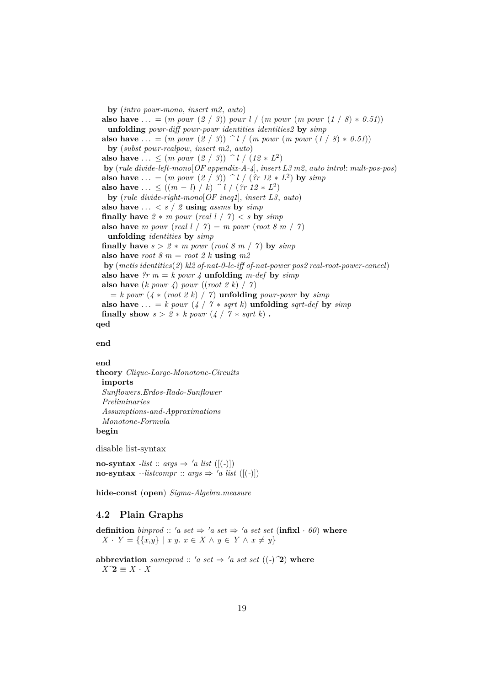**by** (*intro powr-mono*, *insert m2*, *auto*) **also have** ... =  $(m \; pour \; (2 \; / \; 3)) \; pour \; l \; / \; (m \; pour \; (m \; pour \; (1 \; / \; 8) * 0.51))$ **unfolding** *powr-diff powr-powr identities identities2* **by** *simp* **also have** ... =  $(m \text{ pour } (2 / 3))$   $\hat{d}$  /  $(m \text{ pour } (m \text{ pour } (1 / 8) * 0.51))$ **by** (*subst powr-realpow*, *insert m2*, *auto*) **also have** ...  $\leq$   $(m \; power \; (2 \; / \; 3))$   $\cap$   $l / (12 * L^2)$ **by** (*rule divide-left-mono*[*OF appendix-A-4*], *insert L3 m2*, *auto intro*!: *mult-pos-pos*) **also have** ... =  $(m \; power \; (2 \; / \; 3))$  ^ *l* /  $($ *?r* 12 \* *L*<sup>2</sup> $)$  **by** *simp* **also have** ... ≤  $((m - l) / k)$  ^ *l* / (*?r 12* ∗ *L*<sup>2</sup>) **by** (*rule divide-right-mono*[*OF ineq1*], *insert L3*, *auto*) also have  $\ldots \lt s / 2$  **using** *assms* by *simp* **finally have**  $2 * m$  *powr* (*real l*  $/ 7$ )  $<$  *s* by *simp* **also have** *m* powr (*real l* /  $\gamma$ ) = *m* powr (*root 8 m* /  $\gamma$ ) **unfolding** *identities* **by** *simp* **finally have**  $s > 2 * m$  *powr* (*root 8 m / 7*) **by**  $simp$ **also have** *root* 8  $m = root 2 k$  **using**  $m2$ **by** (*metis identities*(*2*) *kl2 of-nat-0-le-iff of-nat-power pos2 real-root-power-cancel*) also have  $\mathcal{P}_r$  *m* = *k powr* 4 **unfolding** *m-def* by *simp* **also have**  $(k \text{ pour } 4) \text{ pour } ((\text{root } 2 \text{ } k) \text{ } / \text{ } 7)$  $= k$  *powr* ( $4 * (root 2 k) / 7$ ) **unfolding** *powr-powr* by *simp* **also have** ... = *k powr* (*4* / *7* \* *sqrt k*) **unfolding** *sqrt-def* by *simp* **finally show**  $s > 2 * k$  *powr*  $(4 / 7 * sqrt k)$ . **qed**

# **end**

**end**

**theory** *Clique-Large-Monotone-Circuits* **imports** *Sunflowers*.*Erdos-Rado-Sunflower Preliminaries Assumptions-and-Approximations Monotone-Formula* **begin**

disable list-syntax

**no-syntax** *-list* :: *args*  $\Rightarrow$  '*a list* ([(-)]) **no-syntax** --listcompr :: args  $\Rightarrow$  'a list ([(-)])

**hide-const** (**open**) *Sigma-Algebra*.*measure*

# <span id="page-18-0"></span>**4.2 Plain Graphs**

**definition** *binprod* :: 'a set  $\Rightarrow$  'a set  $\Rightarrow$  'a set set (**infixl** · 60) **where** *X* ⋅ *Y* = {{*x*,*y*} | *x y*. *x* ∈ *X* ∧ *y* ∈ *Y* ∧ *x*  $\neq$  *y*}

**abbreviation** *sameprod* :: 'a set  $\Rightarrow$  'a set set ((-)<sup> $\hat{ }$ </sup>) where *X^*2 ≡ *X* · *X*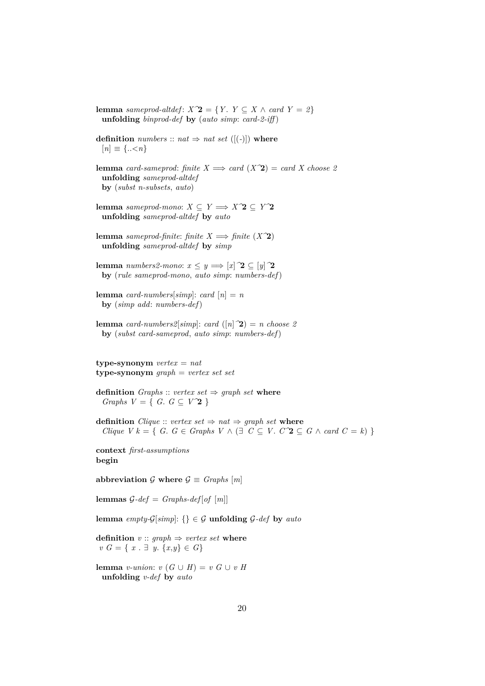**lemma** *sameprod-altdef*:  $X\hat{ }$ **2** = {*Y* . *Y*  $\subseteq$  *X*  $\wedge$  *card Y* = *2*} **unfolding** *binprod-def* **by** (*auto simp*: *card-2-iff* )

**definition** *numbers* :: *nat*  $\Rightarrow$  *nat set* ([(-)]) **where**  $[n] \equiv \{..\leq n\}$ 

**lemma** *card-sameprod: finite*  $X \implies \text{card}(X^2) = \text{card } X$  *choose 2* **unfolding** *sameprod-altdef* **by** (*subst n-subsets*, *auto*)

**lemma** *sameprod-mono*: *X* ⊆ *Y*  $\Rightarrow$  *X*  $\hat{Z}$  ⊆ *Y* $\hat{Z}$ **unfolding** *sameprod-altdef* **by** *auto*

**lemma** *sameprod-finite*: *finite*  $X \implies$  *finite*  $(X^2)$ **unfolding** *sameprod-altdef* **by** *simp*

**lemma** *numbers2-mono*:  $x \leq y \implies [x]$   $\mathbf{2} \subseteq [y]$   $\mathbf{2}$ **by** (*rule sameprod-mono*, *auto simp*: *numbers-def*)

**lemma** *card-numbers*[ $simp$ ]: *card*  $[n] = n$ **by** (*simp add*: *numbers-def*)

**lemma** *card-numbers2*[*simp*]: *card* ([*n*] $\hat{ }$ **2**) = *n choose 2* **by** (*subst card-sameprod*, *auto simp*: *numbers-def*)

**type-synonym** *vertex* = *nat* **type-synonym** *graph* = *vertex set set*

**definition** *Graphs* :: *vertex set*  $\Rightarrow$  *graph set* **where** *Graphs V* = { *G*.  $G \subseteq V^2$ }

**definition** *Clique* :: *vertex set*  $\Rightarrow$  *nat*  $\Rightarrow$  *graph set* **where** *Clique V k* = {  $G \colon G \in Graphs$   $V \land (\exists C \subseteq V \colon C^2 \subseteq G \land card C = k)$  }

**context** *first-assumptions* **begin**

abbreviation  $G$  where  $G \equiv$  *Graphs* [*m*]

**lemmas**  $G$ -def = *Graphs*-def [of [m]]

**lemma** *empty-G*[*simp*]: {}  $\in$  *G* **unfolding** *G*-*def* by *auto* 

**definition**  $v$  :: *graph*  $\Rightarrow$  *vertex set* **where** *v G* = { *x* . ∃ *y*. {*x*,*y*} ∈ *G*}

**lemma** *v-union*:  $v(G \cup H) = v(G \cup vH)$ **unfolding** *v-def* **by** *auto*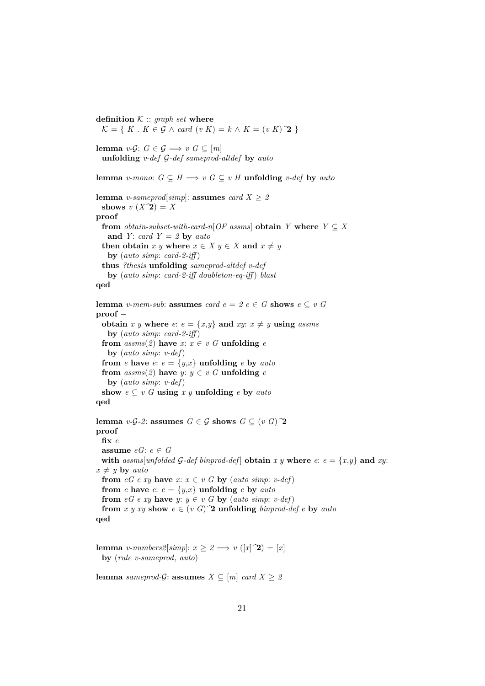**definition**  $K :: graph set$  **where**  $\mathcal{K} = \{ K : K \in \mathcal{G} \land \text{card}(v \mid K) = k \land K = (v \mid K)$   $\mathbf{\hat{2}} \}$ **lemma** *v*-*G*:  $G \in \mathcal{G} \implies v \ G \subseteq [m]$ **unfolding** *v-def* G*-def sameprod-altdef* **by** *auto* **lemma** *v-mono*:  $G \subseteq H \Longrightarrow v \ G \subseteq v \ H$  **unfolding** *v-def* by *auto* **lemma** *v*-sameprod[simp]: **assumes** *card*  $X \geq 2$ shows  $v(X^2) = X$ **proof** − **from** *obtain-subset-with-card-n*[ $OF$  assms] **obtain**  $Y$  **where**  $Y \subseteq X$ and *Y* : *card*  $Y = 2$  **by** *auto* **then obtain**  $x \ y$  **where**  $x \in X \ y \in X$  **and**  $x \neq y$ **by** (*auto simp*: *card-2-iff* ) **thus** *?thesis* **unfolding** *sameprod-altdef v-def* **by** (*auto simp*: *card-2-iff doubleton-eq-iff* ) *blast* **qed lemma** *v-mem-sub*: **assumes** *card*  $e = 2$   $e \in G$  **shows**  $e \subseteq v$  *G* **proof** − **obtain** *x y* **where** *e*:  $e = \{x,y\}$  **and** *xy*:  $x \neq y$  **using** *assms* **by** (*auto simp*: *card-2-iff* ) **from**  $assms(2)$  **have**  $x: x \in v$  *G* **unfolding** *e* **by** (*auto simp*: *v-def*) **from** *e* **have** *e*:  $e = \{y, x\}$  **unfolding** *e* **by** *auto* **from**  $assms(2)$  **have**  $y: y \in v$  G **unfolding**  $e$ **by** (*auto simp*: *v-def*) show  $e \subseteq v$  *G* **using**  $x$  *y* **unfolding**  $e$  **by**  $auto$ **qed**

**lemma** *v*-*G*- $2$ : **assumes**  $G \in \mathcal{G}$  **shows**  $G \subseteq (v \ G)$   $\mathcal{D}$ **proof fix** *e* **assume**  $eG: e \in G$ with  $assms[unfolded \mathcal{G}-def \mathit{binnrod-def}]$  obtain  $x \ y$  where  $e: e = \{x,y\}$  and  $xy:$  $x \neq y$  **by** *auto* **from**  $eG \cdot xy$  **have**  $x: x \in v \cup G$  **by** (*auto simp*: *v-def*) **from** *e* have *e*:  $e = \{y,x\}$  **unfolding** *e* by *auto* **from**  $eG$  *e xy* **have** *y*:  $y \in v$  *G* **by** (*auto simp*: *v*-*def*) **from** *x y xy* **show**  $e \in (v \ G)^{\frown}2$  **unfolding** *binprod-def e* **by** *auto* **qed**

**lemma** *v-numbers2*[*simp*]:  $x \geq 2 \implies v([x] \; \hat{\mathbf{Z}}) = [x]$ **by** (*rule v-sameprod*, *auto*)

**lemma** *sameprod-G*: **assumes**  $X \subseteq [m]$  *card*  $X \geq 2$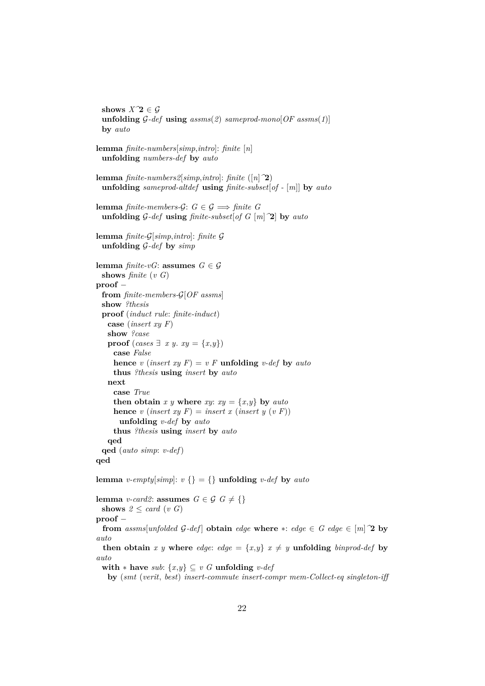**shows**  $X^{\prime}2 \in \mathcal{G}$ **unfolding**  $G$ -def **using**  $assms(2)$   $sameprod-mono[OF~assms(1)]$ **by** *auto* **lemma** *finite-numbers*[*simp*,*intro*]: *finite* [*n*] **unfolding** *numbers-def* **by** *auto* **lemma** *finite-numbers2*[*simp*,*intro*]: *finite* ([*n*]*^*2) **unfolding** *sameprod-altdef* **using** *finite-subset*[*of -* [*m*]] **by** *auto* **lemma** *finite-members-G*:  $G \in \mathcal{G} \implies$  *finite*  $G$ **unfolding** G*-def* **using** *finite-subset*[*of G* [*m*]*^*2] **by** *auto* **lemma** *finite-*G[*simp*,*intro*]: *finite* G **unfolding** G*-def* **by** *simp* **lemma** *finite-vG*: **assumes**  $G \in \mathcal{G}$ **shows** *finite* (*v G*) **proof** − **from** *finite-members-*G[*OF assms*] **show** *?thesis* **proof** (*induct rule*: *finite-induct*) **case** (*insert xy F*) **show** *?case* **proof** (*cases*  $\exists x, y \in \{x, y\}$ ) **case** *False* **hence** *v* (*insert xy*  $F$ ) = *v*  $F$  **unfolding** *v-def* by *auto* **thus** *?thesis* **using** *insert* **by** *auto* **next case** *True* **then obtain** *x y* **where** *xy*:  $xy = \{x, y\}$  **by** *auto* **hence** *v* (*insert xy F*) = *insert x* (*insert y* (*v F*)) **unfolding** *v-def* **by** *auto* **thus** *?thesis* **using** *insert* **by** *auto* **qed qed** (*auto simp*: *v-def*) **qed**

**lemma** *v-empty*[ $simp$ ]:  $v \{ \} = \{ \}$ **unfolding** *v-def* **by** *auto* 

**lemma** *v-card2*: **assumes**  $G \in \mathcal{G}$   $G \neq \{\}$ **shows**  $2 \leq card(v \ G)$ **proof** − **from**  $assms[unfolded \ G\text{-}def]$  **obtain**  $edge$  **where**  $*$ :  $edge \in G$   $edge \in [m]$   $\hat{2}$  **by** *auto* **then obtain** *x y* where *edge*: *edge* =  $\{x,y\}$  *x*  $\neq$  *y* **unfolding** *binprod-def* by *auto* **with**  $*$  **have** *sub*:  $\{x,y\} \subseteq v$  *G* **unfolding** *v-def* 

**by** (*smt* (*verit*, *best*) *insert-commute insert-compr mem-Collect-eq singleton-iff*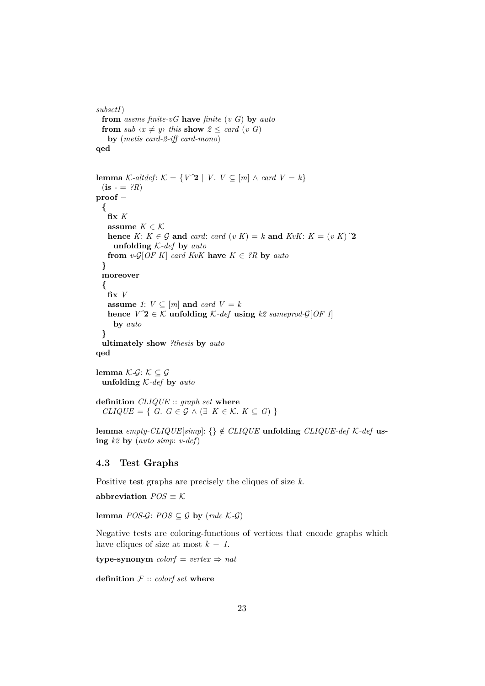```
subsetI)
  from assms finite-vG have finite (v G) by auto
 from sub \langle x \neq y \rangle this show 2 \leq card(v \ G)by (metis card-2-iff card-mono)
qed
lemma K-altdef: K = \{V\hat{Z} \mid V, V \subseteq [m] \land \text{card } V = k\}(i<b>s</b> - = <i>?R</i>)proof −
  {
   fix K
   assume K \in \mathcal{K}hence K: K \in \mathcal{G} and card: card (v K) = k and KvK: K = (v K)^{\mathcal{T}}unfolding K-def by auto
   from v\text{-}G[OFK] card KvK have K \in {}^2R by auto
  }
  moreover
  {
   fix V
   assume 1: V \subseteq [m] and card V = khence V^2 \in \mathcal{K} unfolding \mathcal{K}\text{-}def using k2 sameprod-\mathcal{G}[OF 1]by auto
  }
  ultimately show ?thesis by auto
qed
```
**lemma**  $K$ -*G*:  $K$  ⊂ *G* **unfolding** K*-def* **by** *auto*

```
definition CLIQUE :: graph set where
  CLIQUE = \{ G. G \in \mathcal{G} \wedge (\exists K \in \mathcal{K}. K \subseteq G) \}
```
**lemma** *empty-CLIQUE*[ $simp$ ]: {}  $\notin$  *CLIQUE* **unfolding** *CLIQUE-def K-def* **using** *k2* **by** (*auto simp*: *v-def*)

# <span id="page-22-0"></span>**4.3 Test Graphs**

Positive test graphs are precisely the cliques of size *k*.

abbreviation  $POS \equiv K$ 

**lemma** *POS-G*: *POS*  $\subseteq$  *G* **by** (*rule*  $K$ -*G*)

Negative tests are coloring-functions of vertices that encode graphs which have cliques of size at most  $k - 1$ .

**type-synonym**  $color = vertex \Rightarrow nat$ 

**definition** F :: *colorf set* **where**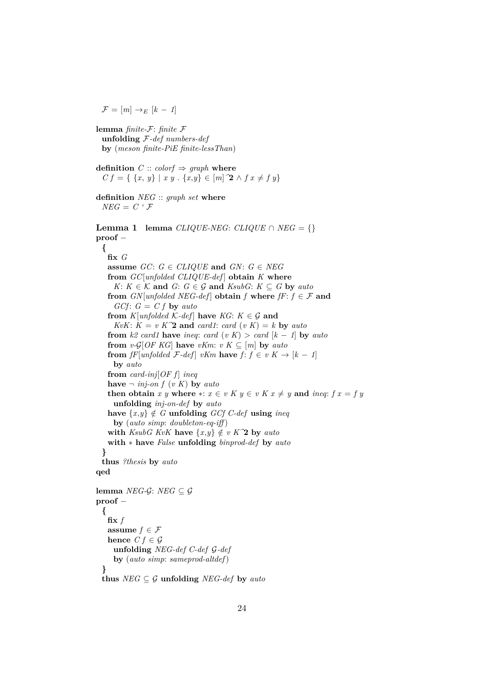$\mathcal{F} = [m] \rightarrow_E [k-1]$ 

**lemma** *finite-*F: *finite* F **unfolding** F*-def numbers-def* **by** (*meson finite-PiE finite-lessThan*) **definition**  $C :: color f \Rightarrow graph$  **where**  $C f = \{ \{x, y\} \mid x y \in \{x, y\} \in [m]$   $\mathbf{2} \wedge f x \neq f y \}$ **definition** *NEG* :: *graph set* **where**  $NEG = C \cdot \mathcal{F}$ **Lemma 1 lemma**  $CLIQUE-NEG: CLIQUE \cap NEG = \{\}$ **proof** − **{ fix** *G* **assume**  $GC: G \in CLIQUE$  **and**  $GN: G \in NEG$ **from** *GC*[*unfolded CLIQUE-def* ] **obtain** *K* **where** *K*:  $K \in \mathcal{K}$  and  $G: G \in \mathcal{G}$  and  $KsubG: K \subseteq G$  by auto **from**  $GN[unfolded \, NEG\text{-}def]$  **obtain**  $f$  **where**  $fF: f \in \mathcal{F}$  and  $GCF: G = C f$  by *auto* **from**  $K$ [*unfolded*  $K$ *-def*] **have**  $KG: K \in \mathcal{G}$  and *KvK*:  $K = v K^2$  **and** *card1*: *card*  $(v K) = k$  **by** *auto* **from**  $k2$  *card1* **have** *ineq: card*  $(v K) > card [k - 1]$  **by** *auto* **from**  $v\text{-}G[OFKG]$  **have**  $vKm: vK \subseteq [m]$  **by**  $auto$ **from** *fF*[*unfolded*  $\mathcal{F}\text{-}def$ ] *vKm* **have**  $f: f \in v K \rightarrow [k-1]$ **by** *auto* **from** *card-inj*[ $OF f$ ] *ineq* **have**  $\neg$  *inj-on f* (*vK*) **by** *auto* **then obtain** *x y* **where**  $*$ :  $x \in v$  *K*  $y \in v$  *K*  $x \neq y$  **and** *ineq*:  $f x = f y$ **unfolding** *inj-on-def* **by** *auto* have  $\{x,y\} \notin G$  **unfolding** *GCf C-def* **using** *ineq* **by** (*auto simp*: *doubleton-eq-iff* ) **with** *KsubG KvK* **have**  $\{x,y\} \notin v$  *K*<sup> $\infty$ </sup> *by auto* **with** ∗ **have** *False* **unfolding** *binprod-def* **by** *auto* **} thus** *?thesis* **by** *auto* **qed lemma** *NEG-G*: *NEG* ⊂  $G$ **proof** − **{**  $\mathbf{fix}$   $f$ **assume**  $f \in \mathcal{F}$ **hence**  $C f \in \mathcal{G}$ **unfolding** *NEG-def C-def* G*-def* **by** (*auto simp*: *sameprod-altdef*) **} thus**  $NEG \subseteq \mathcal{G}$  **unfolding**  $NEG\text{-}def$  **by** *auto*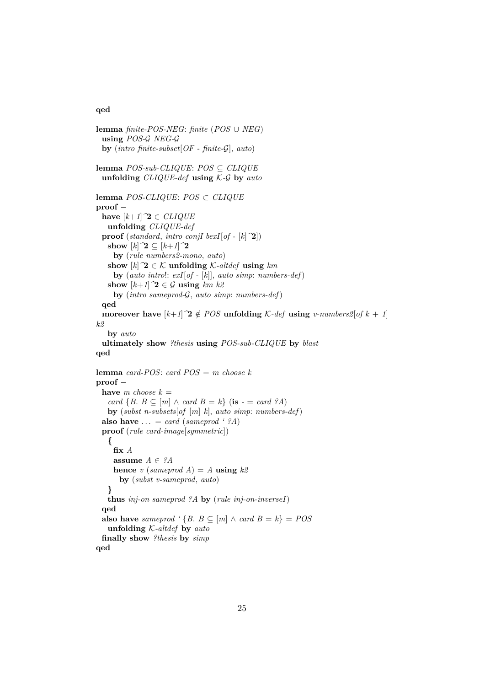#### **qed**

**lemma** *finite-POS-NEG*: *finite* (*POS* ∪ *NEG*) **using** *POS-*G *NEG-*G **by** (*intro finite-subset*[*OF - finite-*G], *auto*) **lemma** *POS-sub-CLIQUE*: *POS* ⊆ *CLIQUE* **unfolding** *CLIQUE-def* **using** K*-*G **by** *auto* **lemma** *POS-CLIQUE*: *POS* ⊂ *CLIQUE* **proof** − **have**  $[k+1]$ <sup> $\gamma$ </sup>**2**  $\in$  *CLIQUE* **unfolding** *CLIQUE-def* **proof** (*standard*, *intro conjI bexI*[*of* - [*k*] $\hat{ }$ 2]) **show**  $[k]$   $2 \subseteq [k+1]$   $2$ **by** (*rule numbers2-mono*, *auto*) show  $[k]$   $\hat{Z} \in \mathcal{K}$  **unfolding**  $\mathcal{K}\text{-}altdef$  **using**  $km$ **by** (*auto intro*!: *exI*[*of -* [*k*]], *auto simp*: *numbers-def*) **show**  $[k+1]$ <sup> $\gamma$ </sup>**2**  $\in$  G **using**  $km$   $k$ <sup>2</sup> **by** (*intro sameprod-*G, *auto simp*: *numbers-def*) **qed moreover have**  $[k+1]$ <sup>2</sup>  $\notin POS$  **unfolding**  $K$ -def **using** *v-numbers2*[*of*  $k + 1$ ] *k2* **by** *auto* **ultimately show** *?thesis* **using** *POS-sub-CLIQUE* **by** *blast* **qed lemma** *card-POS*: *card POS* = *m choose k* **proof** − **have** *m* choose  $k =$ *card* {*B*. *B* ⊆  $[m]$  ∧ *card B* = *k*} (**is** - = *card ?A*) **by** (*subst n-subsets*[*of* [*m*] *k*], *auto simp*: *numbers-def*) **also have**  $\dots = \text{card} (\text{sameprod} \cdot ?A)$ **proof** (*rule card-image*[*symmetric*]) **{ fix** *A* **assume**  $A \in \mathcal{A}$ **hence** *v* (*sameprod A*) = *A* **using**  $k2$ **by** (*subst v-sameprod*, *auto*) **} thus** *inj-on sameprod ?A* **by** (*rule inj-on-inverseI*) **qed also have** *sameprod* '{ $B \subseteq [m] \land \text{ card } B = k$ } =  $POS$ **unfolding** K*-altdef* **by** *auto* **finally show** *?thesis* **by** *simp*

**qed**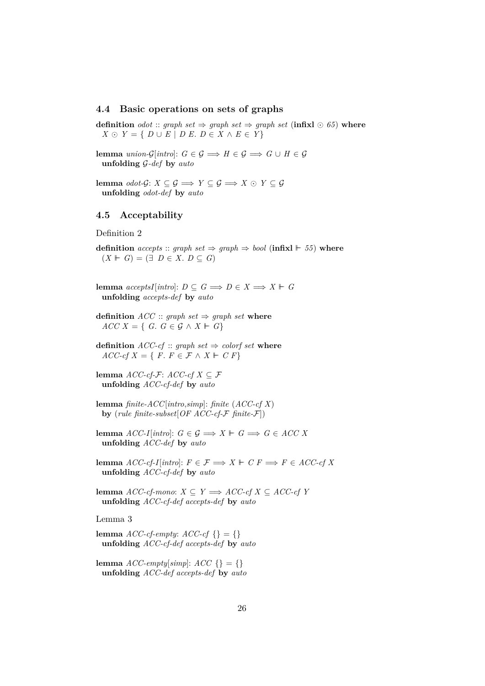## <span id="page-25-0"></span>**4.4 Basic operations on sets of graphs**

**definition** *odot* :: *graph set*  $\Rightarrow$  *graph set*  $\Rightarrow$  *graph set* (**infixl**  $\odot$  65) **where**  $X \odot Y = \{ D \cup E \mid D E, D \in X \wedge E \in Y \}$ 

**lemma** *union-G*[*intro*]:  $G \in \mathcal{G} \implies H \in \mathcal{G} \implies G \cup H \in \mathcal{G}$ **unfolding** G*-def* **by** *auto*

**lemma** *odot-G*: *X* ⊆ *G*  $\implies$  *Y* ⊆ *G*  $\implies$  *X* ⊙ *Y* ⊆ *G* **unfolding** *odot-def* **by** *auto*

#### <span id="page-25-1"></span>**4.5 Acceptability**

Definition 2

**definition** *accepts* :: *graph set*  $\Rightarrow$  *graph*  $\Rightarrow$  *bool* (**infixl**  $\vdash$  55) **where**  $(X \vDash G) = (\exists D \in X, D \subseteq G)$ 

**lemma**  $acceptsI[intro]: D \subseteq G \implies D \in X \implies X \vdash G$ **unfolding** *accepts-def* **by** *auto*

**definition**  $ACC :: graph set \Rightarrow graph set$  where  $ACC X = \{ G : G \in \mathcal{G} \wedge X \vdash G \}$ 

**definition**  $ACC\text{-}cf$  :: *graph set*  $\Rightarrow$  *colorf set* **where**  $ACC-cf X = \{ F \colon F \in \mathcal{F} \land X \vdash C F \}$ 

**lemma**  $ACC-cf$ - $F$ :  $ACC-cf$   $X$  ⊂  $F$ **unfolding** *ACC-cf-def* **by** *auto*

**lemma** *finite-ACC*[*intro*,*simp*]: *finite* (*ACC-cf X*) **by** (*rule finite-subset*[*OF ACC-cf-*F *finite-*F])

**lemma**  $ACC-I[intro]: G \in \mathcal{G} \implies X \vdash G \implies G \in ACC X$ **unfolding** *ACC-def* **by** *auto*

**lemma**  $ACC\text{-}cf\text{-}I[intro]: F \in \mathcal{F} \implies X \Vdash C F \implies F \in ACC\text{-}cf X$ **unfolding** *ACC-cf-def* **by** *auto*

**lemma** *ACC-cf-mono*: *X* ⊆ *Y*  $\implies$  *ACC-cf X* ⊆ *ACC-cf Y* **unfolding** *ACC-cf-def accepts-def* **by** *auto*

Lemma 3

**lemma**  $ACC\text{-}cf\text{-}empty:$   $ACC\text{-}cf\{\} = \{\}$ **unfolding** *ACC-cf-def accepts-def* **by** *auto*

**lemma**  $ACC\text{-}empty[simp]: ACC \{\} = \{\}$ **unfolding** *ACC-def accepts-def* **by** *auto*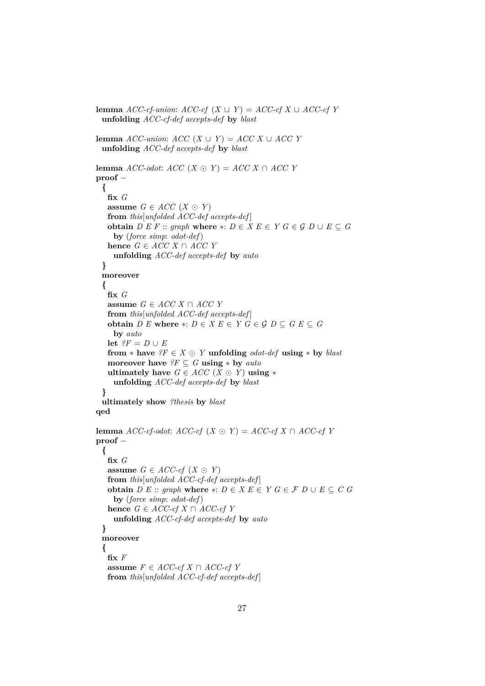```
lemma ACC-cf-union: ACC\text{-}cf (X \cup Y) = ACC\text{-}cf X \cup ACC\text{-}cf Yunfolding ACC-cf-def accepts-def by blast
lemma ACC\text{-}union: ACC(X \cup Y) = ACC X \cup ACC Yunfolding ACC-def accepts-def by blast
lemma ACC\text{-}odot: ACC(X \odot Y) = ACCX \cap ACCYproof −
 {
   fix G
   assume G \in ACC (X \odot Y)
   from this[unfolded ACC-def accepts-def ]
   obtain D E F :: graph where * : D \in X E \in Y G \in \mathcal{G} D \cup E \subseteq Gby (force simp: odot-def)
   hence G \in ACC X \cap ACC Yunfolding ACC-def accepts-def by auto
 }
 moreover
 {
   fix G
   assume G ∈ ACC X ∩ ACC Y
   from this[unfolded ACC-def accepts-def ]
   obtain D E where ∗: D \in X E \in Y G \in \mathcal{G} D \subseteq G E \subseteq Gby auto
   let ?F = D \cup Efrom * have ?F \in X \odot Y unfolding odot-def using * by blast
   moreover have ?F \subseteq G using * by autoultimately have G ∈ ACC (X ∩ Y) using *unfolding ACC-def accepts-def by blast
 }
 ultimately show ?thesis by blast
qed
lemma ACC-cf-odot: ACC-cf (X ⊙ Y) = ACC-cf X ∩ ACC-cf Y
proof −
 {
   fix G
   assume G \in ACC\text{-}cf (X \odot Y)from this[unfolded ACC-cf-def accepts-def ]
   obtain D E :: graph where * : D \in X E \in Y G \in \mathcal{F} D \cup E \subseteq C Gby (force simp: odot-def)
   hence G \in ACC\text{-}cf X \cap ACC\text{-}cf Yunfolding ACC-cf-def accepts-def by auto
 }
 moreover
 {
   fix F
   assume F ∈ ACC-cf X ∩ ACC-cf Y
   from this[unfolded ACC-cf-def accepts-def ]
```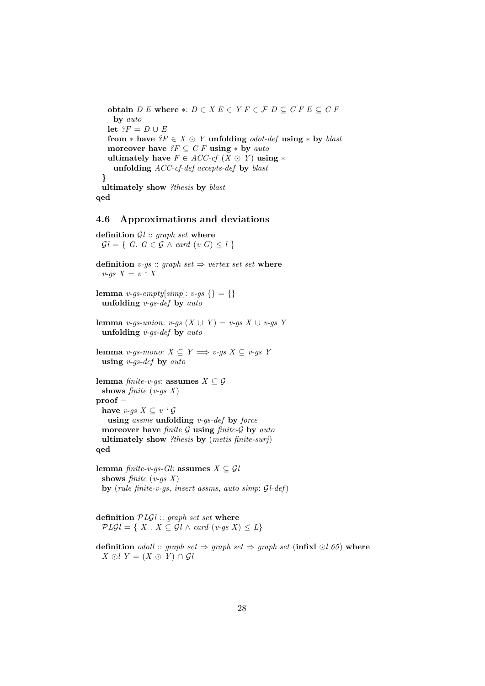**obtain**  $D E$  where ∗:  $D \in X E \in Y F \in \mathcal{F} D \subseteq C F E \subseteq C F$ **by** *auto* **let**  $?F = D \cup E$ **from**  $*$  **have**  $?F \in X \odot Y$  **unfolding** *odot-def* **using**  $*$  **by** *blast* **moreover have**  $?F \subseteq C F$  **using**  $*$  **by**  $auto$ **ultimately have**  $F \in ACC\text{-}cf$   $(X \odot Y)$  **using**  $*$ **unfolding** *ACC-cf-def accepts-def* **by** *blast* **} ultimately show** *?thesis* **by** *blast* **qed**

## <span id="page-27-0"></span>**4.6 Approximations and deviations**

```
definition Gl :: graph set where
  Gl = \{ G. G \in \mathcal{G} \land \text{card } (v \ G) \leq l \}
```

```
definition v-gs :: graph set \Rightarrow vertex set set wherev-gs X = v \cdot Xlemma v-gs-empty[simp]: v-gs {} = {}
 unfolding v-gs-def by auto
```

```
lemma v-gs-union: v-gs (X ∪ Y) = v-gs X ∪ v-gs Y
 unfolding v-gs-def by auto
```

```
lemma v-qs-mono: X ⊂ Y \implies v-qs X ⊂ v-qs Y
 using v-gs-def by auto
```

```
lemma finite-v-gs: assumes X \subseteq \mathcal{G}shows finite (v-gs X)
proof −
 have v-gs X \subseteq v ' \mathcal{G}using assms unfolding v-gs-def by force
 moreover have finite G using finite-G by auto
 ultimately show ?thesis by (metis finite-surj)
qed
```
**lemma** *finite-v-qs-Gl*: **assumes**  $X \subseteq \mathcal{G}l$ **shows** *finite* (*v-gs X*) **by** (*rule finite-v-gs*, *insert assms*, *auto simp*: G*l-def*)

**definition** P*L*G*l* :: *graph set set* **where**  $PLGl = \{ X \cdot X \subseteq Gl \wedge card (v-gs X) \leq L \}$ 

**definition** *odotl* :: *graph set*  $\Rightarrow$  *graph set*  $\Rightarrow$  *graph set* (**infixl**  $\odot$ *l* 65) **where** *X*  $\odot$ *l Y* = (*X*  $\odot$  *Y*) ∩ *Gl*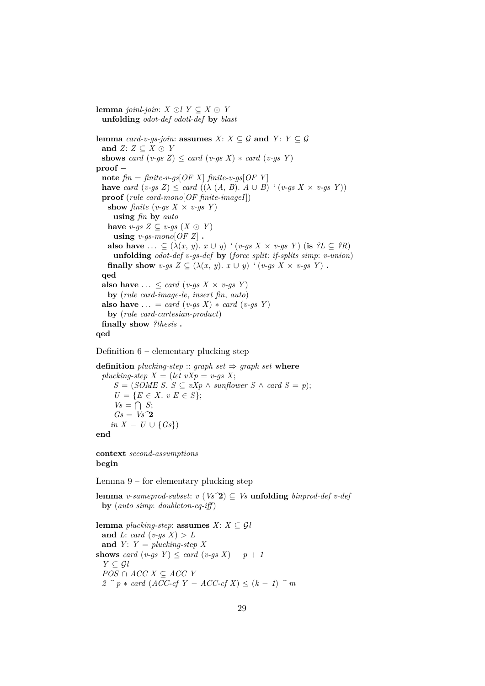**lemma** *joinl-join*: *X* ⊙*l Y* ⊂ *X* ⊙ *Y* **unfolding** *odot-def odotl-def* **by** *blast* **lemma** *card-v-qs-join*: **assumes**  $X: X \subseteq \mathcal{G}$  **and**  $Y: Y \subseteq \mathcal{G}$ **and**  $Z: Z \subseteq X \odot Y$ **shows** *card* (*v-gs Z*)  $\leq$  *card* (*v-gs X*)  $*$  *card* (*v-gs Y*) **proof** − **note**  $\hat{m} = \hat{m}$  *finite-v-qs* $[OF X]$   $\hat{m}$  *finite-v-qs* $[OF Y]$ **have** *card*  $(v-gs Z) \leq card ((\lambda (A, B), A \cup B) (v-gs X \times v-gs Y))$ **proof** (*rule card-mono*[*OF finite-imageI*]) **show** *finite* (*v-gs*  $X \times v$ *-gs*  $Y$ ) **using** *fin* **by** *auto* have *v-gs*  $Z \subseteq v$ *-gs*  $(X \odot Y)$  $using \ v-gs-mono[OF~Z]$ . **also have** ...  $\subseteq (\lambda(x, y), x \cup y)$  *'* (*v-gs X* × *v-gs Y*) (**is**  $?L \subseteq ?R$ ) **unfolding** *odot-def v-gs-def* **by** (*force split*: *if-splits simp*: *v-union*) **finally show**  $v$ -gs  $Z \subseteq (\lambda(x, y), x \cup y)$  '  $(v$ -gs  $X \times v$ -gs Y). **qed also have**  $\ldots \leq \text{card}(v\text{-}gs\ X \times v\text{-}gs\ Y)$ **by** (*rule card-image-le*, *insert fin*, *auto*) **also have** ... = *card* (*v-gs X*) \* *card* (*v-gs Y*) **by** (*rule card-cartesian-product*) **finally show** *?thesis* **. qed**



```
definition pl</u>ucking-step :: graph set \Rightarrow graph set whereplucking-step X = (let vXp = v-gs X;S = (SOME S. S ⊆ vXp ∧ sunflower S ∧ card S = p);
     U = \{E \in X : v \in S\};\V_s = \bigcap S;Gs = VS^2in X - U \cup \{Gs\}end
```
**context** *second-assumptions* **begin**

Lemma 9 – for elementary plucking step

**lemma** *v-sameprod-subset*:  $v$  (*Vs*<sup> $\sim$ </sup>**2**)  $\subset$  *Vs* **unfolding** *binprod-def v-def* **by** (*auto simp*: *doubleton-eq-iff* )

**lemma** *plucking-step*: **assumes**  $X: X \subseteq \mathcal{G}$ *l* and *L*: *card* (*v-gs*  $X$ ) > *L* and  $Y: Y = plucking-step X$ **shows** *card*  $(v-gs \ Y) \leq card \ (v-gs \ X) - p + 1$  $Y \subseteq \mathcal{G}l$ *POS* ∩ *ACC X* ⊆ *ACC Y 2*  $^{\frown}$  *p* ∗ *card* (*ACC-cf Y* − *ACC-cf X*) ≤ (*k* − *1*)  $^{\frown}$  *m*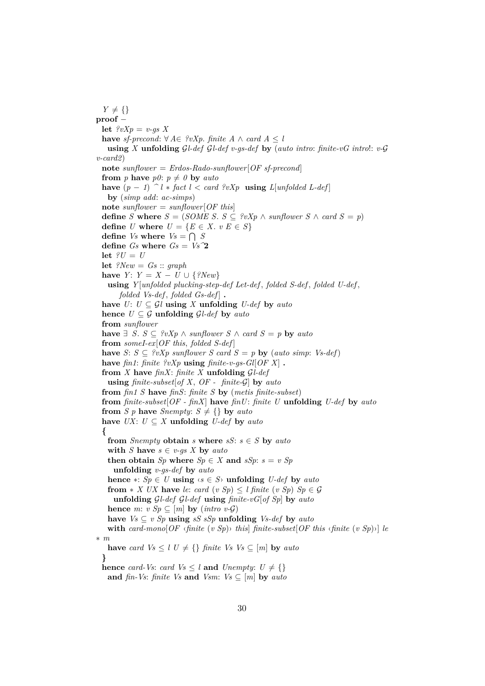$Y \neq \{\}$ **proof** − **let**  $\ell v X p = v$ -gs X **have** *sf-precond*: ∀ *A*∈ *?vXp*. *finite A* ∧ *card A* < *l* **using** *X* **unfolding** G*l-def* G*l-def v-gs-def* **by** (*auto intro*: *finite-vG intro*!: *v-*G *v-card2*) **note** *sunflower* = *Erdos-Rado-sunflower*[*OF sf-precond*] **from** *p* **have**  $p\theta$ :  $p \neq \theta$  **by** *auto* **have**  $(p − 1)$   $\hat{\ }$  *l*  $*$  *fact l*  $<$  *card ?vXp* **using**  $L$ [*unfolded L-def*] **by** (*simp add*: *ac-simps*) **note** *sunflower* = *sunflower*[*OF this*] **define** *S* **where**  $S = (SOME S. S \subseteq ?vXp \land sunflower S \land card S = p)$ **define** *U* **where**  $U = \{E \in X : v \in S\}$ **define** *Vs* where  $V_s = \bigcap S_s$ **define**  $Gs$  where  $Gs = Vs^2$ let  $?U = U$ **let** *?New* = *Gs* :: *graph* **have**  $Y: Y = X - U \cup \{?New\}$ **using** *Y* [*unfolded plucking-step-def Let-def* , *folded S-def* , *folded U-def* , *folded Vs-def* , *folded Gs-def* ] **. have**  $U: U \subseteq \mathcal{G}$  **using** *X* **unfolding**  $U$ -def **by**  $auto$ **hence**  $U \subseteq \mathcal{G}$  **unfolding**  $\mathcal{G}l$ -def **by** *auto* **from** *sunflower* **have**  $\exists$  *S*. *S* ⊆ *?vXp* ∧ *sunflower S* ∧ *card S* = *p* **by** *auto* **from** *someI-ex*[*OF this*, *folded S-def* ] **have**  $S: S \subseteq ?vXp$  sunflower  $S$  card  $S = p$  **by** (auto simp: Vs-def) **have** *fin1*: *finite ?vXp* **using** *finite-v-gs-Gl*[*OF X*] **. from** *X* **have** *finX*: *finite X* **unfolding** G*l-def* **using** *finite-subset*[*of X*, *OF - finite-*G] **by** *auto* **from** *fin1 S* **have** *finS*: *finite S* **by** (*metis finite-subset*) **from** *finite-subset*[*OF - finX*] **have** *finU*: *finite U* **unfolding** *U-def* **by** *auto* **from** *S p* **have** *Snempty*:  $S \neq \{\}$  **by** *auto* **have** *UX*: *U* ⊆ *X* **unfolding** *U-def* **by** *auto* **{ from** *Snempty* **obtain** *s* **where**  $sS: s \in S$  **by**  $auto$ **with** *S* **have**  $s \in v$ -gs *X* **by** auto **then obtain** *Sp* **where**  $Sp \in X$  **and**  $sSp: s = v$  *Sp* **unfolding** *v-gs-def* **by** *auto* **hence** ∗: *Sp* ∈ *U* **using**  $\langle s \in S \rangle$  **unfolding** *U-def* by *auto* **from**  $*$  *X UX* **have** *le: card*  $(v Sp) \leq l$  *finite*  $(v Sp)$  *Sp*  $\in \mathcal{G}$ **unfolding** G*l-def* G*l-def* **using** *finite-vG*[*of Sp*] **by** *auto* **hence** *m*:  $v Sp \subseteq [m]$  **by** (*intro v-G*) **have**  $V_s ⊆ v Sp$  **using**  $sS sSp$  **unfolding**  $V_s-def$  **by**  $auto$ **with** card-mono $[OF \simeq \text{finite} (v \rightharpoonup Sp) \rightharpoonup \text{this}$  *finite-subset* $[OF \rightharpoonup \text{this} \sightharpoonup \text{finite} (v \rightharpoonup Sp) \rightharpoonup \text{[the} (v \rightharpoonup \text{this} \rightharpoonup \text{finite} (v \rightharpoonup Sp))$ ∗ *m* **have** *card*  $Vs \leq l$   $U \neq \{\}\$  *finite Vs Vs*  $\subseteq$  [*m*] **by** *auto* **} hence** *card-Vs*: *card Vs*  $\leq$  *l* **and** *Unempty*:  $U \neq \{\}$ **and** *fin-Vs*: *finite Vs* **and** *Vsm*:  $V_s \subseteq [m]$  **by** *auto*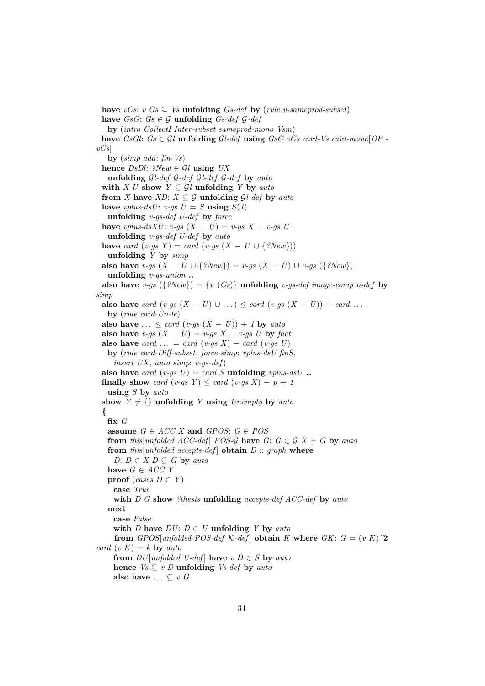**have**  $vGs$ :  $vGs \subseteq Vs$  **unfolding**  $Gs-def$  **by** (*rule v-sameprod-subset*) **have**  $GsG: Gs \in \mathcal{G}$  **unfolding**  $Gs-def \mathcal{G}-def$ **by** (*intro CollectI Inter-subset sameprod-mono Vsm*) **have**  $GsGl: G_s \in Gl$  **unfolding**  $Gl$ -def **using**  $GsG$  vGs card-Vs card-mono $[OF -]$ *vGs*] **by** (*simp add*: *fin-Vs*) **hence**  $DsDl$ : *?New*  $\in$   $\mathcal{G}l$  **using**  $UX$ **unfolding** G*l-def* G*-def* G*l-def* G*-def* **by** *auto* **with** *X U* **show**  $Y \subseteq \mathcal{G}$ *l* **unfolding** *Y* by *auto* **from** *X* have *XD*:  $X \subseteq G$  **unfolding**  $GL-def$  by  $auto$ have *vplus-dsU*: *v-gs U* = *S* **using**  $S(1)$ **unfolding** *v-gs-def U-def* **by** *force* **have** *vplus-dsXU*: *v-gs*  $(X - U) = v$ -gs  $X - v$ -gs U **unfolding** *v-gs-def U-def* **by** *auto* **have** *card* (*v-gs*  $Y$ ) = *card* (*v-gs* ( $X - U \cup \{?New\})$ ) **unfolding** *Y* **by** *simp* **also have** *v-gs* (*X* − *U* ∪ {*?New*}) = *v-gs* (*X* − *U*) ∪ *v-gs* ({*?New*}) **unfolding** *v-gs-union* **.. also have** *v-gs* ({*?New}*) = {*v* (*Gs*)} **unfolding** *v-gs-def image-comp o-def* by *simp* **also have** *card*  $(v-gs(X - U) \cup ...) \leq card(v-gs(X - U)) + card$ ... **by** (*rule card-Un-le*) **also have**  $\ldots \leq \text{card}(v\text{-}gs(X-U)) + 1$  by  $\text{auto}$ **also have**  $v-gs(X - U) = v-gs(X - v-gsU)$  by fact **also have** *card* ... = *card* (*v-gs X*) – *card* (*v-gs U*) **by** (*rule card-Diff-subset*, *force simp*: *vplus-dsU finS*, *insert UX*, *auto simp*: *v-gs-def*) **also have** *card*  $(v$ -*as*  $U$ ) = *card*  $S$  **unfolding** *vplus-ds* $U$  **.. finally show** *card*  $(v-gs \ Y) \leq \text{card}(v-gs \ X) - p + 1$ **using** *S* **by** *auto* show  $Y \neq \{\}$  **unfolding** *Y* **using** *Unempty* by *auto* **{ fix** *G* **assume**  $G \in ACC X$  **and**  $GPOS: G \in POS$ **from** *this*[*unfolded ACC-def*] *POS-G* **have**  $G: G \in \mathcal{G} \times \mathcal{F} \vdash G$  **by** *auto* **from** *this*[*unfolded accepts-def*] **obtain**  $D$  :: *graph* **where** *D*:  $D \in X$   $D \subseteq G$  by *auto* **have** *G* ∈ *ACC Y* **proof** (*cases D*  $\in$  *Y*) **case** *True* **with** *D G* **show** *?thesis* **unfolding** *accepts-def ACC-def* **by** *auto* **next case** *False* **with** *D* have  $DU: D \in U$  **unfolding** *Y* by *auto* **from** *GPOS*[*unfolded POS-def*  $K$ -*def*] **obtain**  $K$  **where**  $GK: G = (v K)^T$ *card*  $(v K) = k$  **by** *auto* **from**  $DU$ [*unfolded U-def*] **have**  $v D \in S$  **by**  $auto$ **hence**  $V_s ⊂ v D$  **unfolding**  $V_s$ -def **by** *auto* also have  $\ldots \subseteq v$  G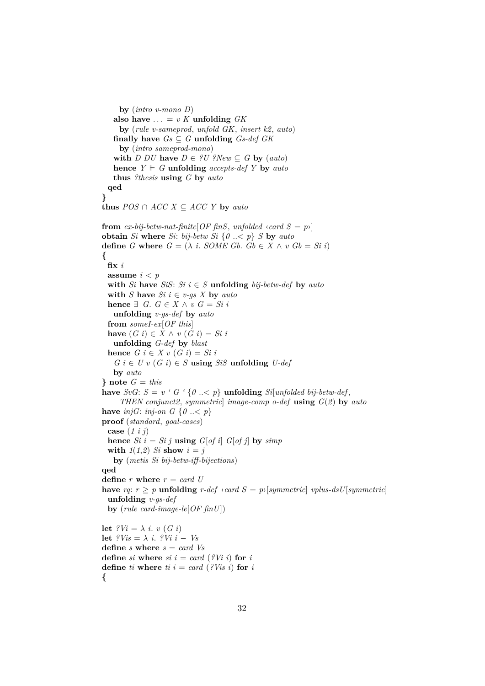**by** (*intro v-mono D*) also have  $\dots = v K$  **unfolding**  $GK$ **by** (*rule v-sameprod*, *unfold GK*, *insert k2*, *auto*) **finally have**  $Gs \subset G$  **unfolding**  $Gs \cdot def$   $GK$ **by** (*intro sameprod-mono*) **with**  $D$   $DU$  **have**  $D \in \{U\}$  ?New  $\subseteq G$  **by** (*auto*) **hence**  $Y \vDash G$  **unfolding** *accepts-def* Y **by** *auto* **thus** *?thesis* **using** *G* **by** *auto* **qed } thus**  $POS \cap ACC \times \subseteq ACC \times \textbf{by} \textbf{auto}$ **from** *ex-bij-betw-nat-finite*[*OF finS*, *unfolded*  $\langle \text{card } S = p \rangle$ ] **obtain** *Si* **where** *Si*: *bij-betw Si* {*0* ..< *p*} *S* **by** *auto* **define** *G* **where**  $G = (\lambda \text{ } i \text{ } . \text{ } SOME \text{ } Gb \text{ } . \text{ } Gb \in X \wedge v \text{ } Gb = Si \text{ } i)$ **{ fix** *i* **assume**  $i < p$ **with** *Si* **have** *SiS*: *Si*  $i \in S$  **unfolding** *bij-betw-def* **by** *auto* **with** *S* **have**  $Si$  *i*  $\in$  *v-gs X* **by**  $auto$ **hence** ∃ *G*.  $G \in X \land v$   $G = Si$  *i* **unfolding** *v-gs-def* **by** *auto* **from** *someI-ex*[*OF this*] **have**  $(G \text{ } i) \in X \land v \text{ } (G \text{ } i) = Si \text{ } i$ **unfolding** *G-def* **by** *blast* **hence**  $G$   $i \in X$   $v$   $(G$   $i) = Si$   $i$  $G$  *i*  $\in$  *U v* (*G i*)  $\in$  *S* **using** *SiS* **unfolding** *U-def* **by** *auto* **}** note  $G = this$ **have**  $SvG$ :  $S = v$  '  $G$  '  $\{0 \leq p\}$  **unfolding**  $Si[unfolded bij-betw-def,$ *THEN conjunct2*, *symmetric*] *image-comp o-def* **using** *G*(*2*) **by** *auto* **have** *injG*: *inj-on G* { $0 \leq p$ } **proof** (*standard*, *goal-cases*) **case** (*1 i j*) **hence** *Si*  $i = Si$  *j* **using** *G*[*of i*] *G*[*of j*] **by** *simp* **with**  $1(1,2)$  *Si* **show**  $i = j$ **by** (*metis Si bij-betw-iff-bijections*) **qed define**  $r$  **where**  $r = card$  *U* **have**  $rq: r \geq p$  **unfolding**  $r$ -def  $\langle card S = p \rangle$ [*symmetric*] *vplus-dsU*[*symmetric*] **unfolding** *v-gs-def* **by** (*rule card-image-le*[*OF finU*]) **let**  $i^{\circ}Vi = \lambda i$ . *v*  $(G i)$ **let**  $?Vis = \lambda i$ .  $?Vi = Vs$ **define** *s* **where** *s* = *card Vs* **define** *si* **where**  $si$  *i* =  $card$  (?V*i i*) **for** *i* **define** *ti* **where** *ti*  $i = \text{card } (\text{?} Vis\text{ } i)$  **for** *i* **{**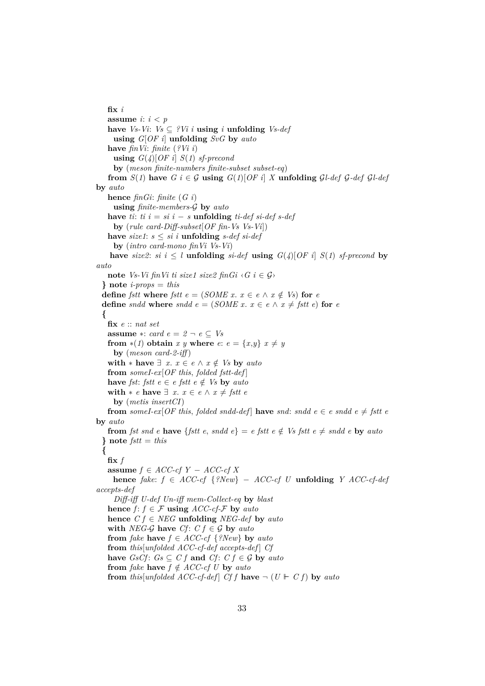**fix** *i* **assume** *i*:  $i < p$ **have** *Vs-Vi*: *Vs* ⊆  $?Vi$ *i i* **<b>using** *i* **unfolding** *Vs-def* **using** *G*[*OF i*] **unfolding** *SvG* **by** *auto* **have** *finVi*: *finite* (*?Vi i*) **using**  $G(4)[OF \, i]$  *S*(*1*) *sf-precond* **by** (*meson finite-numbers finite-subset subset-eq*) **from**  $S(1)$  have  $G$  i  $\in \mathcal{G}$  using  $G(1)[OF$  *i*]  $X$  unfolding  $GL$ -def  $G$ -def  $GL$ -def **by** *auto* **hence** *finGi*: *finite* (*G i*) **using** *finite-members-*G **by** *auto* **have** *ti*:  $ti \, i = si \, i - s$  **unfolding**  $ti\text{-}def \, si\text{-}def \, s\text{-}def$ **by** (*rule card-Diff-subset*[*OF fin-Vs Vs-Vi*]) **have** *size1*:  $s \leq si$  *i* **unfolding**  $s$ -def  $si$ -def **by** (*intro card-mono finVi Vs-Vi*) **have** *size2*: *si*  $i \leq l$  **unfolding** *si-def* **using**  $G(4)[OF \, i]$  *S*(*1*) *sf-precond* **by** *auto* **note** *Vs-Vi* fin*Vi ti size1 size2* fin $Gi \nvert G$  *i*  $\in \mathcal{G}$ *)* **} note** *i-props* = *this* **define** *fstt* **where** *fstt*  $e = (SOME \ x. \ x \in e \ \land \ x \notin Vs)$  **for** *e* **define** *sndd* **where** *sndd*  $e = (SOME x, x \in e \land x \neq fstt e)$  **for**  $e$ **{ fix** *e* :: *nat set* **assume** ∗: *card*  $e = 2 - e \subseteq Vs$ **from**  $*(1)$  **obtain** *x y* **where**  $e: e = \{x, y\}$   $x \neq y$ **by** (*meson card-2-iff* ) **with** ∗ **have**  $\exists$  *x*. *x* ∈ *e*  $\land$  *x* ∉ *Vs* **by** *auto* **from** *someI-ex*[*OF this*, *folded fstt-def* ] **have** *fst: fstt*  $e \in e$  *fstt*  $e \notin V$ s **by** *auto* **with**  $*$  *e* **have**  $\exists$  *x*. *x*  $\in$  *e*  $\land$  *x*  $\neq$  *fstt e* **by** (*metis insertCI*) **from** *someI-ex*[*OF this, folded sndd-def*] **have** *snd: sndd e*  $\in$  *e sndd e*  $\neq$  *fstt e* **by** *auto* **from** *fst snd e* **have** {*fstt e*, *sndd e*} = *e fstt e*  $\notin$  *Vs fstt e*  $\notin$  *sndd e* **by** *auto* **} note** *fstt* = *this* **{**  $\mathbf{fix}$   $f$ **assume** *f* ∈ *ACC-cf Y* − *ACC-cf X* **hence** *fake*: *f* ∈ *ACC-cf* {*?New*} − *ACC-cf U* **unfolding** *Y ACC-cf-def accepts-def Diff-iff U-def Un-iff mem-Collect-eq* **by** *blast* **hence**  $f: f \in \mathcal{F}$  **using**  $ACC\text{-}cf\text{-}\mathcal{F}$  **by**  $auto$ **hence**  $C f \in NEG$  **unfolding** *NEG-def* by *auto* **with** *NEG-G* **have**  $Cf: C f \in G$  **by** *auto* **from** *fake* **have**  $f \in ACC\text{-}cf$   $\{?New\}$  **by** *auto* **from** *this*[*unfolded ACC-cf-def accepts-def* ] *Cf* **have**  $GsCf$ :  $Gs \subseteq C f$  **and**  $Cf$ :  $C f \in \mathcal{G}$  **by**  $auto$ **from** *fake* **have**  $f \notin ACC\text{-}cf U$  **by** *auto* **from** *this*[*unfolded ACC-cf-def*] *Cf f* **have**  $\neg$  (*U*  $\vdash$  *C f*) **by** *auto*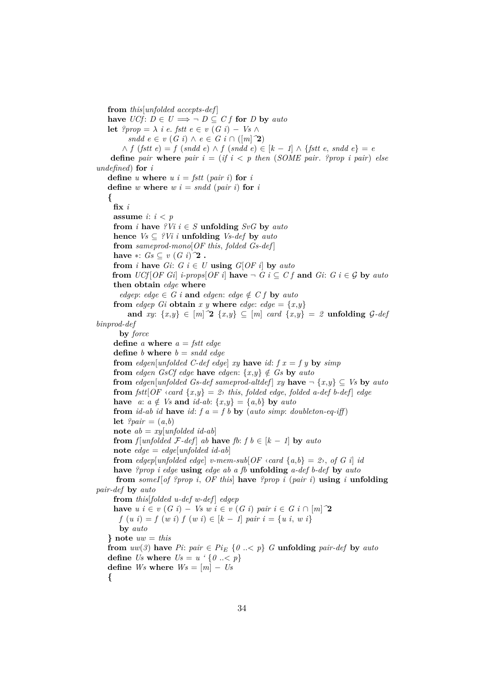**from** *this*[*unfolded accepts-def* ] **have**  $\text{U}Cf: D \in U \implies \neg D \subseteq Cf$  for *D* by *auto* **let**  $?prop = \lambda$  *i e. fstt e* ∈ *v* (*G i*) − *Vs* ∧ *sndd*  $e \in v$  (*G i*) ∧  $e \in G$  *i* ∩ ([*m*]  $\hat{P}$ ) ∧ *f* (*fstt e*) = *f* (*sndd e*) ∧ *f* (*sndd e*) ∈ [*k* − *1*] ∧ {*fstt e*, *sndd e*} = *e* **define** *pair* **where** *pair*  $i = (if \ i \lt p \ then \ (SOME \ pair. \$  *?prop i pair*) *else undefined*) **for** *i* **define** *u* **where**  $u i = f$ *stt* (*pair i*) **for** *i* **define** *w* **where**  $w$   $i = \text{sndd}$  ( $\text{pair } i$ ) **for**  $i$ **{ fix** *i* **assume** *i*: *i* < *p* **from** *i* **have**  $?Vi i \in S$  **unfolding**  $SvG$  **by**  $auto$ **hence**  $Vs \subseteq \{V_i \mid i \text{ uniformly } V_s \leq d \in \text{by } auto$ **from** *sameprod-mono*[*OF this*, *folded Gs-def* ] **have** ∗:  $Gs ⊂ v(G_i)$ <sup>2</sup> **. from** *i* **have**  $Gi: G \in U$  **using**  $G[OF \infty]$  **by**  $auto$ **from**  $\text{U} \text{C} \text{f} [\text{O} \text{F} \text{G} \text{i}]$  *i-props* $\text{[OF i]}$  **have**  $\neg G \text{f} \subseteq C \text{f}$  **and**  $\text{G} \text{i}: G \text{f} \in \mathcal{G}$  by *auto* **then obtain** *edge* **where**  $edge$ : *edge*  $\in$  *G i* **and** *edgen*: *edge*  $\notin$  *C f* **by** *auto* **from** *edgep* Gi **obtain**  $x$   $y$  **where** *edge*:  $edge = \{x,y\}$ **and** *xy*:  $\{x,y\} \in [m]$   $\Omega$   $\{x,y\} \subseteq [m]$  *card*  $\{x,y\} = 2$  **unfolding**  $\mathcal{G}\text{-}def$ *binprod-def* **by** *force* **define** *a* **where** *a* = *fstt edge* **define** *b* **where** *b* = *sndd edge* **from** *edgen*[*unfolded C-def edge*] *xy* **have** *id*:  $f x = f y$  **by** *simp* **from** *edgen GsCf edge* **have** *edgen*:  $\{x, y\} \notin G$ s **by** *auto* **from** *edgen*[*unfolded Gs-def sameprod-altdef*] *xy* **have**  $\neg \{x, y\} \subseteq V$ s **by** *auto* **from**  $fst$ [ $OF \text{ } \langle \text{ } card \ \{x,y\} = 2 \rangle$  *this, folded edge, folded a-def b-def*] *edge* have  $a: a \notin V_s$  and  $id-ab: \{x,y\} = \{a,b\}$  by  $auto$ **from** *id-ab id* **have** *id*:  $f a = f b$  **by** (*auto simp*: *doubleton-eq-iff*) let  $?pair = (a,b)$ **note** *ab* = *xy*[*unfolded id-ab*] **from** *f*[*unfolded*  $\mathcal{F}\text{-}def$ ] *ab* **have**  $fb: f b \in [k-1]$  **by**  $auto$ **note**  $\text{edge} = \text{edge}[\text{unfolded} \text{ id-}a\text{ b}]$ **from** *edgep*[*unfolded edge*] *v-mem-sub*[ $OF \text{ } \langle \text{ }cat\text{ } \{a,b\} = 2 \rangle$ , *of*  $G \text{ } i \text{ } id$ **have** *?prop i edge* **using** *edge ab a fb* **unfolding** *a-def b-def* **by** *auto* **from** *someI*[*of ?prop i*, *OF this*] **have** *?prop i* (*pair i*) **using** *i* **unfolding** *pair-def* **by** *auto* **from** *this*[*folded u-def w-def* ] *edgep* **have**  $u$  *i* ∈  $v$  (*G i*) − *Vs*  $w$  *i* ∈  $v$  (*G i*) *pair*  $i \in G$  *i* ∩ [*m*]  $\hat{2}$  $f(u i) = f(w i) f(w i) \in [k - 1]$  *pair*  $i = \{u i, w i\}$ **by** *auto* **} note** *uw* = *this* **from**  $uw(3)$  **have**  $Pi$ :  $pair \in Pi_E$   $\{0 \leq p\}$  *G* **unfolding**  $pair\text{-}def$  **by**  $auto$ **define** *Us* **where** *Us* = *u '* {*0* ..< *p*} **define**  $Ws$  **where**  $Ws = [m] - Us$ **{**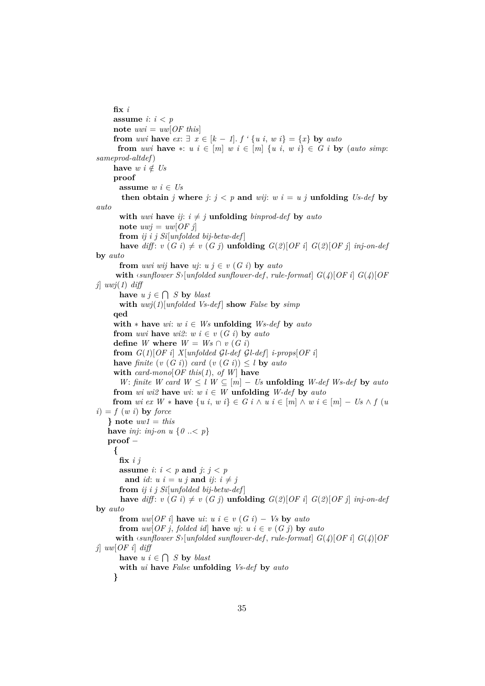**fix** *i* **assume** *i*:  $i < p$ **note**  $uwi = uw[OF this]$ **from** *uwi* **have**  $ex: \exists x \in [k-1]$ .  $f' \{u \in i, w \in i\} = \{x\}$  by *auto* **from** *uwi* **have**  $*$ :  $u \, i \in [m]$   $w \, i \in [m]$   $\{u \, i, w \, i\} \in G$   $i$  **by** (*auto simp*: *sameprod-altdef*) **have**  $w i \notin Us$ **proof assume**  $w i \in U_s$ **then obtain** *j* where  $j: j < p$  and *wij*:  $w i = u j$  **unfolding** *Us-def* by *auto* **with** *uwi* **have** *ij*:  $i \neq j$  **unfolding** *binprod-def* **by** *auto* **note**  $uwj = uw[OFj]$ **from** *ij i j Si*[*unfolded bij-betw-def* ] **have**  $diff: v(G_i) \neq v(G_j)$  **unfolding**  $G(2)[OF_i]$   $G(2)[OF_j]$  *inj-on-def* **by** *auto* **from** *uwi wij* **have**  $ui$ :  $u j \in v$  (*G i*) **by**  $auto$ **with**  $\langle \text{sumflower } S \rangle$  [unfolded sunflower-def, rule-format]  $G(\mathcal{A})$  [OF i]  $G(\mathcal{A})$  [OF *j*] *uwj*(*1*) *diff* **have**  $u \, j \in \bigcap S$  **by** *blast* **with**  $uwj(1)$ [ $unfolded$  *Vs-def*] **show** *False* **by**  $simp$ **qed with**  $*$  **have**  $wi: w \in Ws$  **unfolding**  $Ws$ -def **by**  $auto$ **from** *uwi* **have**  $wi2$ :  $w i \in v$  (*G i*) **by** *auto* **define** *W* where  $W = Ws \cap v(G_i)$ **from**  $G(1)[OF\ i]$   $X[unfolded\ GL-def\ GL-def]$   $i\text{-}props[OF\ i]$ **have** *finite*  $(v(G_i))$  *card*  $(v(G_i)) \leq l$  **by** *auto* **with** *card-mono*[*OF this*(*1*), *of W*] **have** *W*: *finite W card*  $W \leq l$   $W \subseteq [m] - Us$  **unfolding** *W-def Ws-def* by *auto* **from** *wi wi2* **have** *wi*:  $w i \in W$  **unfolding**  $W$ -def **by** *auto* **from** *wi ex*  $W * \textbf{have } \{u \text{ } i, w \text{ } i\} \in G \text{ } i \wedge u \text{ } i \in [m] \wedge w \text{ } i \in [m] - \text{ } U \text{ s } \wedge f \text{ } (u \text{)}$  $i) = f(w i)$  by *force* **} note** *uw1* = *this* **have** *inj*: *inj-on u* {*0* ..< *p*} **proof** − **{ fix** *i j* **assume**  $i: i < p$  **and**  $j: j < p$ and *id*:  $u i = u j$  and  $i j$ :  $i \neq j$ **from** *ij i j Si*[*unfolded bij-betw-def* ] **have** *diff*:  $v(G_i) \neq v(G_j)$  **unfolding**  $G(2)[OF_i]$   $G(2)[OF_j]$  *inj-on-def* **by** *auto* **from**  $uw[OF\ i]$  **have**  $ui: u \ i \in v \ (G\ i) - Vs$  **by**  $auto$ **from**  $uw[OF\ j, folded\ id]$  **have**  $uj: u \ i \in v \ (G\ j)$  **by**  $auto$ with  $\langle \text{sumflower } S \rangle$ [*unfolded sunflower-def*, *rule-format*]  $G(\textit{4})$ [*OF i*]  $G(\textit{4})$ [*OF j*] *uw*[*OF i*] *diff* **have**  $u \, i \in \bigcap S$  **by** *blast* **with** *ui* **have** *False* **unfolding** *Vs-def* **by** *auto* **}**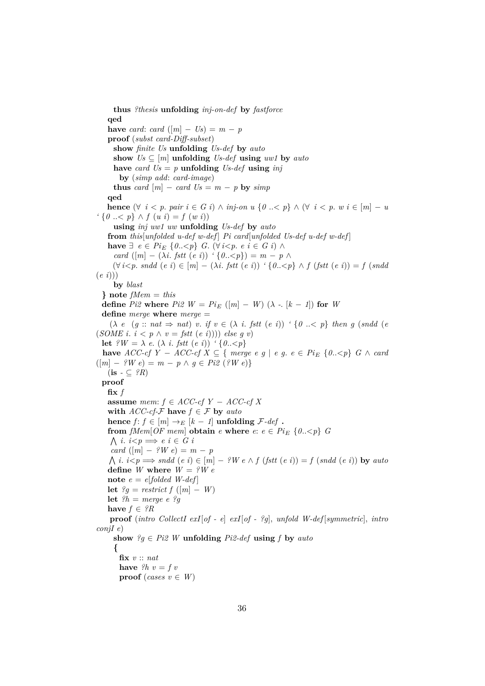**thus** *?thesis* **unfolding** *inj-on-def* **by** *fastforce* **qed have** *card*: *card*  $(|m| - Us) = m - p$ **proof** (*subst card-Diff-subset*) **show** *finite Us* **unfolding** *Us-def* **by** *auto* show  $Us \subseteq [m]$  **unfolding**  $Us$ -def **using**  $uw1$  by  $auto$ have *card*  $Us = p$  **unfolding**  $Us$ -def **using** *inj* **by** (*simp add*: *card-image*) **thus** *card*  $[m]$  − *card*  $Us = m - p$  **by** *simp* **qed hence**  $(\forall i \leq p. \text{ pair } i \in G \text{ } i) \land \text{ inj-on } u \{0 \leq p\} \land (\forall i \leq p. \text{ } w \text{ } i \in [m] - u$ *'* {*0* ..< *p*} ∧ *f* (*u i*) = *f* (*w i*)) **using** *inj uw1 uw* **unfolding** *Us-def* **by** *auto* **from** *this*[*unfolded u-def w-def* ] *Pi card*[*unfolded Us-def u-def w-def* ] **have** ∃  $e \in Pi_E$  { $0.5 < p$ } *G*. (∀ *i*<*p*.  $e$  *i* ∈ *G i*) ∧ *card*  $([m] - (\lambda i. fstt (e i))$   $\{0, \langle p \rangle\} = m - p \wedge$  $(\forall i \leq p \text{.} \text{and} \text{ } (e \text{ } i) \in [m] - (\lambda i \text{.} \text{ } \text{fstt} \text{ } (e \text{ } i))$   $\land$   $(\exists 0 \ldots \leq p) \land$   $f \text{ } (\text{fstt} \text{ } (e \text{ } i)) = f \text{ } (\text{and} \text{ } i)$ (*e i*))) **by** *blast* **} note** *fMem* = *this* **define**  $Pi2$  **where**  $Pi2$   $W = PiE$  ([m] − W) ( $\lambda$  - [k − 1]) **for** *W* **define** *merge* **where** *merge* =  $(\lambda \ e \ (g::nat \Rightarrow nat) \ v \text{. if } v \in (\lambda \ i \ \text{.} fstt \ (e \ i))$  ' $\{0 \ \text{.} \lt p\}$  then g (sndd (e)  $(SOME i. i < p \wedge v = fstt (e i))) \; else \; g \; v)$ **let**  ${}^{\circ}W = \lambda e$ . ( $\lambda i$ . *fstt*  $(e i)$ )  ${}^{\circ}$  {0... **have** *ACC-cf Y* − *ACC-cf X* ⊆ { *merge e g* | *e g. e* ∈ *Pi*<sub>E</sub> {0.. < *p*} *G* ∧ *card*  $([m] - ?W e) = m - p \wedge q \in P i2 ( ?W e)$  $(i\mathbf{s} - \mathbf{C} \ \ ?R)$ **proof**  $\mathbf{fix}$   $f$ **assume** *mem*:  $f \in ACC\text{-}cf$   $Y - ACC\text{-}cf$   $X$ **with**  $\text{ACC-}cf\text{-}\mathcal{F}$  **have**  $f \in \mathcal{F}$  **by** *auto* **hence**  $f: f \in [m] \rightarrow_E [k-1]$  **unfolding**  $\mathcal{F}\text{-}def$ . **from**  $fMem[OF\,mem]$  **obtain**  $e$  **where**  $e: e \in Pi_E$   $\{0..\leq p\}$   $G$  $\bigwedge$  *i*. *i*  $\lt p \implies e \ i \in G \ i$  $card([m] - ?W e) = m - p$  $\Lambda$  *i*. *i*  $\leq p \implies \text{sndd}(e \ i) \in [m] - ?W \ e \wedge f \ (fstt \ (e \ i)) = f \ (sndd \ (e \ i))$  by auto **define** *W* where  $W = ?W e$ **note**  $e = e$  [*folded W-def*] **let**  $?g$  = *restrict*  $f([m] - W)$ **let**  $?h = merge e ?g$ **have**  $f \in {}^{\circ}R$ **proof** (*intro CollectI exI*[*of - e*] *exI*[*of - ?g*], *unfold W-def* [*symmetric*], *intro conjI e*) **show**  $?q \in Pi2$  *W* **unfolding**  $Pi2-def$  **using**  $f$  **by**  $auto$ **{ fix** *v* :: *nat* **have**  $?h v = fv$ **proof** (*cases*  $v \in W$ )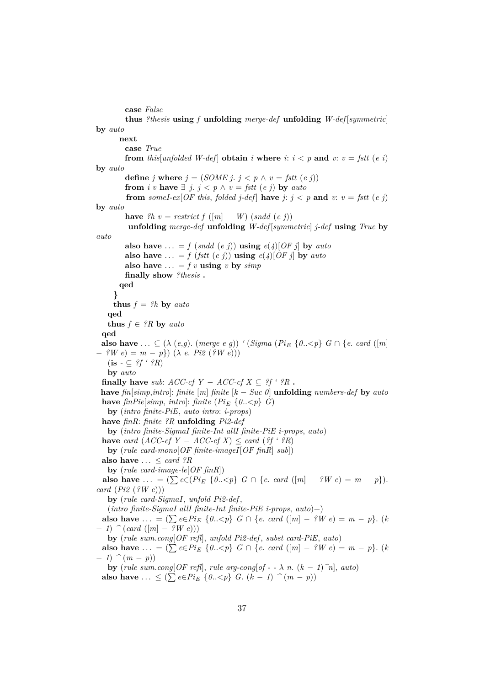**case** *False* **thus** *?thesis* **using** *f* **unfolding** *merge-def* **unfolding** *W-def* [*symmetric*] **by** *auto* **next case** *True* **from** *this*[*unfolded W-def*] **obtain** *i* **where** *i*:  $i < p$  **and**  $v$ :  $v = f$ stt (*e i*) **by** *auto* **define** *j* **where**  $j = (SOME \, j, \, j < p \land v = fstt \, (e \, j))$ **from** *i v* **have**  $\exists$  *j*. *j* < *p*  $\land$  *v* = *fstt* (*e j*) **by** *auto* **from** someI-ex $[OF this, folded j-def]$  have  $j: j < p$  and  $v: v = fstt (e j)$ **by** *auto* **have**  ${}^{\circ}h$   $v = \text{restrict } f([m] - W) (\text{snd } (e \text{ } j))$ **unfolding** *merge-def* **unfolding** *W-def* [*symmetric*] *j-def* **using** *True* **by** *auto* **also have** ... = *f* (*sndd* (*e j*)) **using**  $e(4)[OF \text{ j}]$  by *auto* **also have** ... = *f* (*fstt* (*e j*)) **using**  $e(4)[OF j]$  **by** *auto* also have  $\ldots$  = *f v* **using** *v* by *simp* **finally show** *?thesis* **. qed } thus**  $f = ?h$  **by** *auto* **qed thus**  $f \in {}^{\circ}R$  **by** *auto* **qed also have** ...  $\subseteq (\lambda \ (e,g) \ (degree \ (e,g)) \ (8) \ (8)$  (*Pi*<sub>E</sub> { $0 \leq p$ } *G*  $\cap$  {*e*. *card* ([*m*] − *?W e*) = *m* − *p*}) (λ *e*. *Pi2* (*?W e*)))  $(\mathbf{is} \cdot \subseteq \mathcal{G}f \cdot \mathcal{G}R)$ **by** *auto* **finally have** *sub*:  $ACC-cfY - ACC-cfX \subseteq ?f \cdot ?R$ . **have**  $fin[simp,intro]$ :  $finite [m] finite [k - Succ 0]$  **unfolding**  $numbers-def$  **by**  $auto$ **have**  $\text{fin} \text{Pic}[\text{simp}, \text{intro}]: \text{finite} (\text{Pic} \{0..\leq p\} \text{ } G)$ **by** (*intro finite-PiE*, *auto intro*: *i-props*) **have** *finR*: *finite ?R* **unfolding** *Pi2-def* **by** (*intro finite-SigmaI finite-Int allI finite-PiE i-props*, *auto*) **have** *card*  $(ACC-cfY - ACC-cfX) \leq card (?f \cdot ?R)$ **by** (*rule card-mono*[*OF finite-imageI*[*OF finR*] *sub*]) **also have**  $\ldots \leq$  *card ?R* **by** (*rule card-image-le*[*OF finR*]) **also have** ... =  $(\sum e \in (Pi_E \{0 \dots < p\} \ G \cap \{e \dots \text{ card } ([m] - ?W e) = m - p\}).$ *card* (*Pi2* (*?W e*))) **by** (*rule card-SigmaI*, *unfold Pi2-def* , (*intro finite-SigmaI allI finite-Int finite-PiE i-props*, *auto*)+) **also have** ... =  $(\sum e \in P_i E \{0 \dots < p\} \ G \cap \{e \cdot \text{card } ([m] - ?W e) = m - p\}.$  (*k* − *1*) *^* (*card* ([*m*] − *?W e*))) **by** (*rule sum*.*cong*[*OF refl*], *unfold Pi2-def* , *subst card-PiE*, *auto*) **also have** ... =  $(\sum e \in P_i) \in \{0, \leq p\}$  *G*  $\cap$  {*e*. *card* ( $[m] - ?W e$ ) = *m* − *p*}. (*k*  $-1)$   $\hat{m}$  (*m* − *p*)) **by** (*rule sum.cong*[ $OF$  *refl*], *rule arg-cong*[ $of - -\lambda$  *n.*  $(k - 1)$  $\hat{n}$ ],  $auto)$ **also have** ... ≤ ( $\sum e \in Pi_E$  {*0..<p*} *G*. (*k* − *1*)  $\hat{ }$  (*m* − *p*))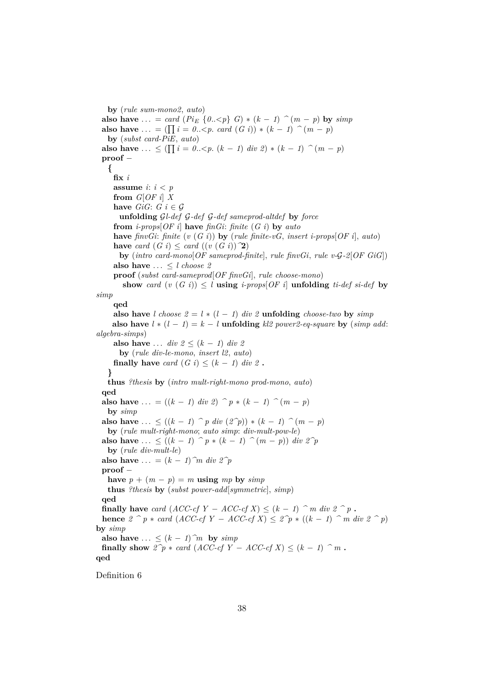**by** (*rule sum-mono2*, *auto*) **also have** ... = *card* ( $Pi_E \{0 \le p\}$ )  $G$ ) \* ( $k - 1$ )  $\hat{}$  ( $m - p$ ) **by** *simp* **also have** ... =  $(\prod_{i=1}^{n} i = 0..< p. \text{ card } (G \text{ } i)) * (k-1) \cap (m-p)$ **by** (*subst card-PiE*, *auto*) **also have** ...  $\leq (\prod_{i=1}^{n} i = 0 \cdot \leq p \cdot (k-1) \text{ div } 2) * (k-1) \cap (m-p)$ **proof** − **{ fix** *i* **assume** *i*: *i* < *p* **from** *G*[*OF i*] *X* **have**  $GiG: G \in \mathcal{G}$ **unfolding** G*l-def* G*-def* G*-def sameprod-altdef* **by** *force* **from** *i-props*[*OF i*] **have** *finGi*: *finite* (*G i*) **by** *auto* **have** *finvGi*: *finite* (*v* (*G i*)) **by** (*rule finite-vG*, *insert i-props*[*OF i*], *auto*) **have** *card*  $(G i) \leq card ((v (G i))$ <sup>2</sup>) **by** (*intro card-mono*[*OF sameprod-finite*], *rule finvGi*, *rule v-*G*-2*[*OF GiG*]) **also have**  $\ldots \leq l$  *choose 2* **proof** (*subst card-sameprod*[*OF finvGi*], *rule choose-mono*) **show** *card*  $(v(G_i)) \leq l$  **using** *i-props*[*OF i*] **unfolding** *ti-def si-def* by *simp* **qed also have** *l choose*  $2 = l * (l - 1)$  *div* 2 **unfolding** *choose-two* by *simp* **also have**  $l * (l - 1) = k - l$  **unfolding**  $kl2 power2 - eq-square$  **by** (*simp add: algebra-simps*) **also have** ... *div*  $2 \leq (k-1)$  *div* 2 **by** (*rule div-le-mono*, *insert l2*, *auto*) **finally have** *card*  $(G i) \leq (k - 1)$  *div 2*. **} thus** *?thesis* **by** (*intro mult-right-mono prod-mono*, *auto*) **qed also have** ... =  $((k-1) \text{ div } 2)$   $\hat{p}$  \*  $(k-1)$   $\hat{(m-p)}$ **by** *simp* **also have** ... ≤  $((k - 1) \cap p \text{ div } (2^p)) * (k - 1) \cap (m - p)$ **by** (*rule mult-right-mono*; *auto simp*: *div-mult-pow-le*) **also have** ... ≤  $((k - 1) \cap p * (k - 1) \cap (m - p))$  *div 2<sup>^p</sup>* **by** (*rule div-mult-le*) **also have**  $\dots = (k-1)$ <sup>n</sup> div  $2^p$ **proof** − **have**  $p + (m - p) = m$  **using**  $mp$  **by**  $simp$ **thus** *?thesis* **by** (*subst power-add*[*symmetric*], *simp*) **qed finally have** *card* (*ACC-cf*  $Y - ACC$ -*cf*  $X$ )  $\leq (k - 1)$   $\hat{m}$  *div*  $2 \hat{p}$ . **hence**  $2 \text{^> p} * \text{card}(ACC\text{-}cf Y - ACC\text{-}cf X) ≤ 2\text{^> p} * ((k - 1) \text{^> m} \text{ div } 2 \text{^> p})$ **by** *simp* also have  $\ldots \leq (k-1)$ <sup> $\hat{m}$ </sup> by  $\text{sim } p$ **finally show**  $2\hat{p}$  ∗ *card* (*ACC-cf Y* − *ACC-cf X*)  $\leq$  (*k* − *1*)  $\hat{p}$  *m* **. qed**

Definition 6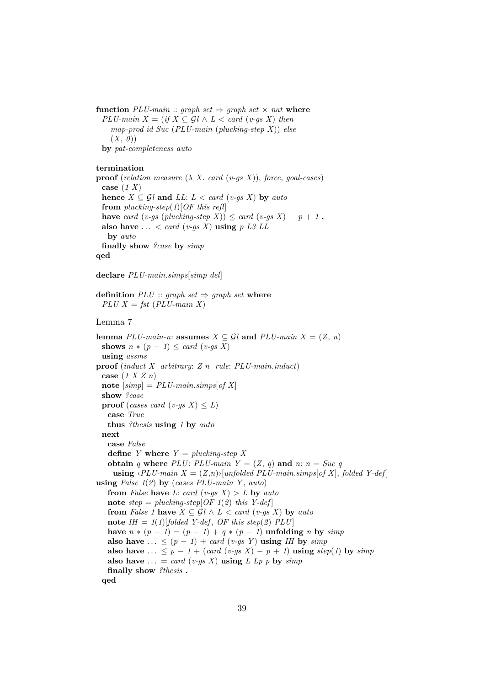**function**  $PLU$ -main :: graph set  $\Rightarrow$  graph set  $\times$  nat where  $PLU$ -main  $X = (if X \subseteq Gl \land L < card (v-gs X) then$ *map-prod id Suc* (*PLU-main* (*plucking-step X*)) *else* (*X*, *0*)) **by** *pat-completeness auto*

#### **termination**

**proof** (*relation measure*  $(\lambda X \cdot \text{card}(v-gs X))$ , *force*, *goal-cases*) **case** (*1 X*) **hence**  $X \subseteq \mathcal{G}$ *l* **and**  $LL$ :  $L < \text{card } (v\text{-}gs \ X)$  by  $\text{auto}$ **from** *plucking-step*(*1*)[*OF this refl*] **have** *card*  $(v-gs$   $(\text{plucting-step } X) \leq \text{card } (v-gs X) - p + 1$ . also have  $\ldots$  < *card* (*v-gs X*) **using**  $p$  L3 LL **by** *auto* **finally show** *?case* **by** *simp* **qed**

**declare** *PLU-main*.*simps*[*simp del*]

**definition**  $PLU$  :: *graph set*  $\Rightarrow$  *graph set* **where**  $PLU X = fst (PLU - main X)$ 

#### Lemma 7

**lemma**  $PLU$ -main-n: **assumes**  $X \subseteq \mathcal{G}l$  **and**  $PLU$ -main  $X = (Z, n)$ **shows**  $n * (p - 1) \leq card (v-gs X)$ **using** *assms* **proof** (*induct X arbitrary*: *Z n rule*: *PLU-main*.*induct*) **case** (*1 X Z n*)  $\textbf{note}$   $|simp| = PLU$ -main.*simps* $|of X|$ **show** *?case* **proof** (*cases card* (*v-qs X*)  $\leq L$ ) **case** *True* **thus** *?thesis* **using** *1* **by** *auto* **next case** *False* **define** *Y* **where**  $Y = plucking-step X$ **obtain** *q* where *PLU*: *PLU-main*  $Y = (Z, q)$  and *n*:  $n = Succ q$ **using**  $\langle PLU$ -main  $X = (Z,n)$ <sup>[unfolded PLU-main.simps[of X], folded Y-def]</sup> **using** *False 1*(*2*) **by** (*cases PLU-main Y* , *auto*) **from** *False* **have** *L*: *card* (*v-gs X*)  $> L$  **by** *auto* **note**  $step = plucking-step[OF 1(2) this Y-def]$ **from** *False* 1 **have**  $X \subseteq \mathcal{G}l \wedge L < \text{card}(v\text{-}gs X)$  by *auto* **note**  $IH = 1(1)$ [*folded Y-def, OF this step*(2)  $PLU$ ] **have**  $n * (p - 1) = (p - 1) + q * (p - 1)$  **unfolding**  $n$  **by** *simp* **also have** ...  $\leq (p-1) + \text{card}(v\text{-}gs \text{Y})$  **using** *IH* by *simp* **also have** ...  $\leq p - 1 + (card (v-gs X) - p + 1)$  **using**  $step(1)$  by  $simp$ also have  $\ldots = \text{card}(v\text{-}gs\ X)$  using *L Lp p* by  $\text{sim}p$ **finally show** *?thesis* **. qed**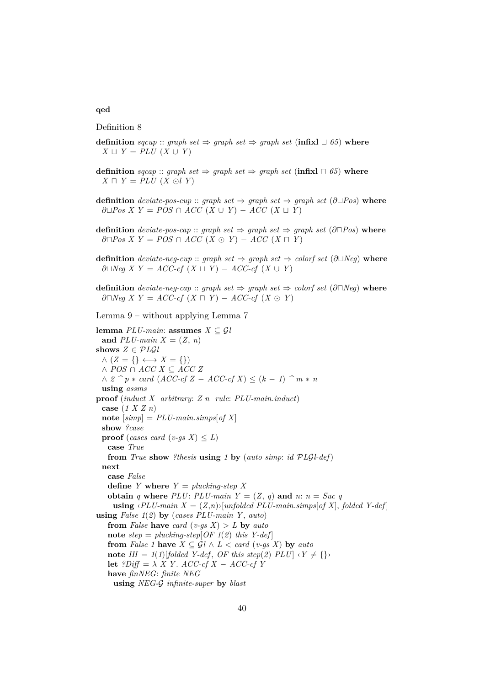# **qed**

Definition 8

- **definition** *sqcup* :: *graph set*  $\Rightarrow$  *graph set*  $\Rightarrow$  *graph set* (**infixl**  $\sqcup$  65) **where** *X*  $\sqcup$  *Y* = *PLU* (*X* ∪ *Y*)
- **definition**  $\text{sqcap}$  ::  $\text{graph set} \Rightarrow \text{graph set} \Rightarrow \text{graph set} (\text{infixl} \sqcap 65)$  where  $X \sqcap Y = PLU$   $(X \odot l Y)$
- **definition** *deviate-pos-cup* :: *graph set*  $\Rightarrow$  *graph set*  $\Rightarrow$  *graph set* ( $\partial \Box Pos$ ) **where**  $∂□Pos X Y = POS ∩ ACC (X ∪ Y) - ACC (X ∪ Y)$
- **definition** *deviate-pos-cap* :: *graph set*  $\Rightarrow$  *graph set*  $\Rightarrow$  *graph set* (∂ $\Box Pos$ ) **where**  $\partial \Box Pos X Y = POS \cap ACC (X \odot Y) - ACC (X \Box Y)$
- **definition** *deviate-neg-cup* :: *graph set*  $\Rightarrow$  *graph set*  $\Rightarrow$  *colorf set* (∂ $\Box$ *Neg*) **where**  $∂□Neg X Y = ACC-cf (X □ Y) - ACC-cf (X � ∪ Y)$
- **definition** *deviate-neg-cap* :: *graph set*  $\Rightarrow$  *graph set*  $\Rightarrow$  *colorf set* (∂ $\cap$ *Neg*) **where** ∂ $\Box Neg$  *X*  $Y = ACC\text{-}cf$  (*X*  $\Box$  *Y*) − *ACC*-cf (*X*  $\odot$  *Y*)

Lemma 9 – without applying Lemma 7

**lemma**  $PLU\text{-}main:$  **assumes**  $X \subseteq \mathcal{G}l$ and  $PLU$ -main  $X = (Z, n)$ **shows**  $Z \in \mathcal{P} L\mathcal{G}$ *l*  $\wedge$  ( $Z = \{\} \longleftrightarrow X = \{\})$ ∧ *POS* ∩ *ACC X* ⊆ *ACC Z*  $\land$  2  $\hat{p}$  ∗ *card* (*ACC-cf Z* − *ACC-cf X*) ≤ (*k* − *1*)  $\hat{p}$  *m* ∗ *n* **using** *assms* **proof** (*induct X arbitrary*: *Z n rule*: *PLU-main*.*induct*) **case** (*1 X Z n*)  $\mathbf{note}$  [ $simp$ ] =  $PLU$ -main.*simps*[of X] **show** *?case* **proof** (*cases card* (*v-gs*  $X$ )  $\leq L$ ) **case** *True* **from** *True* **show** *?thesis* **using** *1* **by** (*auto simp*: *id* P*L*G*l-def*) **next case** *False* **define** *Y* **where**  $Y = \text{plucking-step } X$ **obtain** *q* where *PLU*: *PLU-main*  $Y = (Z, q)$  and *n*:  $n = Succ q$ **using**  $\langle PLU$ -main  $X = (Z,n)$ <sup>[unfolded PLU-main.simps] of X], folded Y-def]</sup> **using** *False 1*(*2*) **by** (*cases PLU-main Y* , *auto*) **from** *False* **have** *card* (*v-gs X*)  $> L$  **by** *auto* **note**  $step = plucking-step[OF 1(2) this Y-def]$ **from** *False* 1 **have**  $X \subseteq \mathcal{G}l \wedge L < \text{card}(v\text{-}gs\ X)$  by *auto* **note**  $IH = 1(1)$ [folded Y-def, OF this step(2)  $PLU \rvert \rvert Y \neq \rvert$ **let**  $?Diff = \lambda X Y$ . *ACC-cf X* − *ACC-cf Y* **have** *finNEG*: *finite NEG* **using** *NEG-*G *infinite-super* **by** *blast*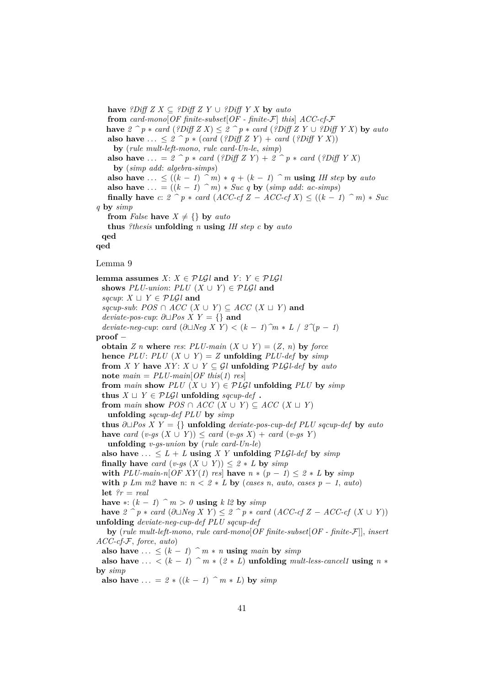**have** *?Diff Z X* ⊆ *?Diff Z Y* ∪ *?Diff Y X* **by** *auto* **from** *card-mono*[*OF finite-subset*[*OF - finite-*F] *this*] *ACC-cf-*F **have**  $2^{\sim} p * \text{card}$  (?Diff  $Z X$ ) ≤  $2^{\sim} p * \text{card}$  (?Diff  $Z Y$  ∪ ?Diff  $Y X$ ) by auto **also have** ... <  $2 \cap p * (card (?Diff Z Y) + card (?Diff Y X))$ **by** (*rule mult-left-mono*, *rule card-Un-le*, *simp*) **also have** ... =  $2^p * card$  (*?Diff Z Y*) +  $2^p * card$  (*?Diff Y X*) **by** (*simp add*: *algebra-simps*) **also have** ...  $\leq ((k-1) ^\frown m) * q + (k-1) ^\frown m$  **using** *IH step* by *auto* **also have** ... =  $((k - 1)$   $\hat{m})$  \* *Suc q* **by** (*simp add: ac-simps*) **finally have**  $c: 2 \, \hat{\ } \, p * \text{ card } (ACC\text{-}cf Z - ACC\text{-}cf X) \le ((k-1) \, \hat{\ } \, m) * \text{Suc}$ *q* **by** *simp* **from** *False* **have**  $X \neq \{\}$  **by** *auto* **thus** *?thesis* **unfolding** *n* **using** *IH step c* **by** *auto* **qed qed** Lemma 9 **lemma assumes**  $X: X \in \mathcal{P} \cup \mathcal{G} \cup \mathcal{G} \cup \mathcal{G} \cup \mathcal{G} \cup \mathcal{G} \cup \mathcal{G} \cup \mathcal{G} \cup \mathcal{G} \cup \mathcal{G} \cup \mathcal{G} \cup \mathcal{G} \cup \mathcal{G} \cup \mathcal{G} \cup \mathcal{G} \cup \mathcal{G} \cup \mathcal{G} \cup \mathcal{G} \cup \mathcal{G} \cup \mathcal{G} \cup \mathcal{G} \cup \mathcal{G} \cup \mathcal{G} \cup \mathcal{G} \cup \mathcal{G} \$ **shows**  $PLU\text{-}union: PLU(X \cup Y) \in PLGL$  and *sqcup*:  $X \sqcup Y \in \mathcal{P} \mathcal{L} \mathcal{G} \mathcal{U}$  and  $sqcup\text{-}sub: POS \cap ACC(X \cup Y) \subseteq ACC(X \cup Y)$  and *deviate-pos-cup*:  $\partial$ ∟*Pos X Y* = {} **and** *deviate-neg-cup*: *card*  $(\partial \Box Neg X Y) < (k - 1)$ <sup>*^m*</sup> ∗ *L* /  $2^{\gamma}(p - 1)$ **proof** − **obtain** *Z n* **where** *res*:  $PLU$ -main  $(X \cup Y) = (Z, n)$  by force **hence**  $PLU: PLU(X \cup Y) = Z$  **unfolding**  $PLU\text{-}def$  **by**  $\text{sim}p$ **from** *X Y* **have**  $XY: X \cup Y \subseteq \mathcal{G}$ *l* **unfolding**  $\mathcal{P} \mathcal{L} \mathcal{G}$ *l-def* by *auto* **note**  $main = PLU$ -main $[OF this (1)$  res **from** main **show**  $PLU(X \cup Y) \in PLGl$  **unfolding**  $PLU$  by  $simp$ **thus**  $X \sqcup Y \in \mathcal{P} \mathcal{L} \mathcal{G} \mathcal{U}$  **unfolding** sqcup-def. **from** *main* **show**  $POS \cap ACC$  ( $X \cup Y$ )  $\subseteq ACC$  ( $X \sqcup Y$ ) **unfolding** *sqcup-def PLU* **by** *simp* **thus**  $∂□Pos X Y = {}$  **unfolding** *deviate-pos-cup-def PLU sqcup-def* by *auto* **have** *card*  $(v-gs(X \cup Y)) \leq card(v-gs(X)) + card(v-gs(Y))$ **unfolding** *v-gs-union* **by** (*rule card-Un-le*) also have  $\ldots \leq L + L$  **using** *X Y* **unfolding**  $PLGL+def$  **by**  $simp$ **finally have** *card*  $(v-gs(X \cup Y)) \leq 2 * L$  **by**  $simp$ **with**  $PLU\text{-}main\text{-}n[OF XY(1) res]$  have  $n * (p - 1) \leq 2 * L$  by  $simp$ **with**  $p \, \text{Lm} \, m2$  **have**  $n: n < 2 * L$  **by** (*cases n, auto, cases p – 1, auto*) **let** *?r* = *real* **have** ∗:  $(k − 1)$   $\hat{m} > 0$  **using**  $k \& 2$  **by**  $\textit{simp}$ **have**  $2 \text{ }^{\frown} p \ast \text{ card } (\partial \Box \text{Neg } X \text{ } Y) \leq 2 \text{ }^{\frown} p \ast \text{ card } (ACC\text{-}cf Z - ACC\text{-}cf (X \cup Y))$ **unfolding** *deviate-neg-cup-def PLU sqcup-def* **by** (*rule mult-left-mono*, *rule card-mono*[*OF finite-subset*[*OF - finite-*F]], *insert ACC-cf-*F, *force*, *auto*) also have  $\dots \leq (k-1)$   $\hat{m} * n$  **using**  $main$  by  $simp$ also have ... <  $(k - 1)$   $\hat{m} * (2 * L)$  **unfolding**  $mult-less-cancell$  **using**  $n *$ **by** *simp* **also have**  $\ldots = 2 * ((k - 1)$  *^ m* \* *L*) **by** *simp*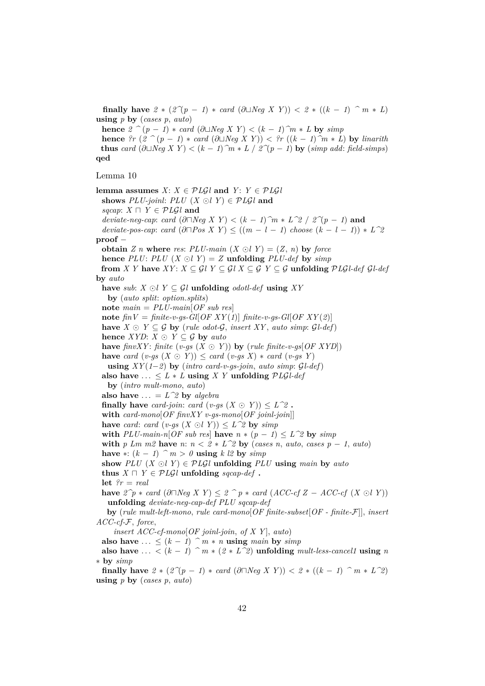**finally have**  $2 * (2^7(p - 1) * card (∂□Neg X Y)) < 2 * ((k - 1) ^ m * L)$ **using** *p* **by** (*cases p*, *auto*)

**hence**  $2 \textit{^{\textcirc}} (p-1) * \textit{card} (\partial \Box \textit{Neg} X Y) < (k-1) \textit{^{\textcirc}} m * L$  **by**  $\textit{simp}$ 

**hence**  $?r$  ( $2 \text{ }^>$  ( $p$  − 1)  $*$  *card* (∂ $\cup$ *Neg X Y*)) <  $?r$  (( $k$  − 1) $\hat{ }m * L$ ) by *linarith* **thus** *card* (∂ $\Box$ *Neg X Y*) < (*k* − *1*)  $\hat{m}$  ∗ *L* /  $2\hat{\ }$ (*p* − *1*) **by** (*simp add: field-simps*) **qed**

Lemma 10

**lemma assumes**  $X: X \in \mathcal{P} \cup \mathcal{G} \cup \mathcal{G} \cup \mathcal{G} \cup \mathcal{G} \cup \mathcal{G} \cup \mathcal{G} \cup \mathcal{G} \cup \mathcal{G} \cup \mathcal{G} \cup \mathcal{G} \cup \mathcal{G} \cup \mathcal{G} \cup \mathcal{G} \cup \mathcal{G} \cup \mathcal{G} \cup \mathcal{G} \cup \mathcal{G} \cup \mathcal{G} \cup \mathcal{G} \cup \mathcal{G} \cup \mathcal{G} \cup \mathcal{G} \cup \mathcal{G} \cup \mathcal{G} \$ **shows**  $PLU$ -joinl:  $PLU$   $(X \bigcirc l Y) \in PLGL$  and *sqcap*:  $X \sqcap Y \in \mathcal{P} L\mathcal{G}$ *l* and  $deviate-neg-cap: card$   $(\partial \Box Neg X Y) < (k-1)\hat{m} * L^2/2 / 2\hat{m} - 1$  and  $deviate\text{-}pos\text{-}cap: card\ (\partial \Box Pos\ X\ Y) \leq ((m-l-1) \text{ choose } (k-l-1)) * L^2$ **proof** − **obtain** *Z n* **where** *res*:  $PLU$ -main  $(X \bigcirc U) = (Z, n)$  by force **hence**  $PLU$ :  $PLU(X \odot U) = Z$  **unfolding**  $PLU\text{-}def$  **by**  $\text{sim}p$ **from** *X Y* have *XY*:  $X \subseteq \mathcal{G}$ *l Y*  $\subseteq \mathcal{G}$ *l X*  $\subseteq \mathcal{G}$  *Y*  $\subseteq \mathcal{G}$  **unfolding**  $\mathcal{P} L\mathcal{G}$ *l-def* **by** *auto* **have** *sub*: *X* ⊙*l Y* ⊆ *Gl* **unfolding** *odotl-def* **using** *XY* **by** (*auto split*: *option*.*splits*) **note** *main* = *PLU-main*[*OF sub res*] **note**  $\hat{h}N = \hat{h}$  *finite-v-gs-Gl*[*OF XY(1*)]  $\hat{h}$  *finite-v-gs-Gl*[*OF XY(2*)] **have** *X* ⊙ *Y* ⊆ G **by** (*rule odot-G*, *insert XY*, *auto simp*:  $GLdef)$ **hence** *XYD*:  $X \odot Y \subseteq G$  **by** *auto* **have** *finvXY*: *finite* (*v-gs*  $(X \odot Y)$ ) **by** (*rule finite-v-gs*[*OF XYD*]) **have** *card*  $(v-gs(X \odot Y)) \leq card(v-gs(X)) * card(v-gs(Y))$ **using**  $XY(1-2)$  **by** (*intro card-v-gs-join*, *auto simp*:  $GL-def)$ ) also have  $\dots \leq L * L$  using *X Y* unfolding  $PLGL-def$ **by** (*intro mult-mono*, *auto*) **also have**  $\ldots = L^2 \mathbb{R}$  by *algebra* **finally have** *card-join: card*  $(v-gs(X \odot Y)) \leq L^2$ . **with** *card-mono*[*OF finvXY v-gs-mono*[*OF joinl-join*]] **have** *card*: *card*  $(v-gs(X \odot l Y)) \leq L^2$  **by** *simp* **with**  $PLU\text{-}main\text{-}n[OF\text{ sub res}]$  **have**  $n * (p - 1) \leq L^2 \text{ by } \text{ sim }p$ **with**  $p \text{ } Lm \text{ } m2$  **have**  $n: n < 2 * L^2$  **by** (*cases n, auto, cases p* − 1, *auto*) **have** ∗:  $(k - 1)$   $\hat{m} > 0$  **using**  $k \& 2$  **by**  $simp$ show  $PLU(X \odot I) \in PLGI$  unfolding  $PLU$  using *main* by *auto* **thus**  $X \sqcap Y \in \mathcal{P} \mathcal{L} \mathcal{G} \mathcal{U}$  **unfolding** *sqcap-def* . **let** *?r* = *real* **have**  $2^p$ <sup>*γ*</sup> ∗ *card* (∂ $\Box$ *Neg X Y*) ≤  $2^p$ <sup>*γ*</sup> ∗ *card* (*ACC-cf Z* − *ACC-cf* (*X*  $\odot$ *l Y*)) **unfolding** *deviate-neg-cap-def PLU sqcap-def* **by** (*rule mult-left-mono*, *rule card-mono*[*OF finite-subset*[*OF - finite-*F]], *insert ACC-cf-*F, *force*, *insert ACC-cf-mono*[*OF joinl-join*, *of X Y* ], *auto*) **also have** ... <  $(k - 1)$   $\hat{m} * n$  **using** *main* **by** *simp* **also have** ... <  $(k - 1)$   $\hat{m} * (2 * L^2)$  **unfolding** *mult-less-cancel1* **using** *n* ∗ **by** *simp* **finally have**  $2 * (2^7p - 1) * card (\partial \Box Neg X Y)) < 2 * ((k - 1) ^ n * L^2)$ 

**using** *p* **by** (*cases p*, *auto*)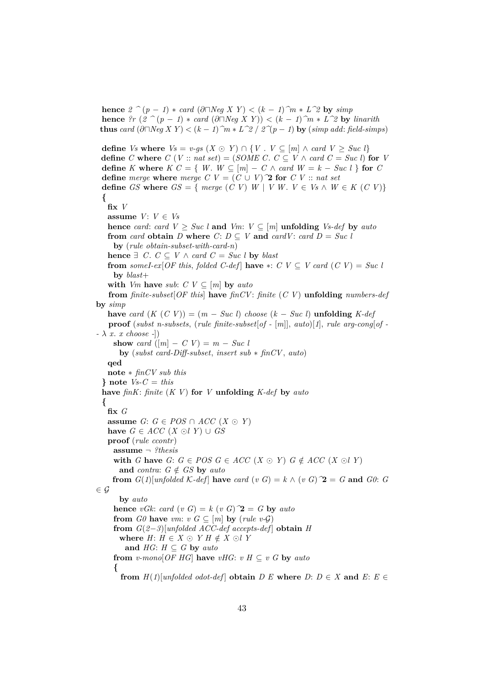**hence**  $2 \textit{^{\textcirc}} (p-1) * \textit{card} (\partial \Box \textit{Neg} X Y) < (k-1) \textit{^{\textcirc}} m * L \textit{^{\textcirc}} 2$  by  $\textit{simp}$ **hence**  $?r$  ( $2$   $\hat{ }$  ( $p - 1$ )  $*$  *card* (∂ $\cap$ *Neg X Y*)) < ( $k - 1$ )  $\hat{ }$ *m*  $*$  *L*<sup> $\hat{ }$ 2 **by** *linarith*</sup> **thus** *card*  $(∂\Box Neg X Y) < (k − 1)$ <sup> $\hat{} m * L^2 / 2^(p − 1)$  **by** (*simp add: field-simps*)</sup>

```
define Vs where V_s = v-gs (X \odot Y) \cap \{V : V \subseteq [m] \land card V > Suc \}define C where C (V :: nat set) = (SOME C. C \subseteq V \wedge card C = Suc \ l) for Vdefine K where K C = \{ W, W \subseteq [m] - C \land \text{card } W = k - \text{Suc } l \} for C
 define merge where merge C V = (C \cup V)^{\dagger} for C V :: nat set
 define GS where GS = \{ \text{ merge } (C \ V) \ W \mid V \ W. \ V \in V_s \land W \in K \ (C \ V) \}{
   fix V
   assume V: V \in V_shence card: card V \geq Suc l and Vm: V \subseteq [m] unfolding Vs-def by auto
   from card obtain D where C: D \subseteq V and card V: card D = Succ Uby (rule obtain-subset-with-card-n)
   hence ∃ C. C ⊂ V ∧ card C = Succ l by blast
   from someI-ex[OF this, folded C-def] have *: C V \subseteq V card (C V) = Suc l
     by blast+
   with Vm have sub: C V \subseteq [m] by auto
   from finite-subset[OF this] have finCV: finite (C V) unfolding numbers-def
by simp
   have card (K(C V)) = (m - Suc l) choose (k - Suc l) unfolding K-defproof (subst n-subsets, (rule finite-subset[of - [m]], auto)[1], rule arg-cong[of -
- λ x. x choose -])
    show card (|m| - C V) = m - Sucby (subst card-Diff-subset, insert sub ∗ finCV, auto)
   qed
   note ∗ finCV sub this
 \} note Vs - C = thishave finK: finite (K V) for V unfolding K-def by auto
 {
   fix G
   assume G: G ∈ POS ∩ ACC (X ⊙ Y)
   have G \in ACC (X ⊙l Y) ∪ GS
   proof (rule ccontr)
    assume ¬ ?thesis
     with G have G: G \in POS G \in ACC (X \odot Y) G \notin ACC (X \odot I)and contra: G \notin GS by auto
    from G(1)[unfolded K-def] have card (v G) = k \wedge (v \ G) \mathbf{2} = G and G0: G
\in \mathcal{G}by auto
     hence vGk: card (v \ G) = k \ (v \ G) \ \mathbf{2} = G by auto
     from G0 have vm: v G \subseteq [m] by (rule v-G)
     from G(2-3)[unfolded ACC-def accepts-def] obtain H
      where H: H \in X \odot YH \notin X \odot Iand HG: H \subseteq G by auto
     from v-mono[OFHG] have vHG: vH\subseteq vG by auto{
       from H(1)[unfolded odot-def] obtain D E where D: D \in X and E: E \in
```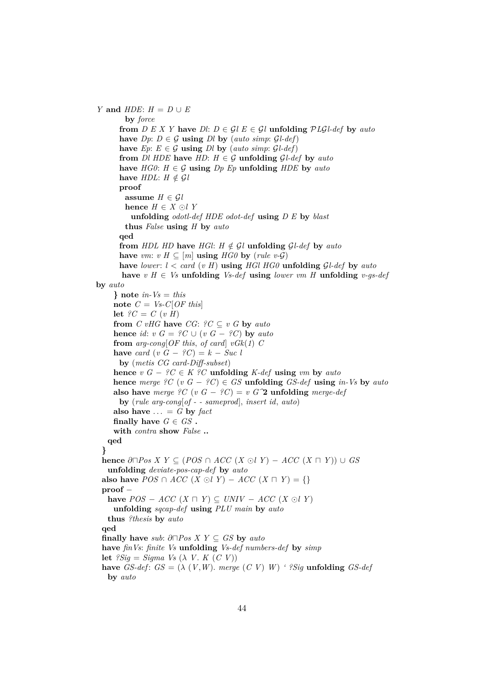*Y* and  $HDE: H = D \cup E$ **by** *force* **from**  $D E X Y$  have  $D I: D \in \mathcal{G} I E \in \mathcal{G} I$  unfolding  $\mathcal{P} L \mathcal{G} I$ -def by auto **have**  $Dp: D \in \mathcal{G}$  **using**  $Dl$  **by** (*auto simp*:  $\mathcal{G}l$ -*def*) **have**  $Ep: E \in \mathcal{G}$  **using**  $D \cup b$ **y** (*auto simp*:  $\mathcal{G} \cup \{def\}$ ) **from** *Dl HDE* **have**  $HD: H \in \mathcal{G}$  **unfolding**  $GL-def$  **by**  $auto$ **have**  $HG0: H \in \mathcal{G}$  **using**  $Dp$   $Ep$  **unfolding**  $HDE$  **by**  $auto$ **have**  $HDL: H \notin GL$ **proof assume**  $H \in \mathcal{G}$ *l* **hence**  $H \in X \odot I$  *Y* **unfolding** *odotl-def HDE odot-def* **using** *D E* **by** *blast* **thus** *False* **using** *H* **by** *auto* **qed from**  $HDL$   $HD$  **have**  $HGl$ :  $H \notin Gl$  **unfolding**  $Gl$ -def **by**  $auto$ **have** *vm*:  $v \ H \subseteq [m]$  **using**  $H \ G0$  **by** (*rule v-G*) **have** *lower*: *l* < *card* (*v H*) **using** *HGl HG0* **unfolding** G*l-def* **by** *auto* **have** *v H* ∈ *Vs* **unfolding** *Vs-def* **using** *lower vm H* **unfolding** *v-gs-def* **by** *auto*  $}$  note *in-Vs* = *this* **note**  $C = Vs-C[OF this]$ **let**  $?C = C (v H)$ **from**  $C$  *vHG* **have**  $CG:$   $?C \subseteq v$   $G$  **by**  $auto$ **hence** *id*:  $v G = ?C \cup (v G - ?C)$  **by** *auto* **from**  $arg\text{-}cong[OF this, of card]$   $vGk(1)$  *C* **have** *card*  $(v \ G - \ \n}C) = k - Suc \ l$ **by** (*metis CG card-Diff-subset*) **hence**  $v G - {}^2C \in K {}^2C$  **unfolding** *K-def* **using**  $vm$  **by**  $auto$ **hence** *merge*  ${}^{\circ}C$  (*v*  $G - {}^{\circ}C$ )  $\in$  *GS* **unfolding** *GS-def* **using** *in-Vs* **by** *auto* **also have** *merge*  ${}^2C$  (*v*  $G - {}^2C$ ) = *v*  $G^2$  **unfolding** *merge-def* **by** (*rule arg-cong*[*of - - sameprod*], *insert id*, *auto*) also have  $\ldots = G$  by *fact* **finally have**  $G \in GS$ . **with** *contra* **show** *False* **.. qed } hence**  $\partial \Box Pos X Y \subseteq (POS \cap ACC (X ∘ U) - ACC (X ∩ Y)) \cup GS$ **unfolding** *deviate-pos-cap-def* **by** *auto* **also have**  $POS \cap ACC$  (*X* ⊙*l Y*) −  $ACC$  (*X*  $\cap$  *Y*) = {} **proof** − **have**  $POS - ACC$  ( $X ⊓ Y$ ) ⊆ *UNIV* −  $ACC$  ( $X ⊙ Y$ ) **unfolding** *sqcap-def* **using** *PLU main* **by** *auto* **thus** *?thesis* **by** *auto* **qed finally have**  $sub: \partial \Box Pos \times Y \subseteq GS$  by  $auto$ **have** *finVs*: *finite Vs* **unfolding** *Vs-def numbers-def* **by** *simp* **let**  $?Siq = Siqma$  *Vs*  $(\lambda V, K(CV))$ **have** *GS-def*:  $GS = (\lambda (V, W))$ . *merge*  $(C V) W$  *' ?Sig* **unfolding** *GS-def* **by** *auto*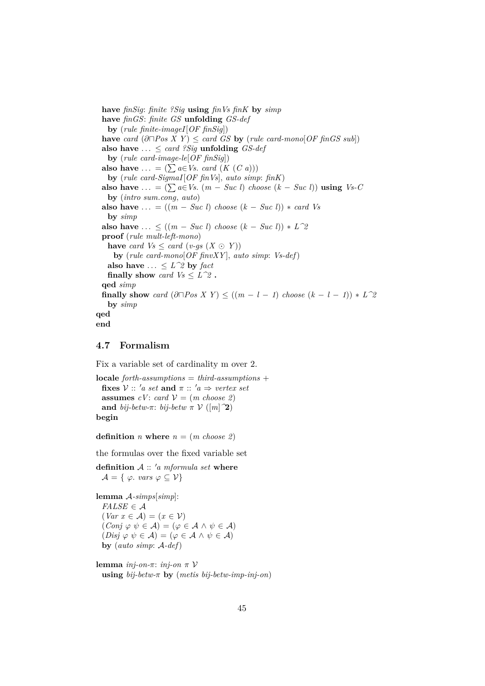**have** *finSig*: *finite ?Sig* **using** *finVs finK* **by** *simp* **have** *finGS*: *finite GS* **unfolding** *GS-def* **by** (*rule finite-imageI*[*OF finSig*]) **have** *card*  $(\partial \Box Pos X Y) \leq card GS$  **by** (*rule card-mono*[*OF finGS sub*]) also have  $\ldots \leq \text{card }$  *?Sig* **unfolding** *GS-def* **by** (*rule card-image-le*[*OF finSig*]) **also have** ... =  $(\sum a \in V_s$ . *card*  $(K (C a)))$ **by** (*rule card-SigmaI*[*OF finVs*], *auto simp*: *finK*) **also have** ... =  $(\sum a \in V_s$ .  $(m - Suc l)$  *choose*  $(k - Suc l)$  **using**  $V_s$ -*C* **by** (*intro sum*.*cong*, *auto*) **also have**  $\dots = ((m - Suc l) \text{ choose } (k - Suc l)) * \text{ card } Vs$ **by** *simp* **also have** ... ≤  $((m - Suc l) \text{ choose } (k - Suc l)) * L^2$ **proof** (*rule mult-left-mono*) **have** *card*  $Vs \leq card (v-gs (X \odot Y))$ **by** (*rule card-mono*[*OF finvXY* ], *auto simp*: *Vs-def*) **also have**  $\ldots \leq L^2 \, \text{by}$  *fact* **finally show** *card*  $Vs \leq L^22$  **. qed** *simp* **finally show** *card*  $(\partial \Box Pos X Y) \le ((m - l - 1) \text{ choose } (k - l - 1)) * L^2$ **by** *simp* **qed end**

## <span id="page-44-0"></span>**4.7 Formalism**

Fix a variable set of cardinality m over 2.

```
locale forth-assumptions = third-assumptions +
  fixes V :: 'a \text{ set and } \pi :: 'a \Rightarrow \text{vertex set}assumes cV: card V = (m \; choose \; 2)and bij-betw-\pi: bij-betw \pi \mathcal{V} ([m]<sup>2</sup>)
begin
```
**definition** *n* **where**  $n = (m \text{ choose } 2)$ 

the formulas over the fixed variable set

**definition**  $A :: 'a$  *mformula set* **where**  $\mathcal{A} = \{ \varphi \text{. } vars \varphi \subseteq \mathcal{V} \}$ 

**lemma** A*-simps*[*simp*]:  $FALSE \in \mathcal{A}$  $\left( \text{Var } x \in \mathcal{A} \right) = \left( x \in \mathcal{V} \right)$  $(Conj \varphi \psi \in \mathcal{A}) = (\varphi \in \mathcal{A} \wedge \psi \in \mathcal{A})$  $(Disj \varphi \psi \in \mathcal{A}) = (\varphi \in \mathcal{A} \wedge \psi \in \mathcal{A})$ **by** (*auto simp*: A*-def*)

**lemma** *inj-on-*π: *inj-on* π V **using** *bij-betw-*π **by** (*metis bij-betw-imp-inj-on*)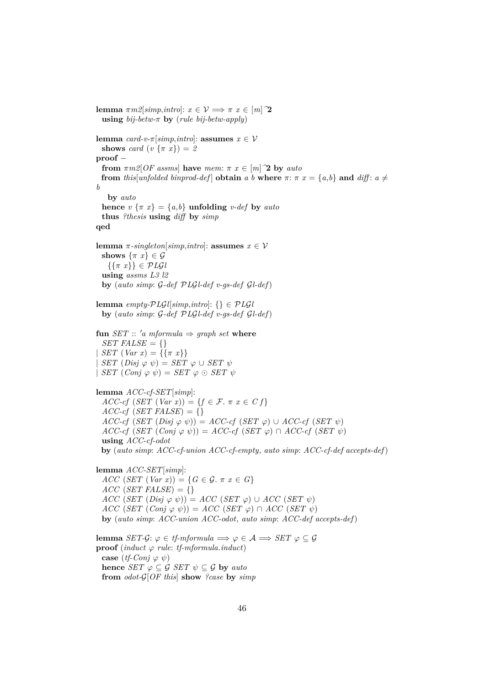**lemma**  $\pi m \mathcal{Z}[simp, intro]: x \in \mathcal{V} \Longrightarrow \pi x \in [m]$ <sup>2</sup> **using** *bij-betw-*π **by** (*rule bij-betw-apply*) **lemma**  $card-v$ <sup> $\pi[simp, intro]$ : **assumes**  $x \in V$ </sup> **shows** *card*  $(v \{ \pi x \}) = 2$ **proof** − **from**  $\pi m2[OF\;assms]$  **have**  $mem: \pi x \in [m]$  **2 by**  $auto$ **from** *this*[*unfolded binprod-def*] **obtain** *a b* **where**  $\pi$ :  $\pi$   $x = \{a,b\}$  and *diff*:  $a \neq$ *b* **by** *auto* **hence**  $v \{ \pi x \} = \{a,b\}$  **unfolding** *v-def* by *auto* **thus** *?thesis* **using** *diff* **by** *simp* **qed lemma**  $\pi$ -singleton[simp,*intro*]: **assumes**  $x \in V$ **shows**  $\{\pi x\} \in \mathcal{G}$  $\{\{\pi x\}\}\in \mathcal{P}L\mathcal{G}l$ **using** *assms L3 l2* **by** (*auto simp*: G*-def* P*L*G*l-def v-gs-def* G*l-def*) **lemma** *empty-PLGl*[*simp*,*intro*]: {}  $\in$  *PLGl* **by** (*auto simp*: G*-def* P*L*G*l-def v-gs-def* G*l-def*) **fun** *SET* :: 'a *mformula*  $\Rightarrow$  *graph set* **where** *SET FALSE* =  $\{\}$  $SET (Var x) = {\mathcal{F}(\pi x)}$  $SET (Disj \varphi \psi) = SET \varphi \cup SET \psi$  $|SET (Conj \varphi \psi) = SET \varphi \odot SET \psi$ **lemma** *ACC-cf-SET*[*simp*]:  $ACC-cf(SET(Var x)) = \{f \in \mathcal{F} \colon \pi x \in \mathcal{C} f\}$  $ACC-cf(SET FALSE) = \{\}$  $ACC\text{-}cf$   $(SET(Disj \varphi \psi)) = ACC\text{-}cf$   $(SET \varphi) \cup ACC\text{-}cf$   $(SET \psi)$  $ACC\text{-}cf$   $(SET (Conj \varphi \psi)) = ACC\text{-}cf (SET \varphi) \cap ACC\text{-}cf (SET \psi)$ **using** *ACC-cf-odot* **by** (*auto simp*: *ACC-cf-union ACC-cf-empty*, *auto simp*: *ACC-cf-def accepts-def*) **lemma** *ACC-SET*[*simp*]:  $ACC(SET (Var x)) = {G \in \mathcal{G}. \pi x \in G}$  $ACC$  (*SET FALSE*) = {}  $ACC$  (*SET* (*Disj*  $\varphi$   $\psi$ )) = *ACC* (*SET*  $\varphi$ ) ∪ *ACC* (*SET*  $\psi$ )  $ACC(SET (Conj \varphi \psi)) = ACC(SET \varphi) \cap ACC(SET \psi)$ **by** (*auto simp*: *ACC-union ACC-odot*, *auto simp*: *ACC-def accepts-def*) **lemma** *SET-G*:  $\varphi \in tf\text{-}mformula \implies \varphi \in \mathcal{A} \implies SET \varphi \subseteq \mathcal{G}$ **proof** (*induct*  $\varphi$  *rule: tf-mformula.induct*) **case**  $(tf\text{-}Coni \varphi \psi)$ **hence** *SET*  $\varphi \subseteq \mathcal{G}$  *SET*  $\psi \subseteq \mathcal{G}$  **by** *auto* **from** *odot-*G[*OF this*] **show** *?case* **by** *simp*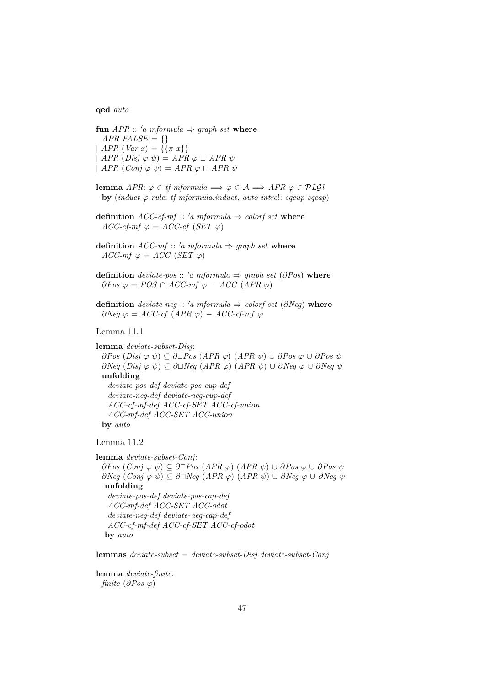**qed** *auto*

**fun**  $APR :: 'a$  *mformula*  $\Rightarrow$  *graph set* **where** *APR FALSE* =  $\{\}$ |  $APR (Var x) = {\{\pi x\}}$  $APR$   $(Disj \varphi \psi) = APR \varphi \sqcup APR \psi$  $\vert$  *APR*  $(Coni \varphi \psi) = APR \varphi \sqcap APR \psi$ 

- **lemma** *APR*:  $\varphi \in \mathit{tf\text{-}mformula} \implies \varphi \in \mathcal{A} \implies APR \varphi \in PLGU$ **by** (*induct*  $\varphi$  *rule: tf-mformula.induct, auto introl: sqcup sqcap*)
- **definition**  $ACC\text{-}cf\text{-}mf :: 'a mformula \Rightarrow colorf set where$  $ACC\text{-}cf\text{-}mf \varphi = ACC\text{-}cf (SET \varphi)$
- **definition**  $ACC\text{-}mf :: 'a mformula \Rightarrow graph set where$  $ACC\text{-}mf \varphi = ACC (SET \varphi)$
- **definition** *deviate-pos* :: 'a mformula  $\Rightarrow$  graph set ( $\partial Pos$ ) where  $∂Pos$   $φ = POS ∩ ACC-mf$   $φ - ACC (APR φ)$
- **definition** *deviate-neg*  $\therefore$  '*a mformula*  $\Rightarrow$  *colorf set* (∂*Neg*) **where**  $\partial Neg \varphi = ACC\text{-}cf (APR \varphi) - ACC\text{-}cf\text{-}mf \varphi$

#### Lemma 11.1

**lemma** *deviate-subset-Disj*: ∂*Pos* (*Disj* ϕ ψ) ⊆ ∂t*Pos* (*APR* ϕ) (*APR* ψ) ∪ ∂*Pos* ϕ ∪ ∂*Pos* ψ  $∂Neg (Disj φ ψ) ⊆ ∂□Neg (APR φ) (APR ψ) ∪ ∂Neg φ ∪ ∂Neg ψ$ **unfolding** *deviate-pos-def deviate-pos-cup-def deviate-neg-def deviate-neg-cup-def ACC-cf-mf-def ACC-cf-SET ACC-cf-union ACC-mf-def ACC-SET ACC-union* **by** *auto*

Lemma 11.2

**lemma** *deviate-subset-Conj*:

 $∂Pos$  (*Conj*  $\varphi$   $\psi$ ) ⊆  $∂⊓Pos$  (*APR*  $\varphi$ ) (*APR*  $\psi$ ) ∪ ∂*Pos*  $\varphi$  ∪ ∂*Pos*  $\psi$  $∂Neg (Conj \varphi \psi) ⊆ ∂□Neg (APR \varphi) (APR \psi) ∪ ∂Neg \varphi ∪ ∂Neg \psi$ **unfolding** *deviate-pos-def deviate-pos-cap-def ACC-mf-def ACC-SET ACC-odot deviate-neg-def deviate-neg-cap-def ACC-cf-mf-def ACC-cf-SET ACC-cf-odot* **by** *auto*

**lemmas** *deviate-subset* = *deviate-subset-Disj deviate-subset-Conj*

**lemma** *deviate-finite*: *finite* ( $\partial Pos \varphi$ )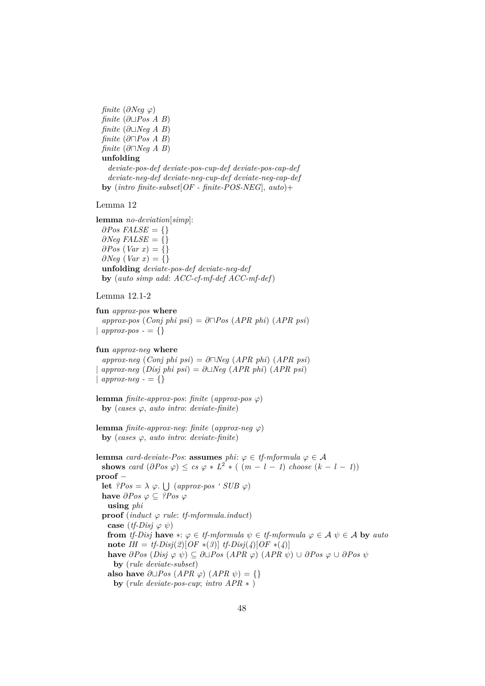*finite*  $(\partial Neg \varphi)$ *finite*  $(\partial \Box Pos \land B)$ *finite* ( $\partial$ ∟*Neg A B*)  $finite \ (\partial \Box Pos \ A \ B)$  $finite \ (\partial \Box Neq \ A \ B)$ **unfolding** *deviate-pos-def deviate-pos-cup-def deviate-pos-cap-def deviate-neg-def deviate-neg-cup-def deviate-neg-cap-def* **by** (*intro finite-subset*[*OF - finite-POS-NEG*], *auto*)+

Lemma 12

**lemma** *no-deviation*[*simp*]:  $\partial Pos$  *FALSE* = {}  $\partial$ *Neq FALSE* =  $\{$ }  $\partial Pos$  (*Var x*) = {}  $∂Neg (Var x) = {}$ **unfolding** *deviate-pos-def deviate-neg-def* **by** (*auto simp add*: *ACC-cf-mf-def ACC-mf-def*)

Lemma 12.1-2

**fun** *approx-pos* **where**  $approx\text{-}pos$  (*Conj phi psi*) = ∂ $\neg Pos$  (*APR phi*) (*APR psi*) |  $approx\text{-}pos = \{\}$ 

**fun** *approx-neg* **where**

 $approx\text{-}neg \ (Conj \ phi \ psi) = \partial \Box \text{Neg} \ (APR \ phi) \ (APR \ psi)$  $approx-neg (Disj phi psi) = \partial \Box Neg (APR phi (APR psi)$ |  $approx-neg - \{\}$ 

**lemma** *finite-approx-pos*: *finite* (*approx-pos*  $\varphi$ ) **by** (*cases*  $\varphi$ *, auto intro: deviate-finite*)

```
lemma finite-approx-neg: finite (approx-neg \varphi)
 by (cases \varphi, auto intro: deviate-finite)
```
**lemma** *card-deviate-Pos*: **assumes** *phi*:  $\varphi \in \mathit{tf\text{-}mformula}$   $\varphi \in \mathcal{A}$ **shows** *card*  $(\partial Pos \varphi) \leq cs \varphi * L^2 * ( (m - l - 1) \text{ choose } (k - l - 1))$ **proof** − **let**  $?Pos = \lambda \varphi$ .  $\bigcup (approx\text{-}pos \cdot SUB \varphi)$ **have**  $\partial Pos \varphi \subset \partial Pos \varphi$ **using** *phi* **proof** (*induct*  $\varphi$  *rule: tf-mformula.induct*) **case**  $(tf\text{-}Disj \varphi \psi)$ **from** *tf-Disj* **have**  $*\colon \varphi \in \text{tf-mformula } \psi \in \text{tf-mformula } \varphi \in \mathcal{A} \psi \in \mathcal{A}$  by auto **note** *IH* = *tf-Disj*(2)[*OF* ∗(3)] *tf-Disj*(4)[*OF* ∗(4)] **have**  $\partial Pos$  (*Disj*  $\varphi$   $\psi$ ) ⊆  $\partial \Box Pos$  (*APR*  $\varphi$ ) (*APR*  $\psi$ ) ∪  $\partial Pos$   $\varphi$  ∪  $\partial Pos$   $\psi$ **by** (*rule deviate-subset*) **also have**  $\partial \Box Pos$  (*APR*  $\varphi$ ) (*APR*  $\psi$ ) = {} **by** (*rule deviate-pos-cup*; *intro APR* ∗ )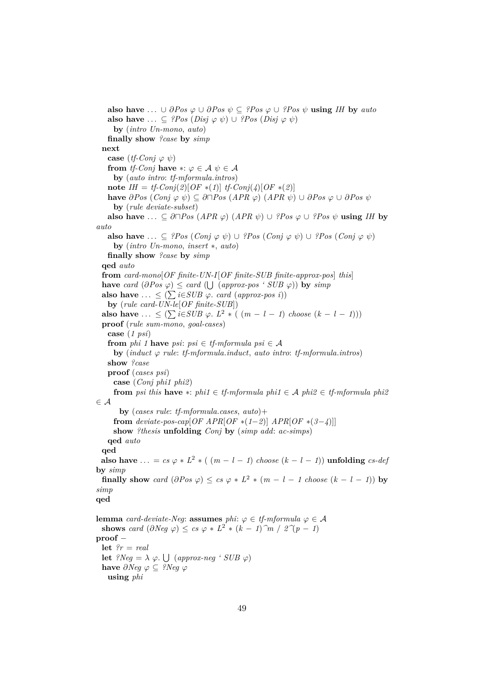**also have** ...  $\cup \partial Pos \varphi \cup \partial Pos \psi \subseteq \partial Pos \varphi \cup \partial Pos \psi$  **using** *IH* by *auto* **also have** ...  $\subseteq$  *?Pos* (*Disj*  $\varphi$   $\psi$ ) ∪ *?Pos* (*Disj*  $\varphi$   $\psi$ ) **by** (*intro Un-mono*, *auto*) **finally show** *?case* **by** *simp* **next case**  $(tf\text{-}Coni \varphi \psi)$ **from** *tf-Conj* **have**  $*:\varphi \in \mathcal{A} \ \psi \in \mathcal{A}$ **by** (*auto intro*: *tf-mformula*.*intros*) **note**  $IH = tf\text{-}Conj(2)[OF*(1)]$   $tf\text{-}Conj(4)[OF*(2)]$ **have**  $\partial Pos$  (*Conj*  $\varphi$   $\psi$ ) ⊆  $\partial \Box Pos$  (*APR*  $\varphi$ ) (*APR*  $\psi$ ) ∪  $\partial Pos$   $\varphi$  ∪  $\partial Pos$   $\psi$ **by** (*rule deviate-subset*) **also have** ... ⊆  $\partial \Box Pos$  (*APR*  $\varphi$ ) (*APR*  $\psi$ ) ∪ *?Pos*  $\varphi$  ∪ *?Pos*  $\psi$  **using** *IH* by *auto* **also have** ... ⊆ *?Pos*  $(Conj \varphi \psi) \cup ?Pos$   $(Conj \varphi \psi) \cup ?Pos$   $(Conj \varphi \psi)$ **by** (*intro Un-mono*, *insert* ∗, *auto*) **finally show** *?case* **by** *simp* **qed** *auto* **from** *card-mono*[*OF finite-UN-I*[*OF finite-SUB finite-approx-pos*] *this*] **have** *card*  $(\partial Pos \varphi) \leq card (\bigcup (approx\{-pos \cdot SUB \varphi\})$  **by**  $simp$ **also have** ... ≤  $(∑ i ∈ SUB φ. card (approx-pos i))$ **by** (*rule card-UN-le*[*OF finite-SUB*]) **also have** ... ≤  $(∑ i ∈ SUB φ. L<sup>2</sup> * ( (m − l − 1) choose (k − l − 1)))$ **proof** (*rule sum-mono*, *goal-cases*) **case** (*1 psi*) **from** *phi* 1 **have** *psi*:  $psi \in tf\text{-}mformula\ psi \in \mathcal{A}$ **by** (*induct* ϕ *rule*: *tf-mformula*.*induct*, *auto intro*: *tf-mformula*.*intros*) **show** *?case* **proof** (*cases psi*) **case** (*Conj phi1 phi2*) **from** *psi this* **have** ∗: *phi1* ∈ *tf-mformula phi1* ∈ A *phi2* ∈ *tf-mformula phi2* ∈ A **by** (*cases rule*: *tf-mformula*.*cases*, *auto*)+ **from** *deviate-pos-cap*[ $OF$   $APR[OF*(1-2)]$   $APR[OF*(3-4)]$ ] **show** *?thesis* **unfolding** *Conj* **by** (*simp add*: *ac-simps*) **qed** *auto* **qed also have** ... =  $cs \varphi * L^2 * ( (m - l - 1) \text{ choose } (k - l - 1) )$  **unfolding**  $cs-dep$ **by** *simp* **finally show** card  $(\partial Pos \varphi) \leq cs \varphi * L^2 * (m - l - 1 \text{ choose } (k - l - 1))$  by *simp* **qed lemma** *card-deviate-Neg*: **assumes** *phi*:  $\varphi \in \mathit{tf\text{-}mformula}$   $\varphi \in \mathcal{A}$ **shows** *card*  $(\partial Neg \varphi) \leq cs \varphi * L^2 * (k - 1) \hat{m} / 2 \hat{\varphi}(p - 1)$ **proof** − **let** *?r* = *real* **let**  $?Neg = \lambda \varphi$ .  $\bigcup (approx-neg \; 'SUB \varphi)$ **have**  $\partial$ *Neq*  $\varphi$  ⊂ *?Neq*  $\varphi$ **using** *phi*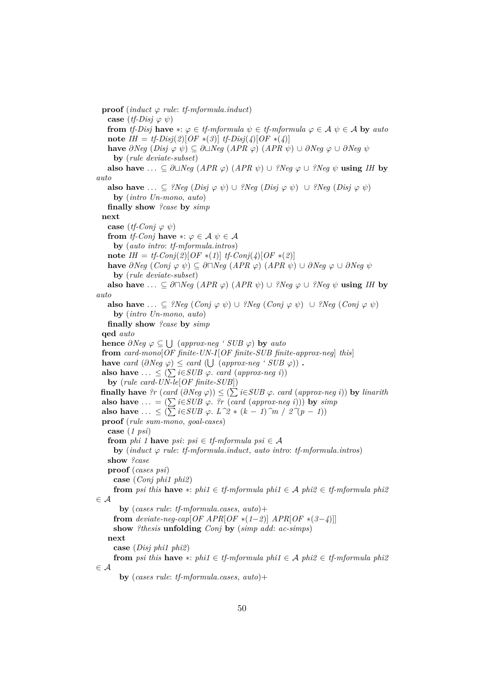**proof** (*induct*  $\varphi$  *rule: tf-mformula.induct*) **case**  $(tf\text{-}Disj \varphi \psi)$ **from** *tf-Disj* **have**  $*\colon \varphi \in \text{tf-mformula } \psi \in \text{tf-mformula } \varphi \in \mathcal{A} \psi \in \mathcal{A}$  by auto **note**  $IH = tf\text{-}Disj(2)[OF*(3)]$   $tf\text{-}Disj(4)[OF*(4)]$ **have**  $\partial Neg$  (*Disj*  $\varphi$   $\psi$ )  $\subseteq \partial \Box Neg$  (*APR*  $\varphi$ ) (*APR*  $\psi$ ) ∪  $\partial Neg$   $\varphi$  ∪  $\partial Neg$   $\psi$ **by** (*rule deviate-subset*) **also have** ... ⊆  $\partial \Box \textit{Neg}$  (*APR*  $\varphi$ ) (*APR*  $\psi$ ) ∪ *?Neq*  $\varphi$  ∪ *?Neq*  $\psi$  **using** *IH* by *auto* **also have** ... ⊆ *?Neg* (*Disj*  $\varphi$   $\psi$ ) ∪ *?Neg* (*Disj*  $\varphi$   $\psi$ ) ∪ *?Neg* (*Disj*  $\varphi$   $\psi$ ) **by** (*intro Un-mono*, *auto*) **finally show** *?case* **by** *simp* **next case**  $(tf\text{-}Conj \varphi \psi)$ **from** *tf-Conj* **have**  $*:\varphi \in \mathcal{A} \psi \in \mathcal{A}$ **by** (*auto intro*: *tf-mformula*.*intros*) **note** *IH* = *tf-Conj*(2)[*OF* ∗(1)] *tf-Conj*(4)[*OF* ∗(2)] **have**  $\partial Neg$  (*Conj*  $\varphi$   $\psi$ ) ⊆  $\partial \Box Neg$  (*APR*  $\varphi$ ) (*APR*  $\psi$ ) ∪  $\partial Neg$   $\varphi$  ∪  $\partial Neg$   $\psi$ **by** (*rule deviate-subset*) **also have** ...  $\subseteq \partial \Box Neg$  (*APR*  $\varphi$ ) (*APR*  $\psi$ ) ∪ *?Neg*  $\varphi$  ∪ *?Neg*  $\psi$  **using** *IH* by *auto* **also have** ... ⊆ *?Neg* (*Conj*  $\varphi$   $\psi$ ) ∪ *?Neg* (*Conj*  $\varphi$   $\psi$ ) ∪ *?Neg* (*Conj*  $\varphi$   $\psi$ ) **by** (*intro Un-mono*, *auto*) **finally show** *?case* **by** *simp* **qed** *auto* **hence**  $\partial Neg \varphi \subseteq \bigcup$  (approx-neg ' SUB  $\varphi$ ) **by** auto **from** *card-mono*[*OF finite-UN-I*[*OF finite-SUB finite-approx-neg*] *this*] **have** *card*  $(\partial Neg \varphi) \leq card (\bigcup (approx-neg \cdot SUB \varphi))$ . **also have**  $\ldots \leq (\sum i \in SUB \varphi \text{ and } (approx-neg i))$ **by** (*rule card-UN-le*[*OF finite-SUB*]) **finally have** *?r* (*card* (∂*Neg* ϕ)) ≤ ( P*i*∈*SUB* ϕ. *card* (*approx-neg i*)) **by** *linarith* also have  $\dots = (\sum i \in SUB \varphi$ . *?r* (*card* (*approx-neg i*))) by *simp* **also have** ... ≤  $(∑ i ∈ SUB φ. L^2 * (k − 1)^m / 2^(p − 1))$ **proof** (*rule sum-mono*, *goal-cases*) **case** (*1 psi*) **from** *phi* 1 **have** *psi*:  $psi \in tf\text{-}mformula\ psi \in \mathcal{A}$  $\mathbf{b}$ **v** (*induct*  $\varphi$  *rule: tf-mformula.induct. auto intro: tf-mformula.intros*) **show** *?case* **proof** (*cases psi*) **case** (*Conj phi1 phi2*) **from** *psi this* **have** ∗: *phi1* ∈ *tf-mformula phi1* ∈ A *phi2* ∈ *tf-mformula phi2* ∈ A **by** (*cases rule*: *tf-mformula*.*cases*, *auto*)+ **from** *deviate-neg-cap*[ $OF$   $APR[OF*(1-2)]$   $APR[OF*(3-4)]$ ] **show** *?thesis* **unfolding** *Conj* **by** (*simp add*: *ac-simps*) **next case** (*Disj phi1 phi2*) **from** *psi this* **have** ∗: *phi1* ∈ *tf-mformula phi1* ∈ A *phi2* ∈ *tf-mformula phi2* ∈ A **by** (*cases rule*: *tf-mformula*.*cases*, *auto*)+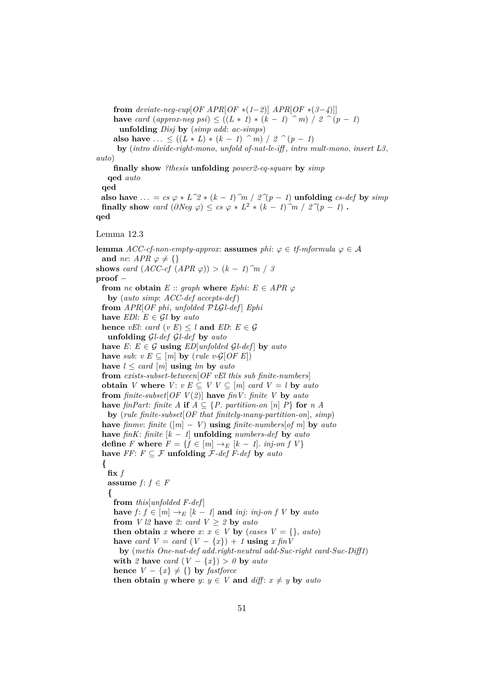**from** deviate-neg-cup[OF APR[OF  $*(1-2)$ ]  $APR[OF*(3-4)]$ ] **have** *card* (*approx-neg psi*) ≤ ((*L* ∗ *1*) ∗ (*k* − *1*)  $\hat{m}$ ) / 2  $\hat{m}$  (*p* − *1*) **unfolding** *Disj* **by** (*simp add*: *ac-simps*) **also have** ... <  $((L * L) * (k - 1) ) \cap m$  / 2  $\cap (p - 1)$ 

**by** (*intro divide-right-mono*, *unfold of-nat-le-iff* , *intro mult-mono*, *insert L3*, *auto*)

**finally show** *?thesis* **unfolding** *power2-eq-square* **by** *simp*

**qed** *auto* **qed**

**also have** ... =  $cs \varphi * L^2 * (k - 1) \hat{m} / 2^2(p - 1)$  **unfolding**  $cs\text{-}def$  **by**  $simp$ **finally show** *card*  $(\partial Neg \varphi) \leq cs \varphi * L^2 * (k-1) \hat{m} / 2^{\gamma}(p-1)$ . **qed**

Lemma 12.3

**lemma**  $ACC\text{-}cf\text{-}non-empty\text{-}approx$ : **assumes**  $phi\text{-} \varphi$  is  $\varphi \in \mathcal{A}$ **and** *ne*: *APR*  $\varphi \neq \{\}$ **shows** *card*  $(ACC-cf (APR \varphi)) > (k-1)^{m} / 3$ **proof** − **from** *ne* **obtain**  $E$  :: *graph* **where**  $Ephi$ :  $E \in APR \varphi$ **by** (*auto simp*: *ACC-def accepts-def*) **from** *APR*[*OF phi*, *unfolded* P*L*G*l-def* ] *Ephi* **have** *EDI*:  $E \in \mathcal{G}$ *l* **by** *auto* **hence** *vEl*: *card* (*v E*)  $\leq$  *l* **and** *ED*: *E*  $\in$  *G* **unfolding** G*l-def* G*l-def* **by** *auto* **have**  $E: E \in \mathcal{G}$  **using**  $ED[unfolded \ \mathcal{G}l-def]$  by  $auto$ **have** *sub*:  $v E \subseteq [m]$  **by** (*rule v-G*[*OF E*]) **have**  $l \leq \text{card } [m]$  **using**  $lm$  **by**  $\text{auto}$ **from** *exists-subset-between*[*OF vEl this sub finite-numbers*] **obtain** *V* where *V*:  $v E \subseteq V V \subseteq [m]$  *card*  $V = l$  by *auto* **from** *finite-subset*[*OF V*(*2*)] **have** *finV*: *finite V* **by** *auto* **have** *finPart*: *finite A* **if**  $A \subseteq \{P$ . *partition-on* [*n*] *P*} **for** *n A* **by** (*rule finite-subset*[*OF that finitely-many-partition-on*], *simp*) **have** *finmv*: *finite* ( $[m] - V$ ) **using** *finite-numbers* [*of m*] **by** *auto* **have** *finK*: *finite* [*k* − *1*] **unfolding** *numbers-def* **by** *auto* **define** *F* **where**  $F = \{f \in [m] \rightarrow_E [k-1] \text{. } inj\text{-}on f V\}$ **have**  $FF: F \subseteq \mathcal{F}$  **unfolding**  $\mathcal{F}\text{-}def F\text{-}def$  **by**  $auto$ **{ fix** *f* **assume**  $f: f \in F$ **{ from** *this*[*unfolded F-def* ] **have**  $f: f \in [m] \rightarrow_E [k-1]$  **and** *inj*: *inj-on f V* **by** *auto* **from** *V l2* **have** 2: *card*  $V \geq 2$  **by** *auto* **then obtain** *x* where  $x: x \in V$  by (*cases*  $V = \{\}$ , *auto*) **have** *card*  $V = \text{card } (V - \{x\}) + 1$  **using**  $x \text{ fin } V$ **by** (*metis One-nat-def add*.*right-neutral add-Suc-right card-Suc-Diff1*) **with** 2 **have** *card*  $(V - \{x\}) > 0$  **by** *auto* **hence**  $V - \{x\} \neq \{\}$  **by** *fastforce* **then obtain** *y* where *y*:  $y \in V$  and *diff*:  $x \neq y$  by *auto*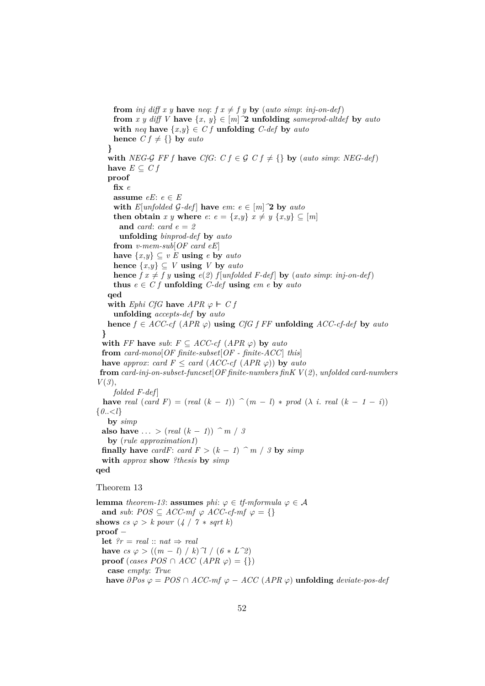**from** *inj* diff x y **have** req:  $f x \neq f y$  **by** (auto simp: inj-on-def) **from** *x y diff V* **have**  $\{x, y\} \in [m]$  **2 unfolding** *sameprod-altdef* **by** *auto* **with**  $neq$  **have**  $\{x,y\} \in C$  **f unfolding**  $C$ -def **by**  $auto$ **hence**  $C f \neq \{\}$  **by** *auto* **} with** *NEG-G FF* f **have** *CfG*:  $C f \in \mathcal{G}$   $C f \neq \{\}$  **by** (*auto simp*: *NEG-def*) **have**  $E \subset C f$ **proof fix** *e* **assume**  $eE: e \in E$ **with**  $E$ [*unfolded*  $G$ *-def*] **have**  $em: e \in [m]$ <sup>2</sup> **by**  $auto$ **then obtain** *x y* **where** *e*:  $e = \{x, y\}$   $x \neq y \{x, y\} \subseteq [m]$ **and** *card*: *card e* = *2* **unfolding** *binprod-def* **by** *auto* **from** *v-mem-sub*[*OF card eE*] **have**  $\{x,y\}$  ⊂ *v E* **using** *e* **by** *auto* **hence**  $\{x,y\}$  ⊆ *V* **using** *V* **by** *auto* **hence**  $f \, x \neq f \, y$  **using**  $e(2)$   $f$  [*unfolded F-def*] **by** (*auto simp*: *inj-on-def*) **thus**  $e \in C f$  **unfolding**  $C$ -def **using**  $em \, e$  **by**  $auto$ **qed with** *Ephi CfG* **have**  $APR \varphi \vdash Cf$ **unfolding** *accepts-def* **by** *auto* **hence**  $f \in ACC\text{-}cf$  (*APR*  $\varphi$ ) **using** *CfG*  $f$  *FF* **unfolding** *ACC*-cf-def **by** *auto* **} with**  $FF$  **have** *sub*:  $F \subseteq ACC\text{-}cf$  (*APR*  $\varphi$ ) **by** *auto* **from** *card-mono*[*OF finite-subset*[*OF - finite-ACC*] *this*] **have** *approx: card*  $F \leq$  *card* (*ACC-cf* (*APR*  $\varphi$ )) **by** *auto* **from** *card-inj-on-subset-funcset*[*OF finite-numbers finK V*(*2*), *unfolded card-numbers V*(*3*), *folded F-def* ] **have** real  $(\text{card } F) = (\text{real } (k - 1))$   $\hat{m} = (m - 1) * \text{prod } (\lambda i \cdot \text{real } (k - 1 - i))$  ${0,.}{\leq}l$ **by** *simp* **also have** ... >  $(\text{real } (k-1))$   $\hat{m}$  / 3 **by** (*rule approximation1*) **finally have** *cardF*: *card F* >  $(k - 1)$   $\hat{m}$  / *3* **by** *simp* **with** *approx* **show** *?thesis* **by** *simp* **qed** Theorem 13 **lemma** *theorem-13*: **assumes** *phi*:  $\varphi \in \mathit{tf\text{-}mformula}$   $\varphi \in \mathcal{A}$ **and** *sub*:  $POS \subseteq ACC-mf \varphi ACC-cf-mf \varphi = \{\}$ **shows**  $cs \varphi > k$  *powr*  $(4 / 7 * sqrt k)$ **proof** − **let**  $?r = real :: nat \Rightarrow real$ **have**  $cs \varphi$  >  $((m - l) / k) \gamma / (6 * L^2)$ **proof** (*cases POS*  $\cap$  *ACC* (*APR*  $\varphi$ ) = {}) **case** *empty*: *True*

**have**  $\partial Pos \varphi = POS \cap ACC\text{-}mf \varphi - ACC (APR \varphi)$  **unfolding** *deviate-pos-def*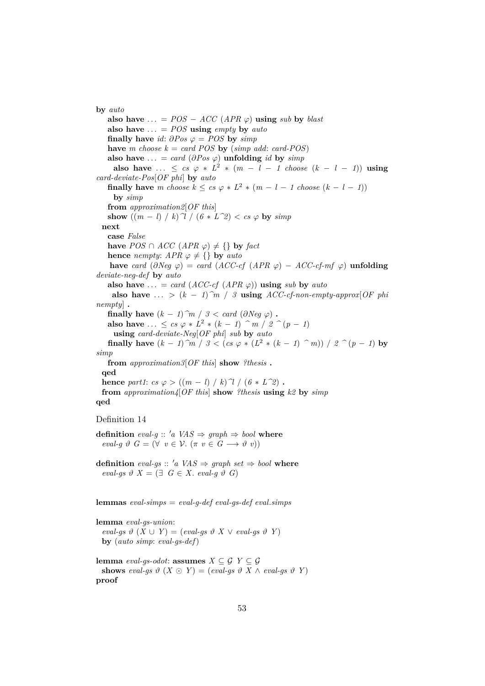**by** *auto*

**also have**  $\dots$  = *POS* − *ACC* (*APR*  $\varphi$ ) **using** *sub* **by** *blast* also have  $\ldots$  = *POS* using *empty* by *auto* **finally have** *id*:  $\partial Pos \varphi = POS$  **by**  $simp$ **have** *m* choose  $k = \text{card } POS$  **by** (simp add: card-POS) also have  $\ldots = \text{card}(\partial \text{Pos } \varphi)$  unfolding *id* by *simp* **also have** ...  $\leq$  *cs*  $\varphi * L^2 * (m - l - 1 \text{ choose } (k - l - 1))$  using *card-deviate-Pos*[*OF phi*] **by** *auto* **finally have** *m* choose  $k \leq cs \varphi * L^2 * (m - l - 1 \text{ choose } (k - l - 1))$ **by** *simp* **from** *approximation2*[*OF this*] **show**  $((m - l) / k)$ <sup> $\gamma$ </sup> /  $(6 * L^2) < cs \varphi$  **by**  $simp$ **next case** *False* **have** *POS* ∩ *ACC* (*APR*  $\varphi$ )  $\neq$  {} **by** *fact* **hence** *nempty*:  $APR \varphi \neq \{\}$  **by** *auto* **have** *card*  $(\partial Neg \varphi) = card (ACC-cf (APR \varphi) - ACC-cf-mf \varphi)$  **unfolding** *deviate-neg-def* **by** *auto* also have  $\ldots = \text{card}(ACC\text{-}cf (APR \varphi))$  using *sub* by *auto* **also have** ... >  $(k-1)\hat{m}$  / *3* **using** *ACC-cf-non-empty-approx* [*OF phi nempty*] **. finally have**  $(k - 1)$ <sup> $\hat{m}$ </sup> /  $3 < \text{card}$  ( $\partial \text{Neg } \varphi$ ) **. also have** ...  $\leq cs \varphi * L^2 * (k - 1)$   $\hat{m} / 2 \hat{m} (p - 1)$ **using** *card-deviate-Neg*[*OF phi*] *sub* **by** *auto* **finally have**  $(k - 1)$ <sup>2</sup>*m* / 3 < (*cs*  $\varphi * (L^2 * (k - 1)$ <sup>2</sup>*m*)) / 2<sup>2</sup> (*p* − *1*) **by** *simp* **from** *approximation3*[*OF this*] **show** *?thesis* **. qed hence** *part1*:  $cs \varphi$  >  $((m - l) / k) \gamma / (6 * L^2)$ . **from** *approximation4*[*OF this*] **show** *?thesis* **using** *k2* **by** *simp* **qed** Definition 14 **definition** *eval-g* ::  $'a \text{ } VAS \Rightarrow \text{ } graph \Rightarrow \text{ } bool$  **where**  $eval-g \vartheta G = (\forall v \in \mathcal{V}, (\pi v \in G \longrightarrow \vartheta v))$ **definition** eval-gs :: 'a VAS  $\Rightarrow$  graph set  $\Rightarrow$  bool where  $eval-gs$   $\vartheta$   $X = (\exists G \in X$ . *eval-q*  $\vartheta$  *G*) **lemmas** *eval-simps* = *eval-g-def eval-gs-def eval*.*simps*

**lemma** *eval-gs-union*:  $eval-gs \vartheta (X \cup Y) = (eval-gs \vartheta X \vee eval-gs \vartheta Y)$ **by** (*auto simp*: *eval-gs-def*)

**lemma** *eval-gs-odot*: **assumes**  $X \subseteq \mathcal{G}$   $Y \subseteq \mathcal{G}$ shows eval-gs  $\vartheta$   $(X \odot Y) = (eval-gs \vartheta X \wedge eval-gs \vartheta Y)$ **proof**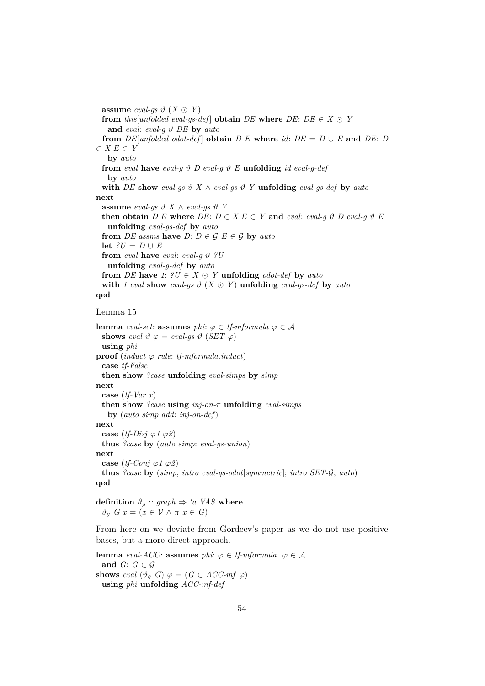**assume** *eval-gs*  $\vartheta$  (*X*  $\odot$  *Y*) **from** *this*[*unfolded eval-gs-def*] **obtain**  $DE$  **where**  $DE$ :  $DE \in X \odot Y$ **and** *eval*: *eval-g* ϑ *DE* **by** *auto* **from**  $DE$ [*unfolded odot-def*] **obtain**  $D E$  **where** *id*:  $DE = D \cup E$  **and**  $DE: D$ ∈ *X E* ∈ *Y* **by** *auto* **from** eval **have** eval-g  $\vartheta$  *D* eval-g  $\vartheta$  *E* **unfolding** *id eval-g-def* **by** *auto* **with** *DE* **show** eval-gs  $\vartheta$  *X*  $\wedge$  *eval-gs*  $\vartheta$  *Y* **unfolding** *eval-gs-def* **by** *auto* **next assume** *eval-gs*  $\vartheta$  *X*  $\wedge$  *eval-gs*  $\vartheta$  *Y* **then obtain**  $D E$  **where**  $DE: D \in X E \in Y$  and *eval*: *eval-g*  $\vartheta$   $D$  *eval-g*  $\vartheta$   $E$ **unfolding** *eval-gs-def* **by** *auto* **from** *DE* assms **have** *D*:  $D \in \mathcal{G}$   $E \in \mathcal{G}$  **by** *auto* **let**  $?U = D \cup E$ **from** *eval* **have** *eval*: *eval-q*  $\vartheta$  *?U* **unfolding** *eval-g-def* **by** *auto* **from** *DE* **have** 1:  $?U \in X \odot Y$  **unfolding** *odot-def* **by** *auto* with 1 eval show eval-gs  $\vartheta$  ( $X \odot Y$ ) unfolding eval-gs-def by auto **qed**

#### Lemma 15

**lemma** *eval-set*: **assumes** *phi*:  $\varphi \in \mathit{tf\text{-}mformula}$   $\varphi \in \mathcal{A}$ **shows** eval  $\vartheta \varphi = eval\text{-}as \vartheta$  (*SET*  $\varphi$ ) **using** *phi* **proof** (*induct*  $\varphi$  *rule: tf-mformula.induct*) **case** *tf-False* **then show** *?case* **unfolding** *eval-simps* **by** *simp* **next case** (*tf-Var x*) **then show** *?case* **using** *inj-on-*π **unfolding** *eval-simps* **by** (*auto simp add*: *inj-on-def*) **next case** (*tf-Disj*  $\varphi$ *1*  $\varphi$ *2*) **thus** *?case* **by** (*auto simp*: *eval-gs-union*) **next case** (*tf-Conj*  $\varphi$ *1*  $\varphi$ *2*) **thus** *?case* **by** (*simp*, *intro eval-gs-odot*[*symmetric*]; *intro SET-*G, *auto*) **qed**

**definition**  $\vartheta_a$  :: *graph*  $\Rightarrow$  '*a VAS* **where**  $\vartheta_a$  *G*  $x = (x \in \mathcal{V} \wedge \pi \ x \in G)$ 

From here on we deviate from Gordeev's paper as we do not use positive bases, but a more direct approach.

**lemma** *eval-ACC*: **assumes** *phi*:  $\varphi \in \mathit{tf\text{-}mformula}$   $\varphi \in \mathcal{A}$ **and**  $G: G \in \mathcal{G}$ **shows** *eval*  $(\vartheta_a \ G) \varphi = (G \in ACC\text{-}mf \varphi)$ **using** *phi* **unfolding** *ACC-mf-def*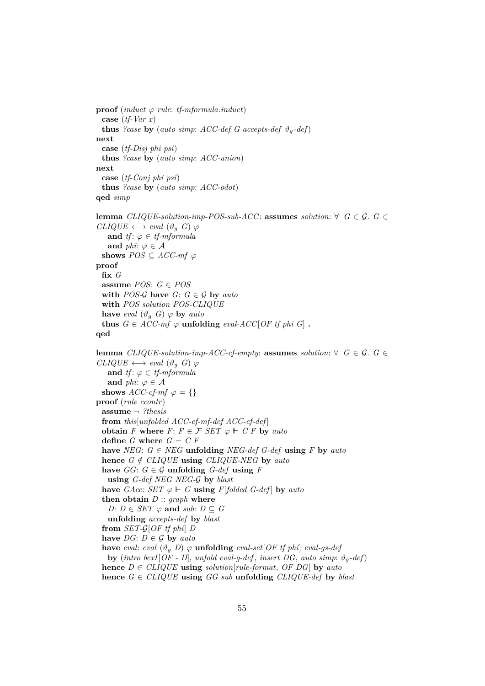```
proof (induct \varphi rule: tf-mformula.induct)
 case (tf-Var x)
 thus ?case by (auto simp: ACC-def G accepts-def \vartheta_q-def)
next
 case (tf-Disj phi psi)
 thus ?case by (auto simp: ACC-union)
next
  case (tf-Conj phi psi)
 thus ?case by (auto simp: ACC-odot)
qed simp
lemma CLIQUE-solution-imp-POS-sub-ACC: assumes solution: ∀ G \in \mathcal{G}. G \in \mathcal{G}CLIQUE \longleftrightarrow eval (\vartheta_q \ G) \ \varphiand tf: \varphi \in \text{tf-mformula}and phi: \varphi \in \mathcal{A}shows POS \subseteq ACC\text{-}mf \varphiproof
 fix G
 assume POS: G ∈ POS
 with POS-\mathcal{G} have G: G \in \mathcal{G} by auto
 with POS solution POS-CLIQUE
 have eval (\vartheta_g \ G) \varphi by auto
 thus G \in ACC\text{-}mf \varphi unfolding eval-ACC[OF tf phi G].
qed
lemma CLIQUE-solution-imp-ACC-cf-empty: assumes solution: ∀ G ∈ G. G ∈
CLIQUE \longleftrightarrow eval (\vartheta_a G) \varphiand tf: \varphi \in \mathit{tf\text{-}mformula}and phi: \varphi \in \mathcal{A}shows \text{ACC-}cf\text{-}mf \varphi = \{\}proof (rule ccontr)
 assume ¬ ?thesis
 from this[unfolded ACC-cf-mf-def ACC-cf-def ]
 obtain F where F: F \in \mathcal{F} SET \varphi \vdash C F by auto
 define G where G = C Fhave NEG: G \in NEG unfolding NEG-def G-def using F by autohence G \notin \text{CLIQUE} using \text{CLIQUE-NEG} by \text{auto}have GG: G \in \mathcal{G} unfolding G-def using Fusing G-def NEG NEG-G by blast
 have GAcc: SET \varphi \models G using F[folded G-def] by auto
  then obtain D :: graph where
    D: D \in SET \varphi and sub: D \subseteq Gunfolding accepts-def by blast
  from SET-G[OF tf phi] D
 have DG: D \in \mathcal{G} by auto
 have eval: eval (\vartheta_a D) \varphi unfolding eval-set[OF tf phi] eval-gs-def
   by (intro bexI[OF - D], unfold eval-q-def, insert DG, auto simp: \vartheta_{q}-def)
 hence D \in CLIQUE using solution[rule-format, OF DG] by auto
 hence G \in \text{CLIQUE} using GG sub unfolding CLIQUE-def by blast
```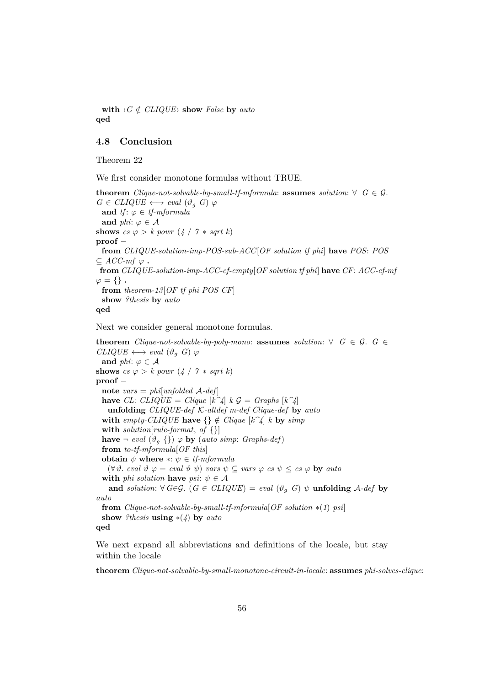**with**  $\langle G \notin \text{CLIQUE} \rangle$  **show** *False* **by** *auto* **qed**

## <span id="page-55-0"></span>**4.8 Conclusion**

Theorem 22

We first consider monotone formulas without TRUE.

**theorem** *Clique-not-solvable-by-small-tf-mformula*: **assumes** *solution*: ∀  $G \in \mathcal{G}$ .  $G \in \text{CLIQUE} \longleftrightarrow \text{eval} (\vartheta_a \ G) \varphi$ **and** *tf*:  $\varphi \in \text{tf-mformula}$ **and** *phi*:  $\varphi \in \mathcal{A}$ **shows**  $cs \varphi > k$  powr  $(4 / 7 * sqrt k)$ **proof** − **from** *CLIQUE-solution-imp-POS-sub-ACC*[*OF solution tf phi*] **have** *POS*: *POS*  $⊆$  *ACC-mf*  $ϕ$  **. from** *CLIQUE-solution-imp-ACC-cf-empty*[*OF solution tf phi*] **have** *CF*: *ACC-cf-mf*  $\varphi = \{\}$ . **from** *theorem-13*[*OF tf phi POS CF*] **show** *?thesis* **by** *auto* **qed**

Next we consider general monotone formulas.

**theorem** *Clique-not-solvable-by-poly-mono*: **assumes** *solution*:  $\forall$  *G*  $\in$  *G*. *G*  $\in$  $CLIQUE \longleftrightarrow eval (\vartheta_q \ G) \ \varphi$ **and**  $phi$ :  $\varphi \in \mathcal{A}$ **shows**  $cs \varphi > k$  *powr*  $(4 / 7 * sqrt k)$ **proof** − **note** *vars* = *phi*[*unfolded* A*-def* ] **have** *CL*: *CLIQUE* = *Clique*  $[k^2]$  *k*  $\mathcal{G}$  = *Graphs*  $[k^2]$ **unfolding** *CLIQUE-def* K*-altdef m-def Clique-def* **by** *auto* **with** *empty-CLIQUE* **have**  $\{\} \notin \text{Clique } [k^{\frown} \{k\}]$  *k* **by** *simp* **with** *solution*[*rule-format*, *of* {}] **have**  $\neg$  *eval*  $(\vartheta_g \{\}) \varphi$  **by** (*auto simp*: *Graphs-def*) **from** *to-tf-mformula*[*OF this*] **obtain**  $\psi$  **where**  $*$ :  $\psi \in \text{tf-mformula}$  $(\forall \vartheta \cdot \text{eval } \vartheta \varphi = \text{eval } \vartheta \psi)$  *vars*  $\psi \subseteq \text{vars } \varphi \text{ c s } \psi \leq \text{ c s } \varphi$  **by** *auto* **with** *phi solution* **have** *psi*:  $\psi \in \mathcal{A}$ **and** *solution*:  $\forall G \in \mathcal{G}$ . ( $G \in CLIQUE$ ) = *eval* ( $\vartheta_q$  *G*)  $\psi$  **unfolding** *A-def* by *auto* **from** *Clique-not-solvable-by-small-tf-mformula*[*OF solution* ∗(*1*) *psi*] **show** *?thesis* **using** ∗(*4*) **by** *auto* **qed**

We next expand all abbreviations and definitions of the locale, but stay within the locale

**theorem** *Clique-not-solvable-by-small-monotone-circuit-in-locale*: **assumes** *phi-solves-clique*: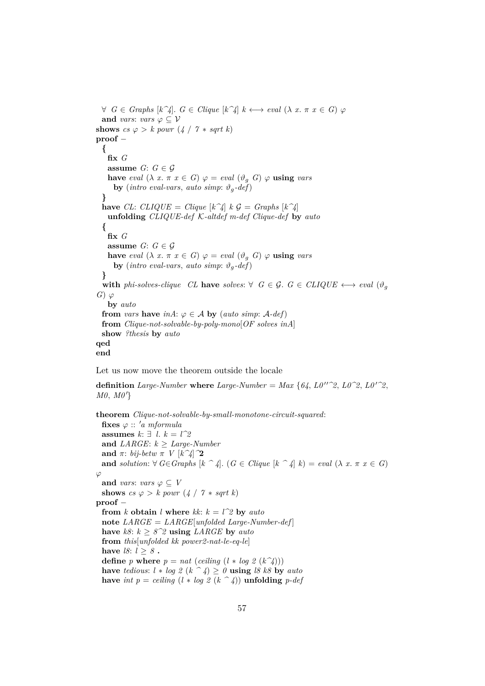$∀ G ∈ Graphs [k^2]. G ∈ Clique [k^2] k ↔ eval (λ x. π x ∈ G) φ$ **and** *vars*: *vars*  $\varphi \subseteq V$ **shows**  $cs \varphi > k$  powr  $(4 / 7 * sqrt k)$ **proof** − **{ fix** *G* **assume**  $G: G \in \mathcal{G}$ **have** *eval*  $(\lambda x. \pi x \in G) \varphi = eval (\vartheta_a G) \varphi$  **using** *vars* **by** (*intro eval-vars*, *auto simp*:  $\vartheta_q$ -def) **} have** *CL*: *CLIQUE* = *Clique*  $[k^2]$   $k \mathcal{G} = \text{Graphs } [k^2]$ **unfolding** *CLIQUE-def* K*-altdef m-def Clique-def* **by** *auto* **{ fix** *G* **assume**  $G: G \in \mathcal{G}$ **have** *eval*  $(\lambda x. \pi x \in G) \varphi = eval (\vartheta_g G) \varphi$  **using** *vars* **by** (*intro eval-vars*, *auto simp*:  $\vartheta_q$ -def) **} with** *phi-solves-clique* CL **have** *solves*: ∀  $G \in \mathcal{G}$ .  $G \in \text{CLIQUE} \longleftrightarrow \text{eval } (\vartheta_a)$ *G*)  $\varphi$ **by** *auto* **from** *vars* **have** *inA*:  $\varphi \in A$  **by** (*auto simp*:  $A$ -*def*) **from** *Clique-not-solvable-by-poly-mono*[*OF solves inA*] **show** *?thesis* **by** *auto* **qed end**

Let us now move the theorem outside the locale

**definition** *Large-Number* **where** *Large-Number* = *Max* {64,  $L0''^2$ ,  $L0'^2$ ,  $L0'^2$ ,  $M0, M0'$ 

**theorem** *Clique-not-solvable-by-small-monotone-circuit-squared*:  $fixes \varphi :: 'a mformula$ **assumes**  $k: ∃ l$ .  $k = l^2$ and *LARGE*:  $k \geq \text{Large-}Number$ **and**  $\pi$ : *bij-betw*  $\pi$  *V*  $[k^2/2]$ **and** *solution*:  $\forall G \in Graphs$   $[k \rightarrow 4]$ .  $(G \in Clique | k \rightarrow 4]$   $k) = eval (\lambda x. \pi x \in G)$  $\varphi$ **and** *vars*: *vars*  $\varphi \subseteq V$ **shows**  $cs \varphi > k$  *powr*  $(4 / 7 * sqrt k)$ **proof** − **from** *k* **obtain** *l* **where**  $kk$ :  $k = l^2$  **by**  $auto$ **note** *LARGE* = *LARGE*[*unfolded Large-Number-def* ] **have**  $k8: k \geq 8^2$  **using** *LARGE* by *auto* **from** *this*[*unfolded kk power2-nat-le-eq-le*] have  $l8: l \geq 8$ . **define** *p* **where**  $p = nat$  (*ceiling*  $(l * log 2 (k^2))$ ) **have** *tedious*:  $l * log 2 (k \t^2 4) \geq 0$  **using** *l8 k8* **by** *auto* **have** *int*  $p = ceiling \ (l * log \ 2 \ (k \ \widehat{\phantom{a}} 4))$  **unfolding**  $p\text{-}def$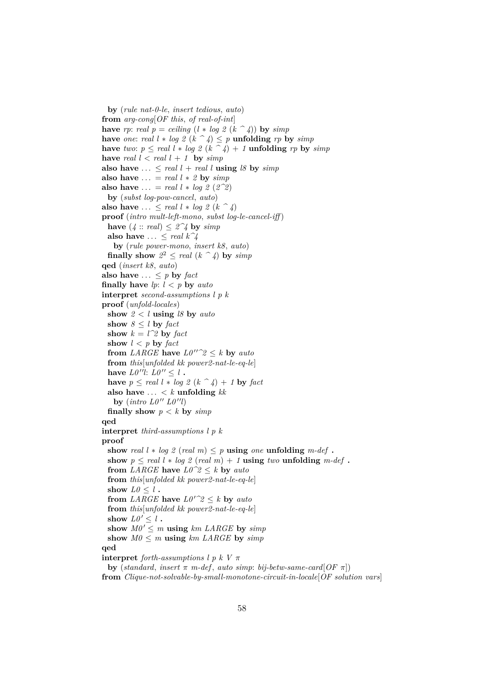**by** (*rule nat-0-le*, *insert tedious*, *auto*) **from** *arg-cong*[*OF this*, *of real-of-int*] **have** *rp*: *real*  $p = ceiling (l * log 2 (k<sup>2</sup> 4))$  **by**  $simp$ **have** *one: real*  $l * log 2 (k \n\hat{\ } 4) \leq p$  **unfolding** *rp* **by** *simp* **have** *two*:  $p \le \text{real } l * \log_2 2(k - 4) + 1$  **unfolding** *rp* **by** *simp* **have** *real*  $l < real$   $l + 1$  **by**  $simp$ also have  $\ldots \le$  *real l* + *real l* **using** *l8* by *simp* **also have**  $\ldots$  = *real l*  $*$  *2* **by**  $\text{sim}$ *p* **also have**  $\ldots$  = *real l*  $*$  *log* 2 (2^2) **by** (*subst log-pow-cancel*, *auto*) **also have** ...  $\le$  *real l*  $*$  *log*  $2$  ( $k \uparrow 4$ ) **proof** (*intro mult-left-mono*, *subst log-le-cancel-iff* ) **have**  $(4::real) \leq 2^24$  **by**  $simp$ **also have**  $\ldots \leq$  *real*  $k\hat{ }4$ **by** (*rule power-mono*, *insert k8*, *auto*) **finally show**  $2^2 \leq \text{real } (k \cap 4)$  by  $\text{simp}$ **qed** (*insert k8*, *auto*) **also have**  $\ldots \leq p$  **by** *fact* **finally have**  $lp: l < p$  by  $auto$ **interpret** *second-assumptions l p k* **proof** (*unfold-locales*) **show** *2* < *l* **using** *l8* **by** *auto* **show**  $8 \leq l$  **by** *fact* **show**  $k = l^2$  **by** *fact* **show**  $l < p$  **by**  $fact$ **from** *LARGE* **have**  $L0''^2 \leq k$  **by** *auto* **from** *this*[*unfolded kk power2-nat-le-eq-le*] **have**  $L0''l: L0'' \leq l$ . **have**  $p \le \text{real } l * \log 2 (k \cap 4) + 1$  **by**  $\text{fact}$ also have  $\ldots < k$  **unfolding**  $kk$ by  $(intro\ LO^{\prime\prime}\ LO^{\prime\prime}l)$ **finally show**  $p < k$  by  $simp$ **qed interpret** *third-assumptions l p k* **proof show** *real*  $l * log 2$  (*real*  $m$ )  $\leq p$  **using** *one* **unfolding**  $m$ -*def* **. show**  $p \le \text{real } l * \log l \text{ (real } m) + 1$  **using**  $\text{two } \text{unfolding } m \text{-def}$ . **from** *LARGE* **have**  $L0^{\gamma}2 \le k$  **by** *auto* **from** *this*[*unfolded kk power2-nat-le-eq-le*] **show**  $L\theta \leq l$ . **from** *LARGE* **have**  $L0^{\prime\prime}2 \leq k$  **by** *auto* **from** *this*[*unfolded kk power2-nat-le-eq-le*] **show**  $L0' \leq l$ . show  $MO' \leq m$  **using**  $km$  *LARGE* by  $simp$ show  $M0 \leq m$  **using**  $km$  *LARGE* by  $simp$ **qed interpret** *forth-assumptions l p k V*  $\pi$ **by** (*standard*, *insert*  $\pi$  *m-def*, *auto simp*: *bij-betw-same-card*[ $OF \pi$ ]) **from** *Clique-not-solvable-by-small-monotone-circuit-in-locale*[*OF solution vars*]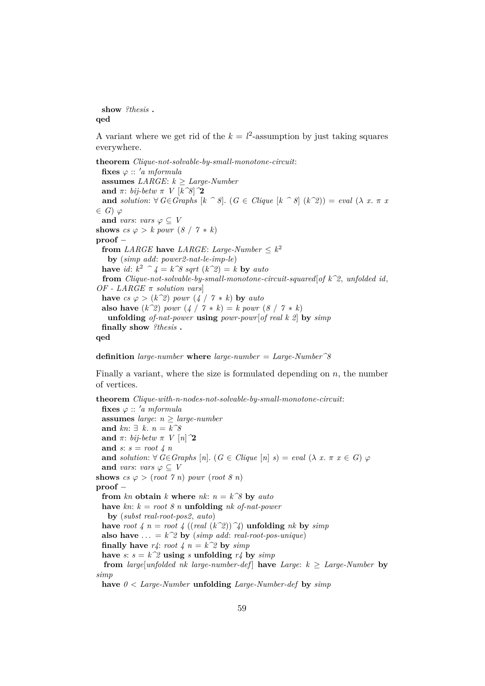**show** *?thesis* **. qed**

A variant where we get rid of the  $k = l^2$ -assumption by just taking squares everywhere.

**theorem** *Clique-not-solvable-by-small-monotone-circuit*: fixes  $\varphi$  :: 'a mformula **assumes** *LARGE*:  $k \geq \text{Large-}Number$ **and**  $\pi$ : *bij-betw*  $\pi$  *V*  $[k^g]$ <sup>2</sup> **and** *solution*:  $\forall G \in Graphs$  [ $k \land 8$ ]. ( $G \in Clique$  [ $k \land 8$ ] ( $k \land 2$ )) = *eval* ( $\lambda x. \pi x$  $\in G$ )  $\varphi$ **and** *vars*: *vars*  $\varphi \subset V$ **shows**  $cs \varphi > k$  powr  $(8 / 7 * k)$ **proof** − **from** *LARGE* **have** *LARGE*: *Large-Number*  $\leq k^2$ **by** (*simp add*: *power2-nat-le-imp-le*) **have** *id*:  $k^2 \hat{} f = k \hat{g}$  *sqrt*  $(k \hat{g}) = k$  **by** *auto* **from** *Clique-not-solvable-by-small-monotone-circuit-squared*[*of k^2*, *unfolded id*, *OF - LARGE* π *solution vars*] **have**  $cs \varphi > (k^2)$  *powr*  $(4 / 7 * k)$  **by**  $auto$ **also have**  $(k^2)$  *powr*  $(4 / 7 * k) = k$  *powr*  $(8 / 7 * k)$ **unfolding** *of-nat-power* **using** *powr-powr*[*of real k 2*] **by** *simp* **finally show** *?thesis* **. qed**

**definition** *large-number* **where** *large-number* = *Large-Number^8*

Finally a variant, where the size is formulated depending on  $n$ , the number of vertices.

**theorem** *Clique-with-n-nodes-not-solvable-by-small-monotone-circuit*: fixes  $\varphi$  :: 'a mformula **assumes** *large*:  $n \geq large\$ **and** *kn*: ∃ *k*. *n* = *k^8* **and**  $\pi$ : *bij-betw*  $\pi$  *V*  $[n]$ <sup>2</sup> **and** *s*: *s* = *root 4 n* **and** *solution*:  $\forall G \in Graphs$  [*n*]. ( $G \in Clique$  [*n*]  $s) = eval (\lambda x. \pi x \in G) \varphi$ **and** *vars*: *vars*  $\varphi \subseteq V$ **shows**  $cs \varphi > (root 7 n)$  *powr*  $(root 8 n)$ **proof** − **from**  $kn$  **obtain**  $k$  **where**  $nk$ :  $n = k^8$  **by**  $auto$ **have** *kn*: *k* = *root 8 n* **unfolding** *nk of-nat-power* **by** (*subst real-root-pos2*, *auto*) have root  $4 \text{ } n = \text{root } 4 \text{ } ((\text{real } (k^2))^2)$  **unfolding**  $nk$  by  $\text{sim} p$ **also have** ... =  $k^2$  **by** (*simp add: real-root-pos-unique*) **finally have**  $r4$ : *root*  $4 n = k^2$  **by**  $simp$ have  $s: s = k^2$  **using** *s* **unfolding**  $r4$  **by**  $simp$ **from** *large*[*unfolded nk large-number-def*] **have** *Large*:  $k \geq$  *Large-Number* **by** *simp* **have** *0* < *Large-Number* **unfolding** *Large-Number-def* **by** *simp*